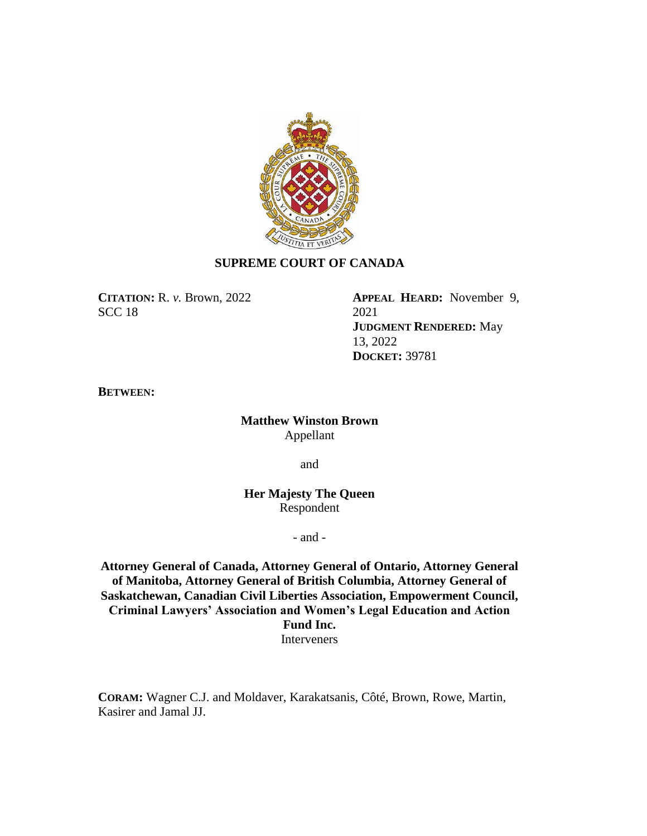

## **SUPREME COURT OF CANADA**

**CITATION:** R. *v.* Brown, 2022 SCC 18

**APPEAL HEARD:** November 9, 2021 **JUDGMENT RENDERED:** May 13, 2022 **DOCKET:** 39781

**BETWEEN:**

**Matthew Winston Brown** Appellant

and

**Her Majesty The Queen** Respondent

- and -

**Attorney General of Canada, Attorney General of Ontario, Attorney General of Manitoba, Attorney General of British Columbia, Attorney General of Saskatchewan, Canadian Civil Liberties Association, Empowerment Council, Criminal Lawyers' Association and Women's Legal Education and Action Fund Inc.** Interveners

**CORAM:** Wagner C.J. and Moldaver, Karakatsanis, Côté, Brown, Rowe, Martin, Kasirer and Jamal JJ.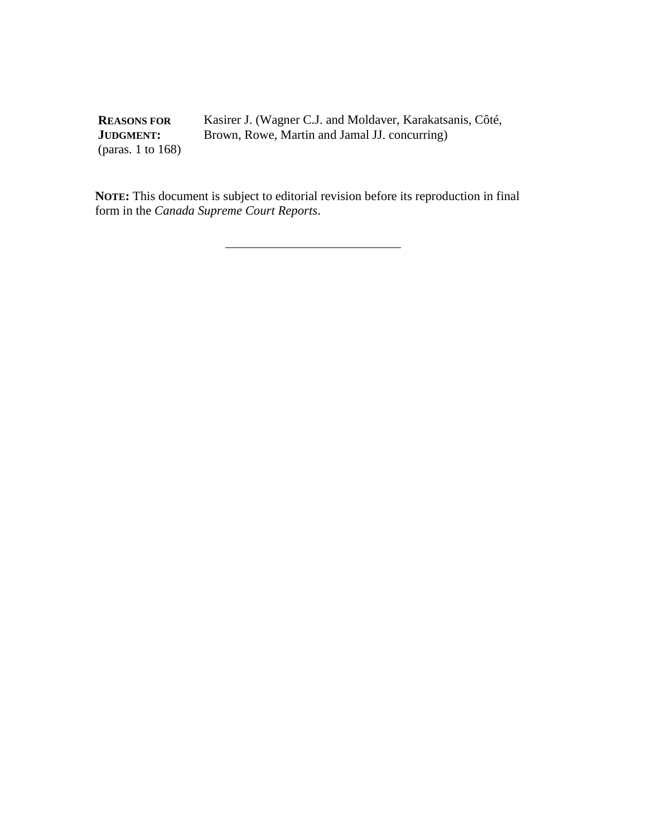**REASONS FOR JUDGMENT:** (paras. 1 to 168)

Kasirer J. (Wagner C.J. and Moldaver, Karakatsanis, Côté, Brown, Rowe, Martin and Jamal JJ. concurring)

**NOTE:** This document is subject to editorial revision before its reproduction in final form in the *Canada Supreme Court Reports*.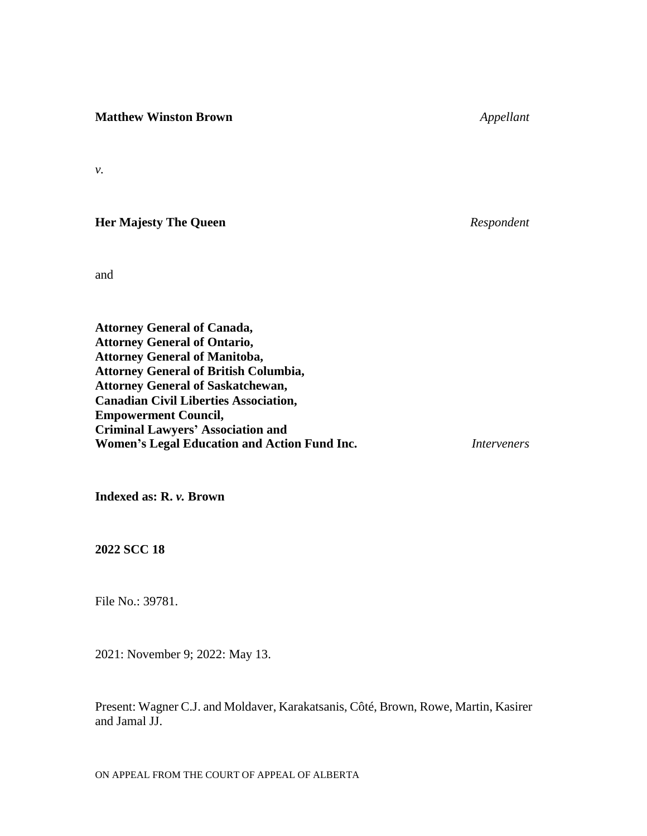**Matthew Winston Brown** *Appellant*

*v.*

**Her Majesty The Queen** *Respondent*

and

**Attorney General of Canada, Attorney General of Ontario, Attorney General of Manitoba, Attorney General of British Columbia, Attorney General of Saskatchewan, Canadian Civil Liberties Association, Empowerment Council, Criminal Lawyers' Association and Women's Legal Education and Action Fund Inc.** *Interveners*

**Indexed as: R.** *v.* **Brown**

**2022 SCC 18**

File No.: 39781.

2021: November 9; 2022: May 13.

Present: Wagner C.J. and Moldaver, Karakatsanis, Côté, Brown, Rowe, Martin, Kasirer and Jamal JJ.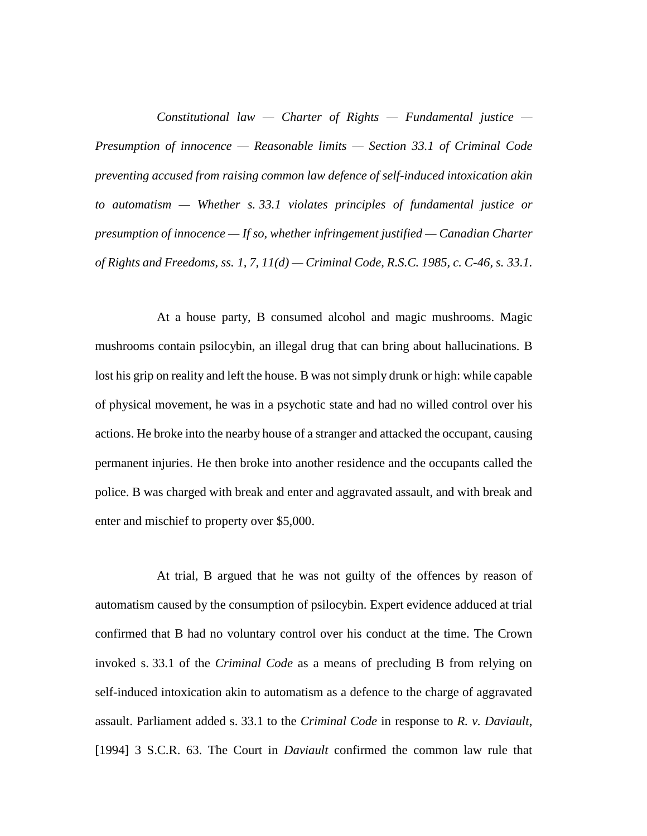*Constitutional law — Charter of Rights — Fundamental justice — Presumption of innocence — Reasonable limits — Section 33.1 of Criminal Code preventing accused from raising common law defence of self-induced intoxication akin to automatism — Whether s. 33.1 violates principles of fundamental justice or presumption of innocence — If so, whether infringement justified — Canadian Charter of Rights and Freedoms, ss. 1, 7, 11(d) — Criminal Code, R.S.C. 1985, c. C-46, s. 33.1.*

At a house party, B consumed alcohol and magic mushrooms. Magic mushrooms contain psilocybin, an illegal drug that can bring about hallucinations. B lost his grip on reality and left the house. B was not simply drunk or high: while capable of physical movement, he was in a psychotic state and had no willed control over his actions. He broke into the nearby house of a stranger and attacked the occupant, causing permanent injuries. He then broke into another residence and the occupants called the police. B was charged with break and enter and aggravated assault, and with break and enter and mischief to property over \$5,000.

At trial, B argued that he was not guilty of the offences by reason of automatism caused by the consumption of psilocybin. Expert evidence adduced at trial confirmed that B had no voluntary control over his conduct at the time. The Crown invoked s. 33.1 of the *Criminal Code* as a means of precluding B from relying on self-induced intoxication akin to automatism as a defence to the charge of aggravated assault. Parliament added s. 33.1 to the *Criminal Code* in response to *R. v. Daviault*, [1994] 3 S.C.R. 63. The Court in *Daviault* confirmed the common law rule that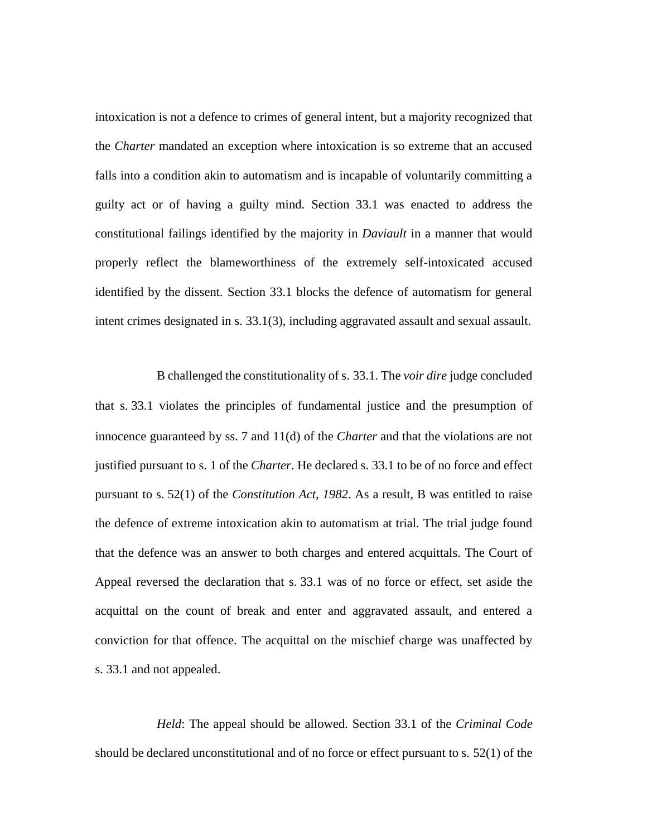intoxication is not a defence to crimes of general intent, but a majority recognized that the *Charter* mandated an exception where intoxication is so extreme that an accused falls into a condition akin to automatism and is incapable of voluntarily committing a guilty act or of having a guilty mind. Section 33.1 was enacted to address the constitutional failings identified by the majority in *Daviault* in a manner that would properly reflect the blameworthiness of the extremely self-intoxicated accused identified by the dissent. Section 33.1 blocks the defence of automatism for general intent crimes designated in s. 33.1(3), including aggravated assault and sexual assault.

B challenged the constitutionality of s. 33.1. The *voir dire* judge concluded that s. 33.1 violates the principles of fundamental justice and the presumption of innocence guaranteed by ss. 7 and 11(d) of the *Charter* and that the violations are not justified pursuant to s. 1 of the *Charter*. He declared s. 33.1 to be of no force and effect pursuant to s. 52(1) of the *Constitution Act, 1982*. As a result, B was entitled to raise the defence of extreme intoxication akin to automatism at trial. The trial judge found that the defence was an answer to both charges and entered acquittals. The Court of Appeal reversed the declaration that s. 33.1 was of no force or effect, set aside the acquittal on the count of break and enter and aggravated assault, and entered a conviction for that offence. The acquittal on the mischief charge was unaffected by s. 33.1 and not appealed.

*Held*: The appeal should be allowed. Section 33.1 of the *Criminal Code*  should be declared unconstitutional and of no force or effect pursuant to s. 52(1) of the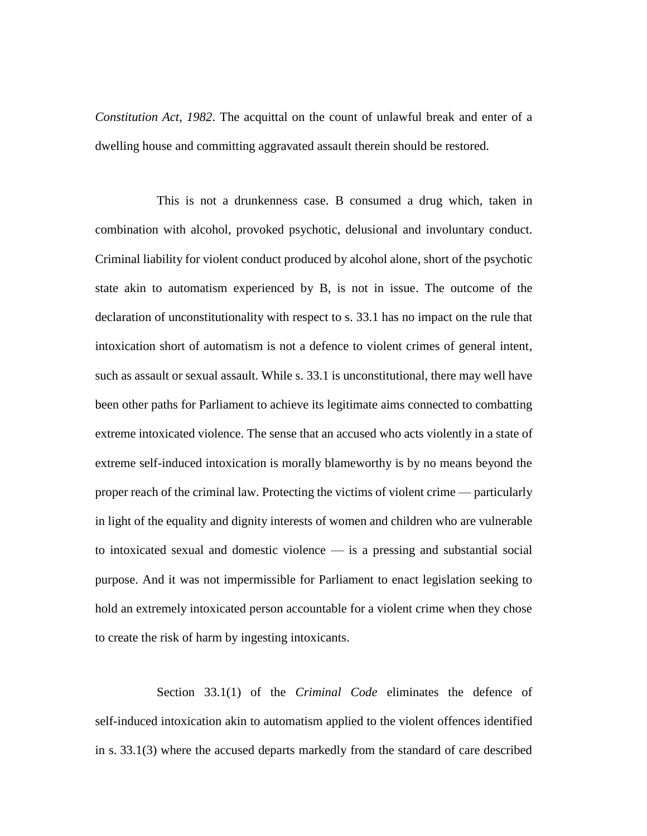*Constitution Act, 1982*. The acquittal on the count of unlawful break and enter of a dwelling house and committing aggravated assault therein should be restored.

This is not a drunkenness case. B consumed a drug which, taken in combination with alcohol, provoked psychotic, delusional and involuntary conduct. Criminal liability for violent conduct produced by alcohol alone, short of the psychotic state akin to automatism experienced by B, is not in issue. The outcome of the declaration of unconstitutionality with respect to s. 33.1 has no impact on the rule that intoxication short of automatism is not a defence to violent crimes of general intent, such as assault or sexual assault. While s. 33.1 is unconstitutional, there may well have been other paths for Parliament to achieve its legitimate aims connected to combatting extreme intoxicated violence. The sense that an accused who acts violently in a state of extreme self-induced intoxication is morally blameworthy is by no means beyond the proper reach of the criminal law. Protecting the victims of violent crime — particularly in light of the equality and dignity interests of women and children who are vulnerable to intoxicated sexual and domestic violence — is a pressing and substantial social purpose. And it was not impermissible for Parliament to enact legislation seeking to hold an extremely intoxicated person accountable for a violent crime when they chose to create the risk of harm by ingesting intoxicants.

Section 33.1(1) of the *Criminal Code* eliminates the defence of self-induced intoxication akin to automatism applied to the violent offences identified in s. 33.1(3) where the accused departs markedly from the standard of care described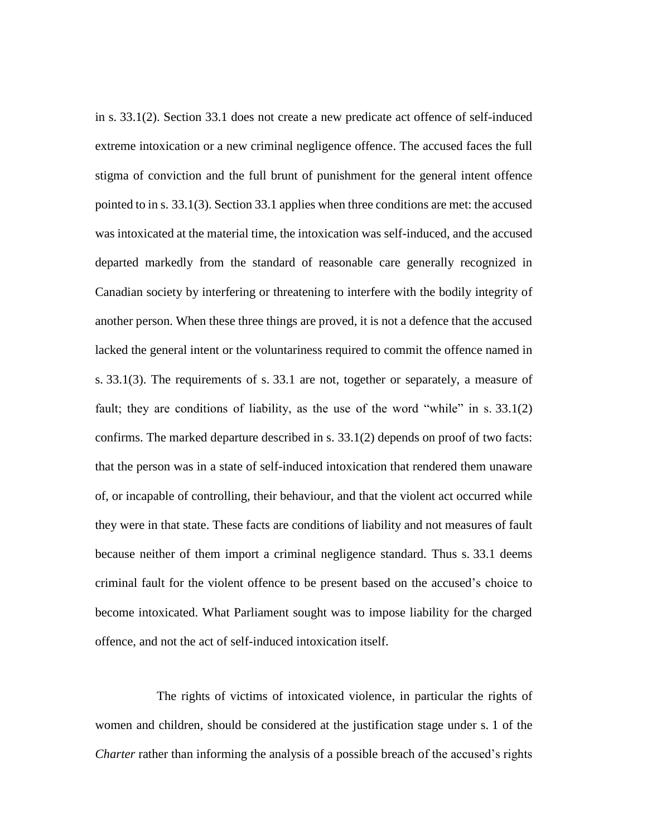in s. 33.1(2). Section 33.1 does not create a new predicate act offence of self-induced extreme intoxication or a new criminal negligence offence. The accused faces the full stigma of conviction and the full brunt of punishment for the general intent offence pointed to in s. 33.1(3). Section 33.1 applies when three conditions are met: the accused was intoxicated at the material time, the intoxication was self-induced, and the accused departed markedly from the standard of reasonable care generally recognized in Canadian society by interfering or threatening to interfere with the bodily integrity of another person. When these three things are proved, it is not a defence that the accused lacked the general intent or the voluntariness required to commit the offence named in s. 33.1(3). The requirements of s. 33.1 are not, together or separately, a measure of fault; they are conditions of liability, as the use of the word "while" in s. 33.1(2) confirms. The marked departure described in s. 33.1(2) depends on proof of two facts: that the person was in a state of self-induced intoxication that rendered them unaware of, or incapable of controlling, their behaviour, and that the violent act occurred while they were in that state. These facts are conditions of liability and not measures of fault because neither of them import a criminal negligence standard. Thus s. 33.1 deems criminal fault for the violent offence to be present based on the accused's choice to become intoxicated. What Parliament sought was to impose liability for the charged offence, and not the act of self-induced intoxication itself.

The rights of victims of intoxicated violence, in particular the rights of women and children, should be considered at the justification stage under s. 1 of the *Charter* rather than informing the analysis of a possible breach of the accused's rights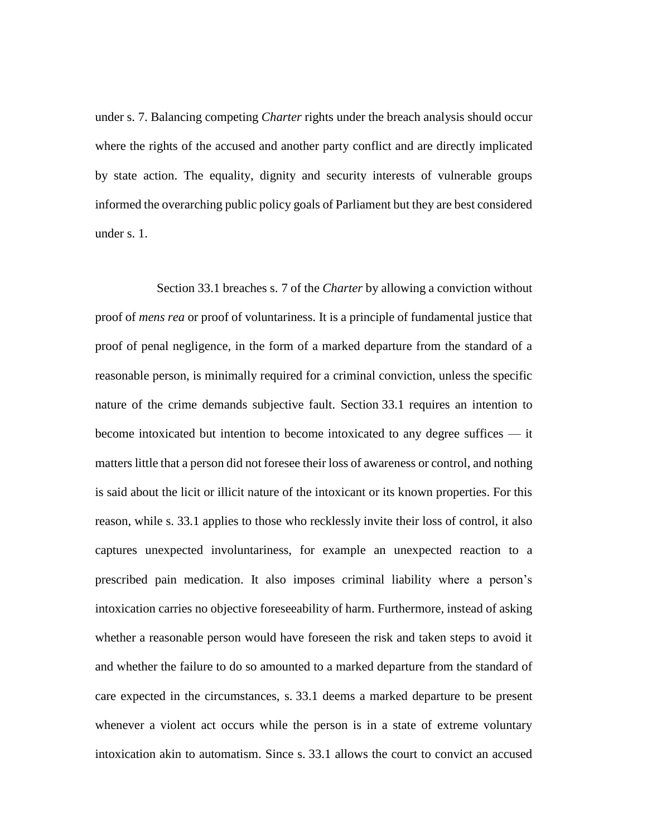under s. 7. Balancing competing *Charter* rights under the breach analysis should occur where the rights of the accused and another party conflict and are directly implicated by state action. The equality, dignity and security interests of vulnerable groups informed the overarching public policy goals of Parliament but they are best considered under s. 1.

Section 33.1 breaches s. 7 of the *Charter* by allowing a conviction without proof of *mens rea* or proof of voluntariness. It is a principle of fundamental justice that proof of penal negligence, in the form of a marked departure from the standard of a reasonable person, is minimally required for a criminal conviction, unless the specific nature of the crime demands subjective fault. Section 33.1 requires an intention to become intoxicated but intention to become intoxicated to any degree suffices — it matters little that a person did not foresee their loss of awareness or control, and nothing is said about the licit or illicit nature of the intoxicant or its known properties. For this reason, while s. 33.1 applies to those who recklessly invite their loss of control, it also captures unexpected involuntariness, for example an unexpected reaction to a prescribed pain medication. It also imposes criminal liability where a person's intoxication carries no objective foreseeability of harm. Furthermore, instead of asking whether a reasonable person would have foreseen the risk and taken steps to avoid it and whether the failure to do so amounted to a marked departure from the standard of care expected in the circumstances, s. 33.1 deems a marked departure to be present whenever a violent act occurs while the person is in a state of extreme voluntary intoxication akin to automatism. Since s. 33.1 allows the court to convict an accused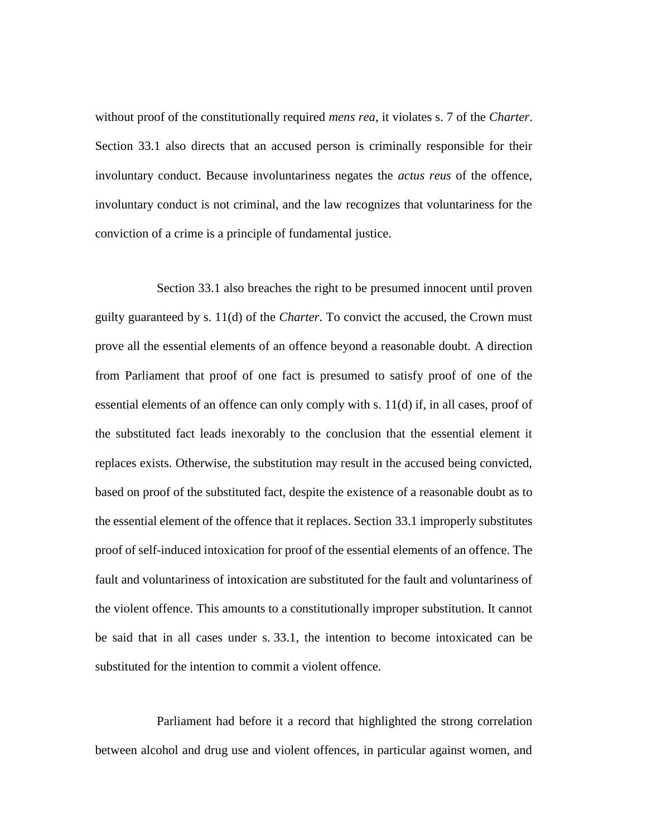without proof of the constitutionally required *mens rea*, it violates s. 7 of the *Charter*. Section 33.1 also directs that an accused person is criminally responsible for their involuntary conduct. Because involuntariness negates the *actus reus* of the offence, involuntary conduct is not criminal, and the law recognizes that voluntariness for the conviction of a crime is a principle of fundamental justice.

Section 33.1 also breaches the right to be presumed innocent until proven guilty guaranteed by s. 11(d) of the *Charter*. To convict the accused, the Crown must prove all the essential elements of an offence beyond a reasonable doubt. A direction from Parliament that proof of one fact is presumed to satisfy proof of one of the essential elements of an offence can only comply with s. 11(d) if, in all cases, proof of the substituted fact leads inexorably to the conclusion that the essential element it replaces exists. Otherwise, the substitution may result in the accused being convicted, based on proof of the substituted fact, despite the existence of a reasonable doubt as to the essential element of the offence that it replaces. Section 33.1 improperly substitutes proof of self-induced intoxication for proof of the essential elements of an offence. The fault and voluntariness of intoxication are substituted for the fault and voluntariness of the violent offence. This amounts to a constitutionally improper substitution. It cannot be said that in all cases under s. 33.1, the intention to become intoxicated can be substituted for the intention to commit a violent offence.

Parliament had before it a record that highlighted the strong correlation between alcohol and drug use and violent offences, in particular against women, and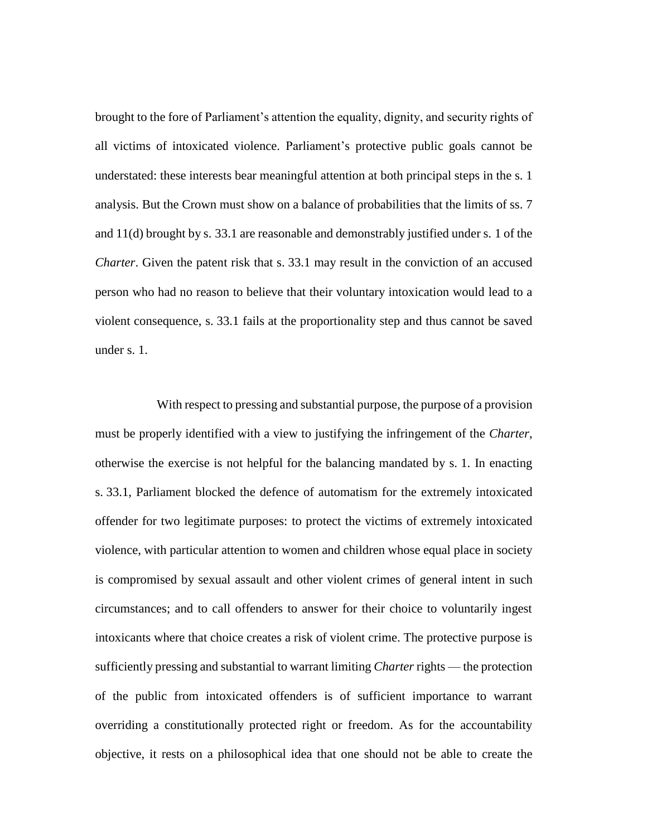brought to the fore of Parliament's attention the equality, dignity, and security rights of all victims of intoxicated violence. Parliament's protective public goals cannot be understated: these interests bear meaningful attention at both principal steps in the s. 1 analysis. But the Crown must show on a balance of probabilities that the limits of ss. 7 and 11(d) brought by s. 33.1 are reasonable and demonstrably justified under s. 1 of the *Charter*. Given the patent risk that s. 33.1 may result in the conviction of an accused person who had no reason to believe that their voluntary intoxication would lead to a violent consequence, s. 33.1 fails at the proportionality step and thus cannot be saved under s. 1.

With respect to pressing and substantial purpose, the purpose of a provision must be properly identified with a view to justifying the infringement of the *Charter*, otherwise the exercise is not helpful for the balancing mandated by s. 1. In enacting s. 33.1, Parliament blocked the defence of automatism for the extremely intoxicated offender for two legitimate purposes: to protect the victims of extremely intoxicated violence, with particular attention to women and children whose equal place in society is compromised by sexual assault and other violent crimes of general intent in such circumstances; and to call offenders to answer for their choice to voluntarily ingest intoxicants where that choice creates a risk of violent crime. The protective purpose is sufficiently pressing and substantial to warrant limiting *Charter* rights — the protection of the public from intoxicated offenders is of sufficient importance to warrant overriding a constitutionally protected right or freedom. As for the accountability objective, it rests on a philosophical idea that one should not be able to create the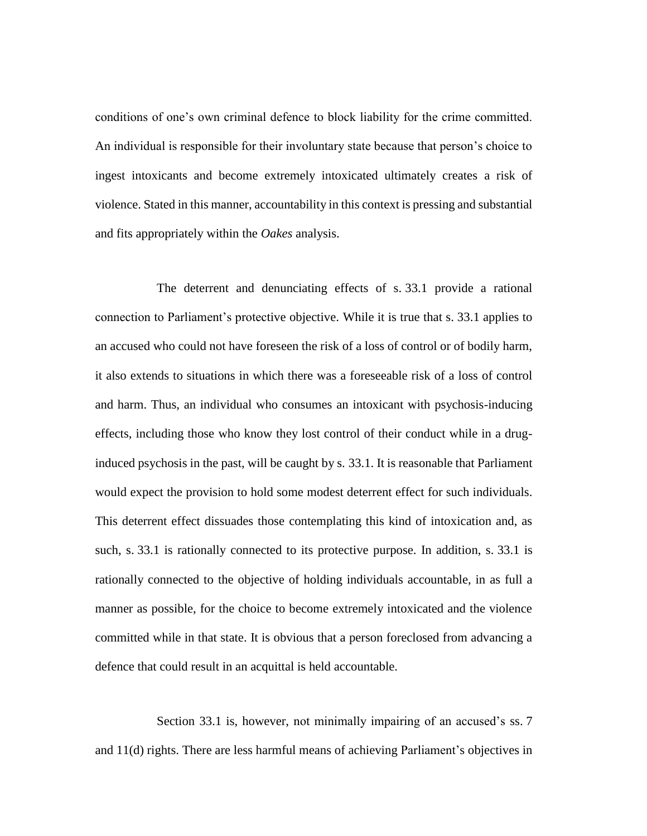conditions of one's own criminal defence to block liability for the crime committed. An individual is responsible for their involuntary state because that person's choice to ingest intoxicants and become extremely intoxicated ultimately creates a risk of violence. Stated in this manner, accountability in this context is pressing and substantial and fits appropriately within the *Oakes* analysis.

The deterrent and denunciating effects of s. 33.1 provide a rational connection to Parliament's protective objective. While it is true that s. 33.1 applies to an accused who could not have foreseen the risk of a loss of control or of bodily harm, it also extends to situations in which there was a foreseeable risk of a loss of control and harm. Thus, an individual who consumes an intoxicant with psychosis-inducing effects, including those who know they lost control of their conduct while in a druginduced psychosis in the past, will be caught by s. 33.1. It is reasonable that Parliament would expect the provision to hold some modest deterrent effect for such individuals. This deterrent effect dissuades those contemplating this kind of intoxication and, as such, s. 33.1 is rationally connected to its protective purpose. In addition, s. 33.1 is rationally connected to the objective of holding individuals accountable, in as full a manner as possible, for the choice to become extremely intoxicated and the violence committed while in that state. It is obvious that a person foreclosed from advancing a defence that could result in an acquittal is held accountable.

Section 33.1 is, however, not minimally impairing of an accused's ss. 7 and 11(d) rights. There are less harmful means of achieving Parliament's objectives in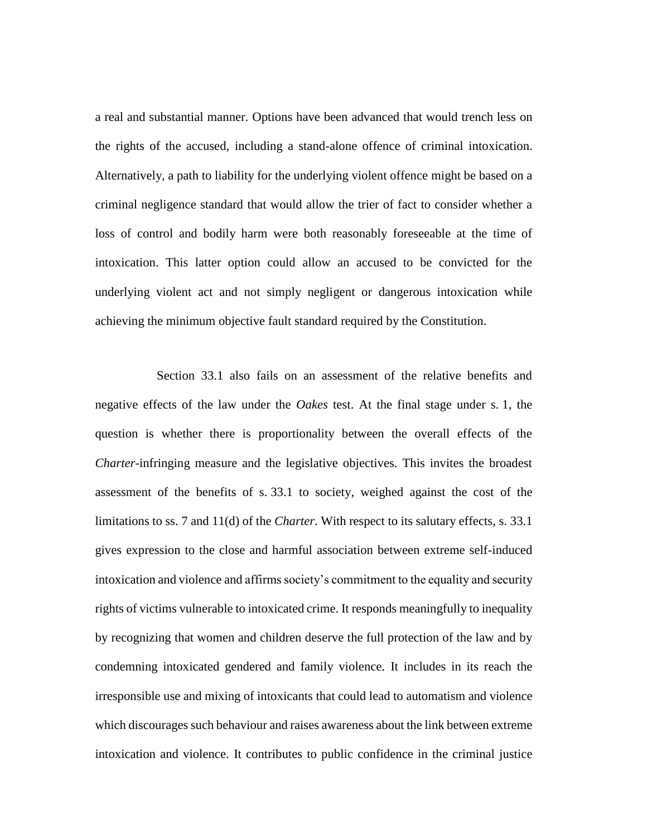a real and substantial manner. Options have been advanced that would trench less on the rights of the accused, including a stand-alone offence of criminal intoxication. Alternatively, a path to liability for the underlying violent offence might be based on a criminal negligence standard that would allow the trier of fact to consider whether a loss of control and bodily harm were both reasonably foreseeable at the time of intoxication. This latter option could allow an accused to be convicted for the underlying violent act and not simply negligent or dangerous intoxication while achieving the minimum objective fault standard required by the Constitution.

Section 33.1 also fails on an assessment of the relative benefits and negative effects of the law under the *Oakes* test. At the final stage under s. 1, the question is whether there is proportionality between the overall effects of the *Charter*-infringing measure and the legislative objectives. This invites the broadest assessment of the benefits of s. 33.1 to society, weighed against the cost of the limitations to ss. 7 and 11(d) of the *Charter*. With respect to its salutary effects, s. 33.1 gives expression to the close and harmful association between extreme self-induced intoxication and violence and affirms society's commitment to the equality and security rights of victims vulnerable to intoxicated crime. It responds meaningfully to inequality by recognizing that women and children deserve the full protection of the law and by condemning intoxicated gendered and family violence. It includes in its reach the irresponsible use and mixing of intoxicants that could lead to automatism and violence which discourages such behaviour and raises awareness about the link between extreme intoxication and violence. It contributes to public confidence in the criminal justice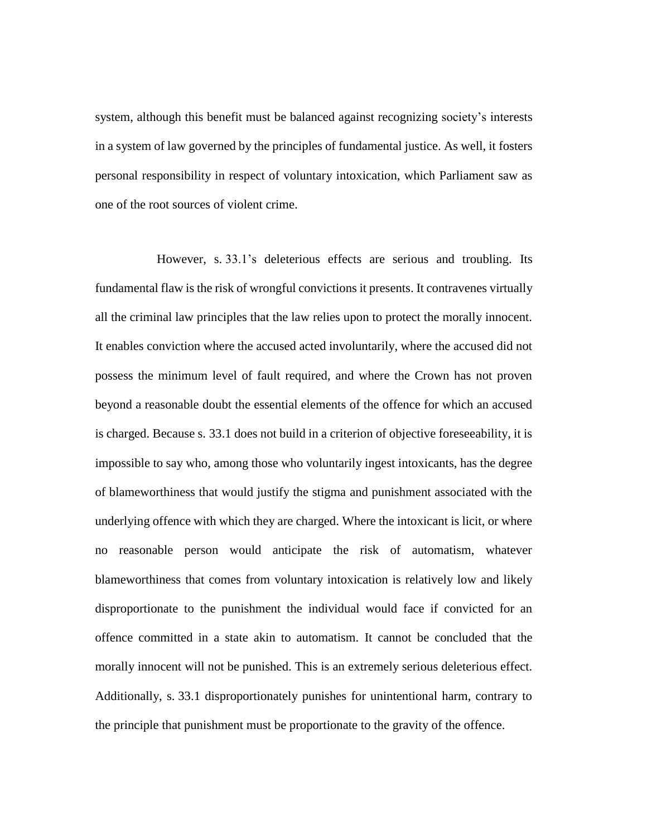system, although this benefit must be balanced against recognizing society's interests in a system of law governed by the principles of fundamental justice. As well, it fosters personal responsibility in respect of voluntary intoxication, which Parliament saw as one of the root sources of violent crime.

However, s. 33.1's deleterious effects are serious and troubling. Its fundamental flaw is the risk of wrongful convictions it presents. It contravenes virtually all the criminal law principles that the law relies upon to protect the morally innocent. It enables conviction where the accused acted involuntarily, where the accused did not possess the minimum level of fault required, and where the Crown has not proven beyond a reasonable doubt the essential elements of the offence for which an accused is charged. Because s. 33.1 does not build in a criterion of objective foreseeability, it is impossible to say who, among those who voluntarily ingest intoxicants, has the degree of blameworthiness that would justify the stigma and punishment associated with the underlying offence with which they are charged. Where the intoxicant is licit, or where no reasonable person would anticipate the risk of automatism, whatever blameworthiness that comes from voluntary intoxication is relatively low and likely disproportionate to the punishment the individual would face if convicted for an offence committed in a state akin to automatism. It cannot be concluded that the morally innocent will not be punished. This is an extremely serious deleterious effect. Additionally, s. 33.1 disproportionately punishes for unintentional harm, contrary to the principle that punishment must be proportionate to the gravity of the offence.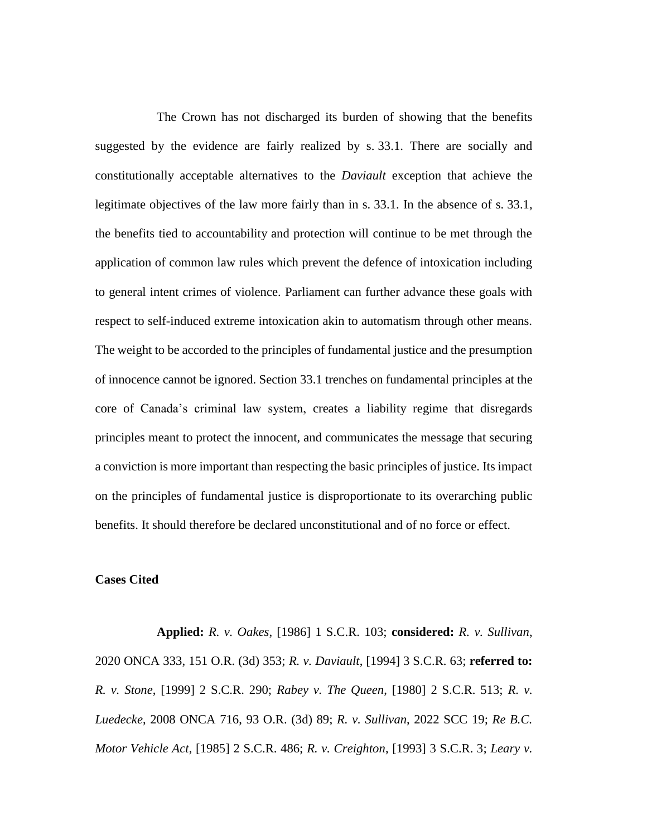The Crown has not discharged its burden of showing that the benefits suggested by the evidence are fairly realized by s. 33.1. There are socially and constitutionally acceptable alternatives to the *Daviault* exception that achieve the legitimate objectives of the law more fairly than in s. 33.1. In the absence of s. 33.1, the benefits tied to accountability and protection will continue to be met through the application of common law rules which prevent the defence of intoxication including to general intent crimes of violence. Parliament can further advance these goals with respect to self-induced extreme intoxication akin to automatism through other means. The weight to be accorded to the principles of fundamental justice and the presumption of innocence cannot be ignored. Section 33.1 trenches on fundamental principles at the core of Canada's criminal law system, creates a liability regime that disregards principles meant to protect the innocent, and communicates the message that securing a conviction is more important than respecting the basic principles of justice. Its impact on the principles of fundamental justice is disproportionate to its overarching public benefits. It should therefore be declared unconstitutional and of no force or effect.

### **Cases Cited**

**Applied:** *R. v. Oakes*, [1986] 1 S.C.R. 103; **considered:** *R. v. Sullivan*, 2020 ONCA 333, 151 O.R. (3d) 353; *R. v. Daviault*, [1994] 3 S.C.R. 63; **referred to:** *R. v. Stone*, [1999] 2 S.C.R. 290; *Rabey v. The Queen*, [1980] 2 S.C.R. 513; *R. v. Luedecke*, 2008 ONCA 716, 93 O.R. (3d) 89; *R. v. Sullivan*, 2022 SCC 19; *Re B.C. Motor Vehicle Act*, [1985] 2 S.C.R. 486; *R. v. Creighton*, [1993] 3 S.C.R. 3; *Leary v.*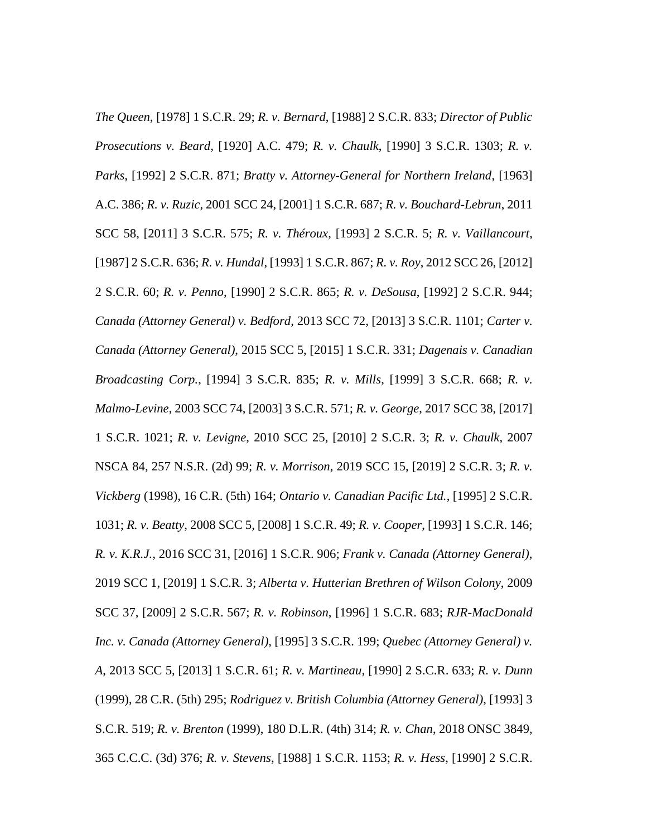*The Queen*, [1978] 1 S.C.R. 29; *R. v. Bernard*, [1988] 2 S.C.R. 833; *Director of Public Prosecutions v. Beard*, [1920] A.C. 479; *R. v. Chaulk*, [1990] 3 S.C.R. 1303; *R. v. Parks*, [1992] 2 S.C.R. 871; *Bratty v. Attorney-General for Northern Ireland*, [1963] A.C. 386; *R. v. Ruzic*, 2001 SCC 24, [2001] 1 S.C.R. 687; *R. v. Bouchard-Lebrun*, 2011 SCC 58, [2011] 3 S.C.R. 575; *R. v. Théroux*, [1993] 2 S.C.R. 5; *R. v. Vaillancourt*, [1987] 2 S.C.R. 636; *R. v. Hundal*, [1993] 1 S.C.R. 867; *R. v. Roy*, 2012 SCC 26, [2012] 2 S.C.R. 60; *R. v. Penno*, [1990] 2 S.C.R. 865; *R. v. DeSousa*, [1992] 2 S.C.R. 944; *Canada (Attorney General) v. Bedford*, 2013 SCC 72, [2013] 3 S.C.R. 1101; *Carter v. Canada (Attorney General)*, 2015 SCC 5, [2015] 1 S.C.R. 331; *Dagenais v. Canadian Broadcasting Corp.*, [1994] 3 S.C.R. 835; *R. v. Mills*, [1999] 3 S.C.R. 668; *R. v. Malmo-Levine*, 2003 SCC 74, [2003] 3 S.C.R. 571; *R. v. George*, 2017 SCC 38, [2017] 1 S.C.R. 1021; *R. v. Levigne*, 2010 SCC 25, [2010] 2 S.C.R. 3; *R. v. Chaulk*, 2007 NSCA 84, 257 N.S.R. (2d) 99; *R. v. Morrison*, 2019 SCC 15, [2019] 2 S.C.R. 3; *R. v. Vickberg* (1998), 16 C.R. (5th) 164; *Ontario v. Canadian Pacific Ltd.*, [1995] 2 S.C.R. 1031; *R. v. Beatty*, 2008 SCC 5, [2008] 1 S.C.R. 49; *R. v. Cooper*, [1993] 1 S.C.R. 146; *R. v. K.R.J.*, 2016 SCC 31, [2016] 1 S.C.R. 906; *Frank v. Canada (Attorney General)*, 2019 SCC 1, [2019] 1 S.C.R. 3; *Alberta v. Hutterian Brethren of Wilson Colony*, 2009 SCC 37, [2009] 2 S.C.R. 567; *R. v. Robinson*, [1996] 1 S.C.R. 683; *RJR-MacDonald Inc. v. Canada (Attorney General)*, [1995] 3 S.C.R. 199; *Quebec (Attorney General) v. A*, 2013 SCC 5, [2013] 1 S.C.R. 61; *R. v. Martineau*, [1990] 2 S.C.R. 633; *R. v. Dunn* (1999), 28 C.R. (5th) 295; *Rodriguez v. British Columbia (Attorney General)*, [1993] 3 S.C.R. 519; *R. v. Brenton* (1999), 180 D.L.R. (4th) 314; *R. v. Chan*, 2018 ONSC 3849, 365 C.C.C. (3d) 376; *R. v. Stevens*, [1988] 1 S.C.R. 1153; *R. v. Hess*, [1990] 2 S.C.R.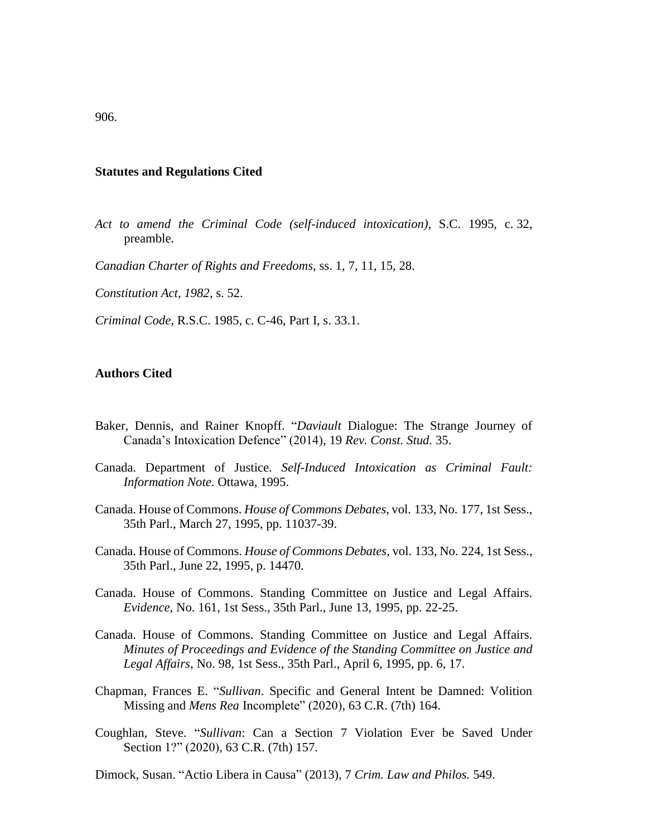#### **Statutes and Regulations Cited**

*Act to amend the Criminal Code (self-induced intoxication)*, S.C. 1995, c. 32, preamble.

*Canadian Charter of Rights and Freedoms*, ss. 1, 7, 11, 15, 28.

*Constitution Act, 1982*, s. 52.

*Criminal Code*, R.S.C. 1985, c. C-46, Part I, s. 33.1.

#### **Authors Cited**

- Baker, Dennis, and Rainer Knopff. "*Daviault* Dialogue: The Strange Journey of Canada's Intoxication Defence" (2014), 19 *Rev. Const. Stud.* 35.
- Canada. Department of Justice. *Self-Induced Intoxication as Criminal Fault: Information Note*. Ottawa, 1995.
- Canada. House of Commons. *House of Commons Debates*, vol. 133, No. 177, 1st Sess., 35th Parl., March 27, 1995, pp. 11037-39.
- Canada. House of Commons. *House of Commons Debates*, vol. 133, No. 224, 1st Sess., 35th Parl., June 22, 1995, p. 14470.
- Canada. House of Commons. Standing Committee on Justice and Legal Affairs. *Evidence*, No. 161, 1st Sess., 35th Parl., June 13, 1995, pp. 22-25.
- Canada. House of Commons. Standing Committee on Justice and Legal Affairs. *Minutes of Proceedings and Evidence of the Standing Committee on Justice and Legal Affairs*, No. 98, 1st Sess., 35th Parl., April 6, 1995, pp. 6, 17.
- Chapman, Frances E. "*Sullivan*. Specific and General Intent be Damned: Volition Missing and *Mens Rea* Incomplete" (2020), 63 C.R. (7th) 164.
- Coughlan, Steve. "*Sullivan*: Can a Section 7 Violation Ever be Saved Under Section 1?" (2020), 63 C.R. (7th) 157.

Dimock, Susan. "Actio Libera in Causa" (2013), 7 *Crim. Law and Philos.* 549.

906.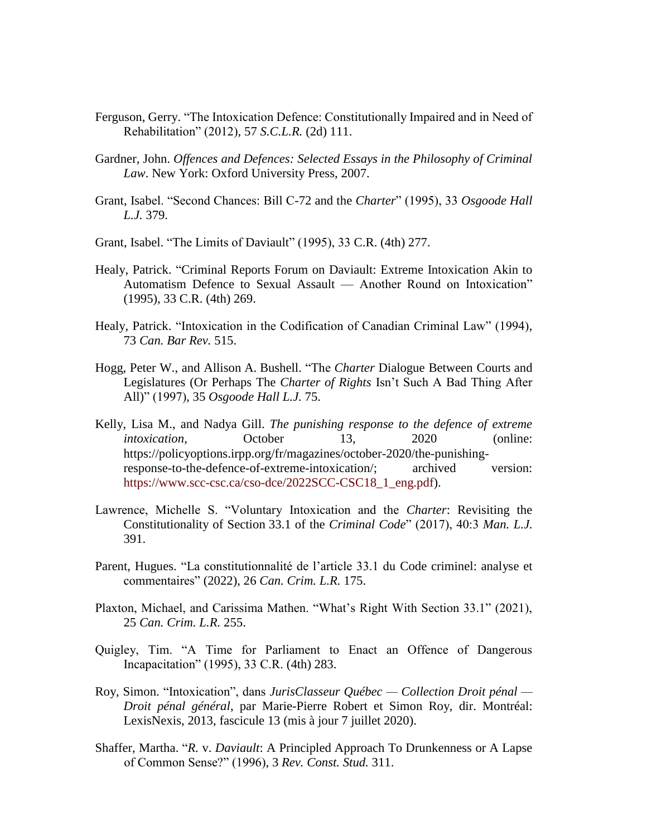- Ferguson, Gerry. "The Intoxication Defence: Constitutionally Impaired and in Need of Rehabilitation" (2012), 57 *S.C.L.R.* (2d) 111.
- Gardner, John. *Offences and Defences: Selected Essays in the Philosophy of Criminal Law*. New York: Oxford University Press, 2007.
- Grant, Isabel. "Second Chances: Bill C-72 and the *Charter*" (1995), 33 *Osgoode Hall L.J.* 379.
- Grant, Isabel. "The Limits of Daviault" (1995), 33 C.R. (4th) 277.
- Healy, Patrick. "Criminal Reports Forum on Daviault: Extreme Intoxication Akin to Automatism Defence to Sexual Assault — Another Round on Intoxication" (1995), 33 C.R. (4th) 269.
- Healy, Patrick. "Intoxication in the Codification of Canadian Criminal Law" (1994), 73 *Can. Bar Rev.* 515.
- Hogg, Peter W., and Allison A. Bushell. "The *Charter* Dialogue Between Courts and Legislatures (Or Perhaps The *Charter of Rights* Isn't Such A Bad Thing After All)" (1997), 35 *Osgoode Hall L.J.* 75.
- Kelly, Lisa M., and Nadya Gill. *The punishing response to the defence of extreme intoxication*, **October** 13, 2020 (online: https://policyoptions.irpp.org/fr/magazines/october-2020/the-punishingresponse-to-the-defence-of-extreme-intoxication/; archived version: [https://www.scc-csc.ca/cso-dce/2022SCC-CSC18\\_1\\_eng.pdf\)](https://www.scc-csc.ca/cso-dce/2022SCC-CSC18_1_eng.pdf).
- Lawrence, Michelle S. "Voluntary Intoxication and the *Charter*: Revisiting the Constitutionality of Section 33.1 of the *Criminal Code*" (2017), 40:3 *Man. L.J.* 391.
- Parent, Hugues. "La constitutionnalité de l'article 33.1 du Code criminel: analyse et commentaires" (2022), 26 *Can. Crim. L.R.* 175.
- Plaxton, Michael, and Carissima Mathen. "What's Right With Section 33.1" (2021), 25 *Can. Crim. L.R.* 255.
- Quigley, Tim. "A Time for Parliament to Enact an Offence of Dangerous Incapacitation" (1995), 33 C.R. (4th) 283.
- Roy, Simon. "Intoxication", dans *JurisClasseur Québec — Collection Droit pénal — Droit pénal général*, par Marie-Pierre Robert et Simon Roy, dir. Montréal: LexisNexis, 2013, fascicule 13 (mis à jour 7 juillet 2020).
- Shaffer, Martha. "*R.* v. *Daviault*: A Principled Approach To Drunkenness or A Lapse of Common Sense?" (1996), 3 *Rev. Const. Stud.* 311.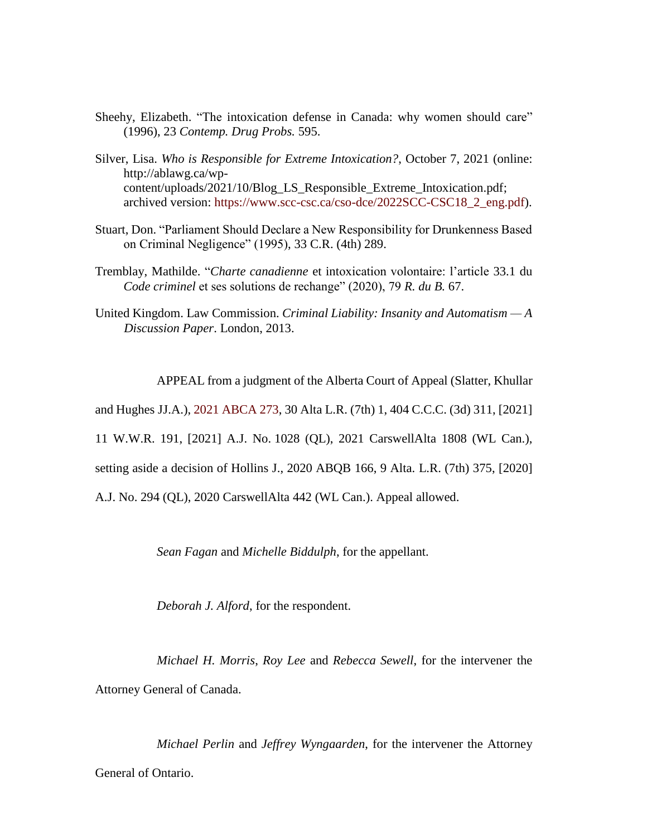- Sheehy, Elizabeth. "The intoxication defense in Canada: why women should care" (1996), 23 *Contemp. Drug Probs.* 595.
- Silver, Lisa. *Who is Responsible for Extreme Intoxication?*, October 7, 2021 (online: http://ablawg.ca/wpcontent/uploads/2021/10/Blog\_LS\_Responsible\_Extreme\_Intoxication.pdf; archived version: [https://www.scc-csc.ca/cso-dce/2022SCC-CSC18\\_2\\_eng.pdf\)](https://www.scc-csc.ca/cso-dce/2022SCC-CSC18_2_eng.pdf).
- Stuart, Don. "Parliament Should Declare a New Responsibility for Drunkenness Based on Criminal Negligence" (1995), 33 C.R. (4th) 289.
- Tremblay, Mathilde. "*Charte canadienne* et intoxication volontaire: l'article 33.1 du *Code criminel* et ses solutions de rechange" (2020), 79 *R. du B.* 67.
- United Kingdom. Law Commission. *Criminal Liability: Insanity and Automatism — A Discussion Paper*. London, 2013.

APPEAL from a judgment of the Alberta Court of Appeal (Slatter, Khullar

and Hughes JJ.A.), [2021 ABCA 273,](https://canlii.ca/t/jh782) 30 Alta L.R. (7th) 1, 404 C.C.C. (3d) 311, [2021]

11 W.W.R. 191, [2021] A.J. No. 1028 (QL), 2021 CarswellAlta 1808 (WL Can.),

setting aside a decision of Hollins J., 2020 ABQB 166, 9 Alta. L.R. (7th) 375, [2020]

A.J. No. 294 (QL), 2020 CarswellAlta 442 (WL Can.). Appeal allowed.

*Sean Fagan* and *Michelle Biddulph*, for the appellant.

*Deborah J. Alford*, for the respondent.

*Michael H. Morris*, *Roy Lee* and *Rebecca Sewell*, for the intervener the Attorney General of Canada.

*Michael Perlin* and *Jeffrey Wyngaarden*, for the intervener the Attorney General of Ontario.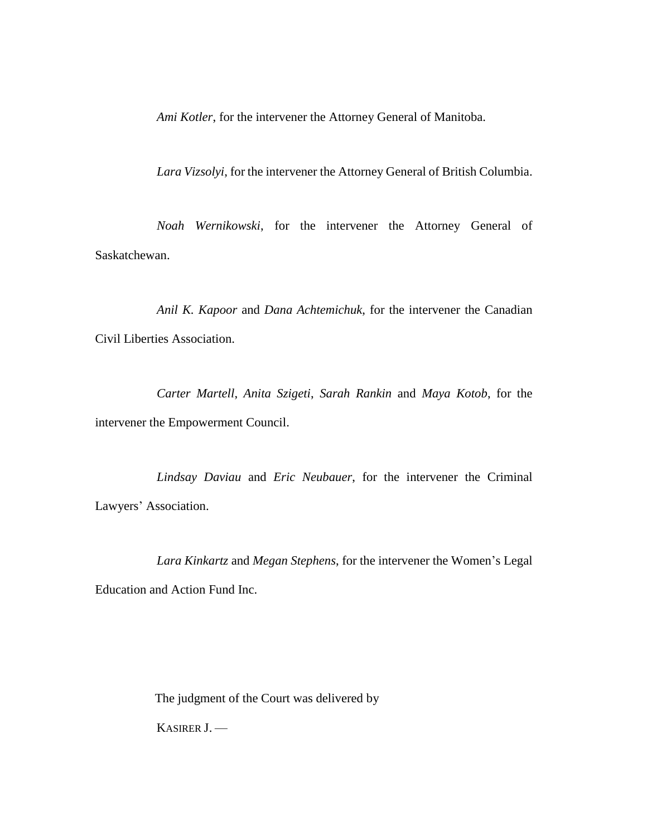*Ami Kotler*, for the intervener the Attorney General of Manitoba.

*Lara Vizsolyi*, for the intervener the Attorney General of British Columbia.

*Noah Wernikowski*, for the intervener the Attorney General of Saskatchewan.

*Anil K. Kapoor* and *Dana Achtemichuk*, for the intervener the Canadian Civil Liberties Association.

*Carter Martell*, *Anita Szigeti*, *Sarah Rankin* and *Maya Kotob*, for the intervener the Empowerment Council.

*Lindsay Daviau* and *Eric Neubauer*, for the intervener the Criminal Lawyers' Association.

*Lara Kinkartz* and *Megan Stephens*, for the intervener the Women's Legal Education and Action Fund Inc.

The judgment of the Court was delivered by

KASIRER J. —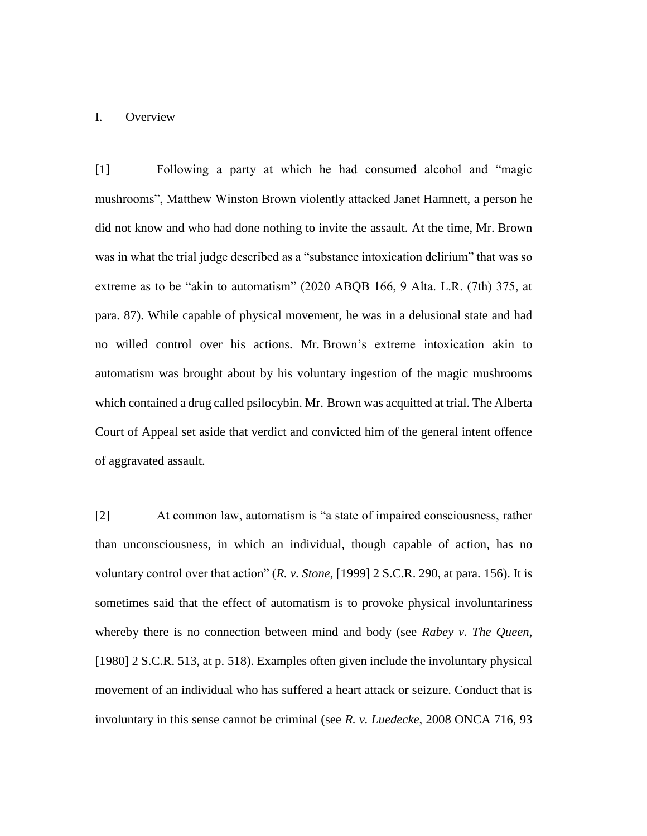### I. Overview

[1] Following a party at which he had consumed alcohol and "magic mushrooms", Matthew Winston Brown violently attacked Janet Hamnett, a person he did not know and who had done nothing to invite the assault. At the time, Mr. Brown was in what the trial judge described as a "substance intoxication delirium" that was so extreme as to be "akin to automatism" (2020 ABQB 166, 9 Alta. L.R. (7th) 375, at para. 87). While capable of physical movement, he was in a delusional state and had no willed control over his actions. Mr. Brown's extreme intoxication akin to automatism was brought about by his voluntary ingestion of the magic mushrooms which contained a drug called psilocybin. Mr. Brown was acquitted at trial. The Alberta Court of Appeal set aside that verdict and convicted him of the general intent offence of aggravated assault.

[2] At common law, automatism is "a state of impaired consciousness, rather than unconsciousness, in which an individual, though capable of action, has no voluntary control over that action" (*R. v. Stone*, [1999] 2 S.C.R. 290, at para. 156). It is sometimes said that the effect of automatism is to provoke physical involuntariness whereby there is no connection between mind and body (see *Rabey v. The Queen*, [1980] 2 S.C.R. 513, at p. 518). Examples often given include the involuntary physical movement of an individual who has suffered a heart attack or seizure. Conduct that is involuntary in this sense cannot be criminal (see *R. v. Luedecke*, 2008 ONCA 716, 93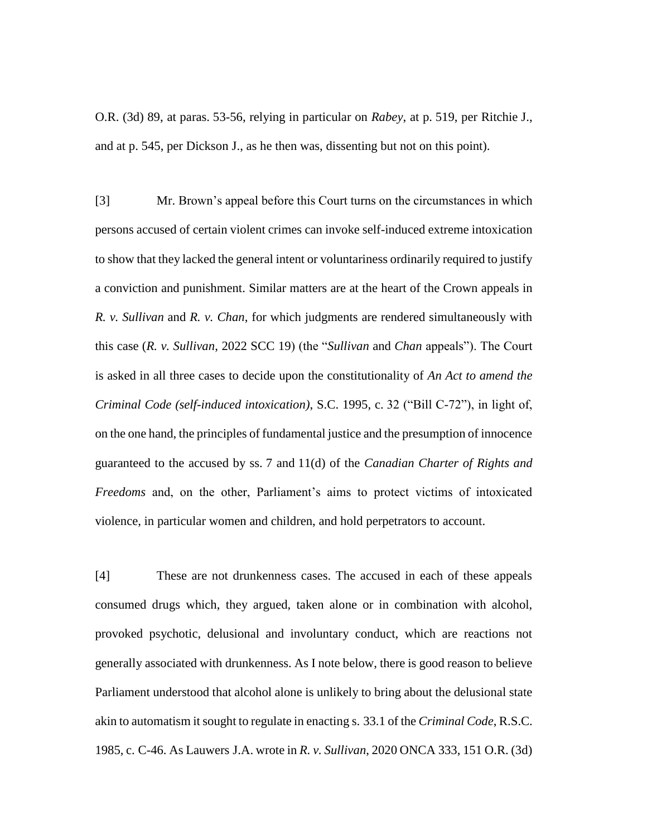O.R. (3d) 89, at paras. 53-56, relying in particular on *Rabey*, at p. 519, per Ritchie J., and at p. 545, per Dickson J., as he then was, dissenting but not on this point).

[3] Mr. Brown's appeal before this Court turns on the circumstances in which persons accused of certain violent crimes can invoke self-induced extreme intoxication to show that they lacked the general intent or voluntariness ordinarily required to justify a conviction and punishment. Similar matters are at the heart of the Crown appeals in *R. v. Sullivan* and *R. v. Chan*, for which judgments are rendered simultaneously with this case (*R. v. Sullivan*, 2022 SCC 19) (the "*Sullivan* and *Chan* appeals"). The Court is asked in all three cases to decide upon the constitutionality of *An Act to amend the Criminal Code (self-induced intoxication)*, S.C. 1995, c. 32 ("Bill C-72"), in light of, on the one hand, the principles of fundamental justice and the presumption of innocence guaranteed to the accused by ss. 7 and 11(d) of the *Canadian Charter of Rights and Freedoms* and, on the other, Parliament's aims to protect victims of intoxicated violence, in particular women and children, and hold perpetrators to account.

[4] These are not drunkenness cases. The accused in each of these appeals consumed drugs which, they argued, taken alone or in combination with alcohol, provoked psychotic, delusional and involuntary conduct, which are reactions not generally associated with drunkenness. As I note below, there is good reason to believe Parliament understood that alcohol alone is unlikely to bring about the delusional state akin to automatism it sought to regulate in enacting s. 33.1 of the *Criminal Code*, R.S.C. 1985, c. C-46. As Lauwers J.A. wrote in *R. v. Sullivan*, 2020 ONCA 333, 151 O.R. (3d)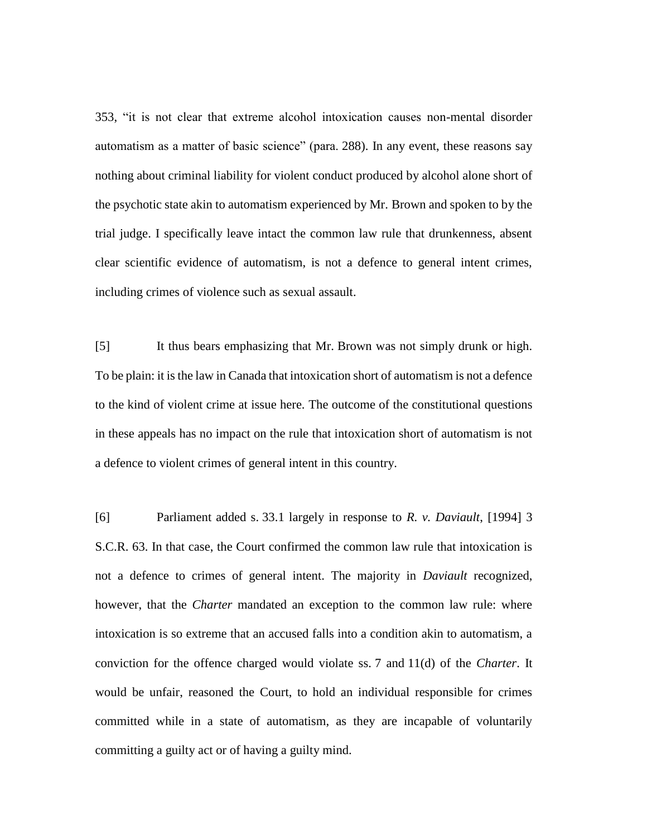353, "it is not clear that extreme alcohol intoxication causes non-mental disorder automatism as a matter of basic science" (para. 288). In any event, these reasons say nothing about criminal liability for violent conduct produced by alcohol alone short of the psychotic state akin to automatism experienced by Mr. Brown and spoken to by the trial judge. I specifically leave intact the common law rule that drunkenness, absent clear scientific evidence of automatism, is not a defence to general intent crimes, including crimes of violence such as sexual assault.

[5] It thus bears emphasizing that Mr. Brown was not simply drunk or high. To be plain: it is the law in Canada that intoxication short of automatism is not a defence to the kind of violent crime at issue here. The outcome of the constitutional questions in these appeals has no impact on the rule that intoxication short of automatism is not a defence to violent crimes of general intent in this country.

[6] Parliament added s. 33.1 largely in response to *R. v. Daviault*, [1994] 3 S.C.R. 63. In that case, the Court confirmed the common law rule that intoxication is not a defence to crimes of general intent. The majority in *Daviault* recognized, however, that the *Charter* mandated an exception to the common law rule: where intoxication is so extreme that an accused falls into a condition akin to automatism, a conviction for the offence charged would violate ss. 7 and 11(d) of the *Charter*. It would be unfair, reasoned the Court, to hold an individual responsible for crimes committed while in a state of automatism, as they are incapable of voluntarily committing a guilty act or of having a guilty mind.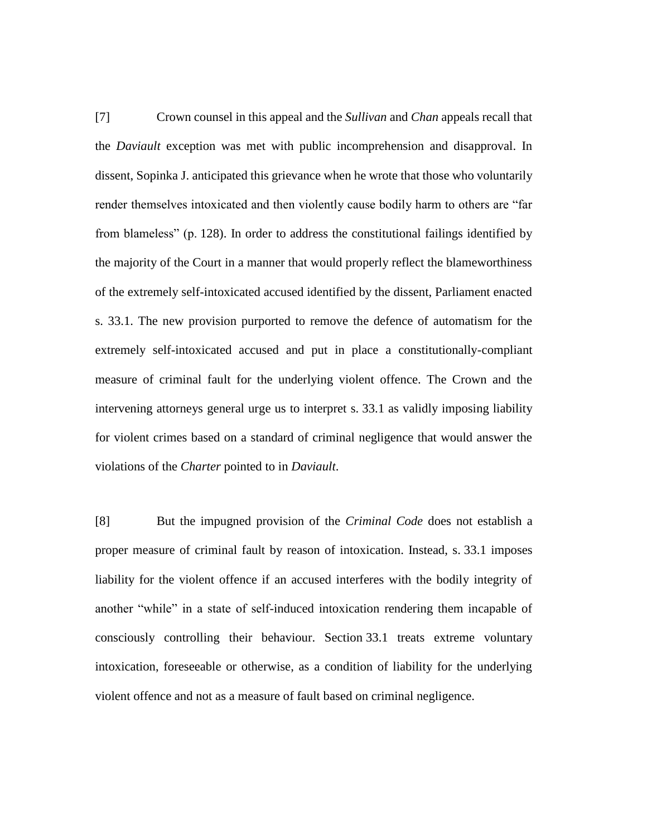[7] Crown counsel in this appeal and the *Sullivan* and *Chan* appeals recall that the *Daviault* exception was met with public incomprehension and disapproval. In dissent, Sopinka J. anticipated this grievance when he wrote that those who voluntarily render themselves intoxicated and then violently cause bodily harm to others are "far from blameless" (p. 128). In order to address the constitutional failings identified by the majority of the Court in a manner that would properly reflect the blameworthiness of the extremely self-intoxicated accused identified by the dissent, Parliament enacted s. 33.1. The new provision purported to remove the defence of automatism for the extremely self-intoxicated accused and put in place a constitutionally-compliant measure of criminal fault for the underlying violent offence. The Crown and the intervening attorneys general urge us to interpret s. 33.1 as validly imposing liability for violent crimes based on a standard of criminal negligence that would answer the violations of the *Charter* pointed to in *Daviault*.

[8] But the impugned provision of the *Criminal Code* does not establish a proper measure of criminal fault by reason of intoxication. Instead, s. 33.1 imposes liability for the violent offence if an accused interferes with the bodily integrity of another "while" in a state of self-induced intoxication rendering them incapable of consciously controlling their behaviour. Section 33.1 treats extreme voluntary intoxication, foreseeable or otherwise, as a condition of liability for the underlying violent offence and not as a measure of fault based on criminal negligence.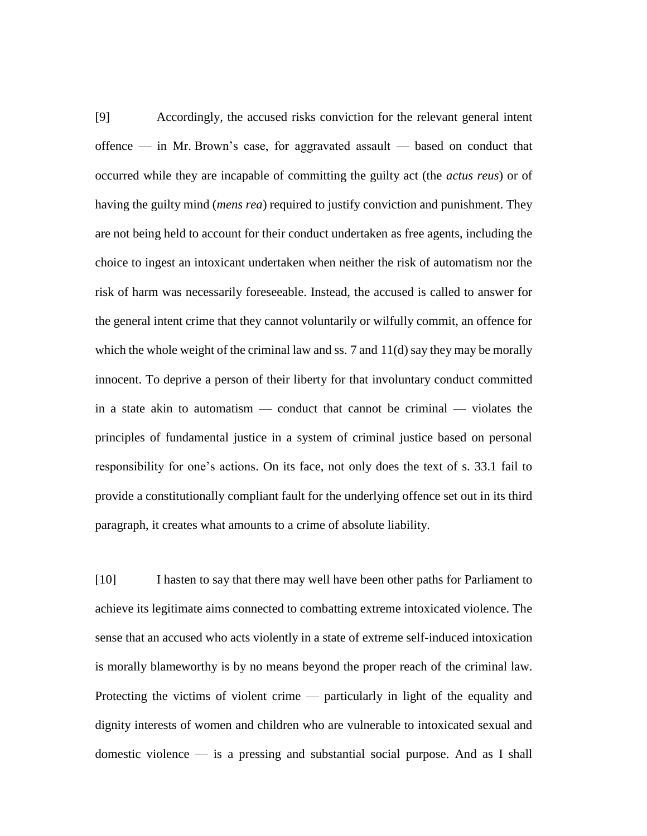[9] Accordingly, the accused risks conviction for the relevant general intent offence — in Mr. Brown's case, for aggravated assault — based on conduct that occurred while they are incapable of committing the guilty act (the *actus reus*) or of having the guilty mind (*mens rea*) required to justify conviction and punishment. They are not being held to account for their conduct undertaken as free agents, including the choice to ingest an intoxicant undertaken when neither the risk of automatism nor the risk of harm was necessarily foreseeable. Instead, the accused is called to answer for the general intent crime that they cannot voluntarily or wilfully commit, an offence for which the whole weight of the criminal law and ss. 7 and 11(d) say they may be morally innocent. To deprive a person of their liberty for that involuntary conduct committed in a state akin to automatism — conduct that cannot be criminal — violates the principles of fundamental justice in a system of criminal justice based on personal responsibility for one's actions. On its face, not only does the text of s. 33.1 fail to provide a constitutionally compliant fault for the underlying offence set out in its third paragraph, it creates what amounts to a crime of absolute liability.

[10] I hasten to say that there may well have been other paths for Parliament to achieve its legitimate aims connected to combatting extreme intoxicated violence. The sense that an accused who acts violently in a state of extreme self-induced intoxication is morally blameworthy is by no means beyond the proper reach of the criminal law. Protecting the victims of violent crime — particularly in light of the equality and dignity interests of women and children who are vulnerable to intoxicated sexual and domestic violence — is a pressing and substantial social purpose. And as I shall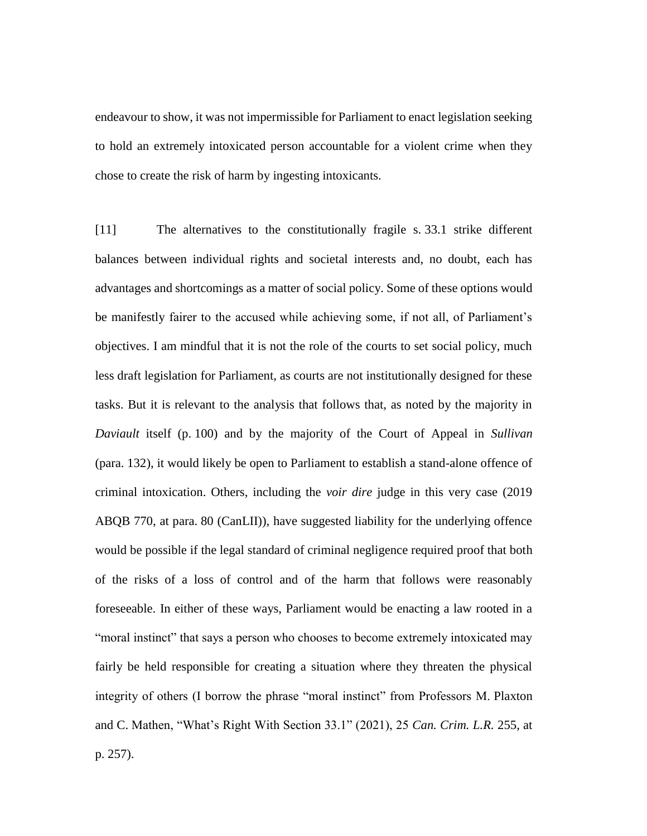endeavour to show, it was not impermissible for Parliament to enact legislation seeking to hold an extremely intoxicated person accountable for a violent crime when they chose to create the risk of harm by ingesting intoxicants.

[11] The alternatives to the constitutionally fragile s. 33.1 strike different balances between individual rights and societal interests and, no doubt, each has advantages and shortcomings as a matter of social policy. Some of these options would be manifestly fairer to the accused while achieving some, if not all, of Parliament's objectives. I am mindful that it is not the role of the courts to set social policy, much less draft legislation for Parliament, as courts are not institutionally designed for these tasks. But it is relevant to the analysis that follows that, as noted by the majority in *Daviault* itself (p. 100) and by the majority of the Court of Appeal in *Sullivan* (para. 132), it would likely be open to Parliament to establish a stand-alone offence of criminal intoxication. Others, including the *voir dire* judge in this very case (2019 ABQB 770, at para. 80 (CanLII)), have suggested liability for the underlying offence would be possible if the legal standard of criminal negligence required proof that both of the risks of a loss of control and of the harm that follows were reasonably foreseeable. In either of these ways, Parliament would be enacting a law rooted in a "moral instinct" that says a person who chooses to become extremely intoxicated may fairly be held responsible for creating a situation where they threaten the physical integrity of others (I borrow the phrase "moral instinct" from Professors M. Plaxton and C. Mathen, "What's Right With Section 33.1" (2021), 25 *Can. Crim. L.R.* 255, at p. 257).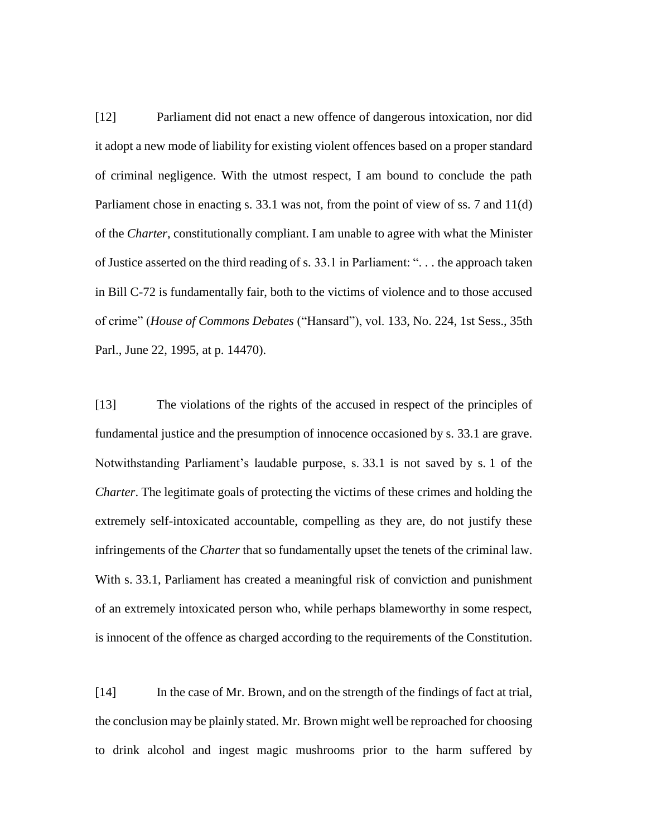[12] Parliament did not enact a new offence of dangerous intoxication, nor did it adopt a new mode of liability for existing violent offences based on a proper standard of criminal negligence. With the utmost respect, I am bound to conclude the path Parliament chose in enacting s. 33.1 was not, from the point of view of ss. 7 and 11(d) of the *Charter*, constitutionally compliant. I am unable to agree with what the Minister of Justice asserted on the third reading of s. 33.1 in Parliament: ". . . the approach taken in Bill C-72 is fundamentally fair, both to the victims of violence and to those accused of crime" (*House of Commons Debates* ("Hansard"), vol. 133, No. 224, 1st Sess., 35th Parl., June 22, 1995, at p. 14470).

[13] The violations of the rights of the accused in respect of the principles of fundamental justice and the presumption of innocence occasioned by s. 33.1 are grave. Notwithstanding Parliament's laudable purpose, s. 33.1 is not saved by s. 1 of the *Charter*. The legitimate goals of protecting the victims of these crimes and holding the extremely self-intoxicated accountable, compelling as they are, do not justify these infringements of the *Charter* that so fundamentally upset the tenets of the criminal law. With s. 33.1, Parliament has created a meaningful risk of conviction and punishment of an extremely intoxicated person who, while perhaps blameworthy in some respect, is innocent of the offence as charged according to the requirements of the Constitution.

[14] In the case of Mr. Brown, and on the strength of the findings of fact at trial, the conclusion may be plainly stated. Mr. Brown might well be reproached for choosing to drink alcohol and ingest magic mushrooms prior to the harm suffered by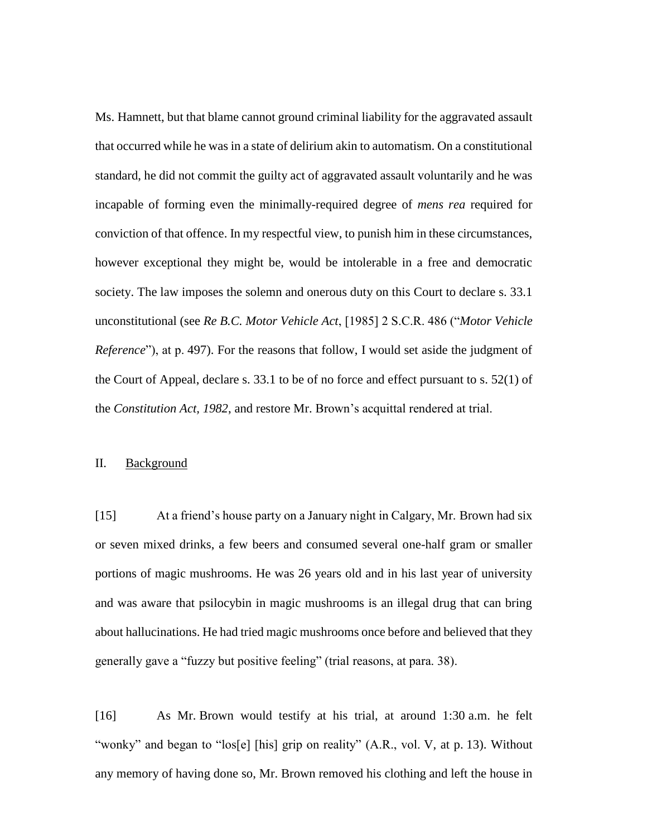Ms. Hamnett, but that blame cannot ground criminal liability for the aggravated assault that occurred while he was in a state of delirium akin to automatism. On a constitutional standard, he did not commit the guilty act of aggravated assault voluntarily and he was incapable of forming even the minimally-required degree of *mens rea* required for conviction of that offence. In my respectful view, to punish him in these circumstances, however exceptional they might be, would be intolerable in a free and democratic society. The law imposes the solemn and onerous duty on this Court to declare s. 33.1 unconstitutional (see *Re B.C. Motor Vehicle Act*, [1985] 2 S.C.R. 486 ("*Motor Vehicle Reference*"), at p. 497). For the reasons that follow, I would set aside the judgment of the Court of Appeal, declare s. 33.1 to be of no force and effect pursuant to s. 52(1) of the *Constitution Act, 1982*, and restore Mr. Brown's acquittal rendered at trial.

#### II. Background

[15] At a friend's house party on a January night in Calgary, Mr. Brown had six or seven mixed drinks, a few beers and consumed several one-half gram or smaller portions of magic mushrooms. He was 26 years old and in his last year of university and was aware that psilocybin in magic mushrooms is an illegal drug that can bring about hallucinations. He had tried magic mushrooms once before and believed that they generally gave a "fuzzy but positive feeling" (trial reasons, at para. 38).

[16] As Mr. Brown would testify at his trial, at around 1:30 a.m. he felt "wonky" and began to "los[e] [his] grip on reality" (A.R., vol. V, at p. 13). Without any memory of having done so, Mr. Brown removed his clothing and left the house in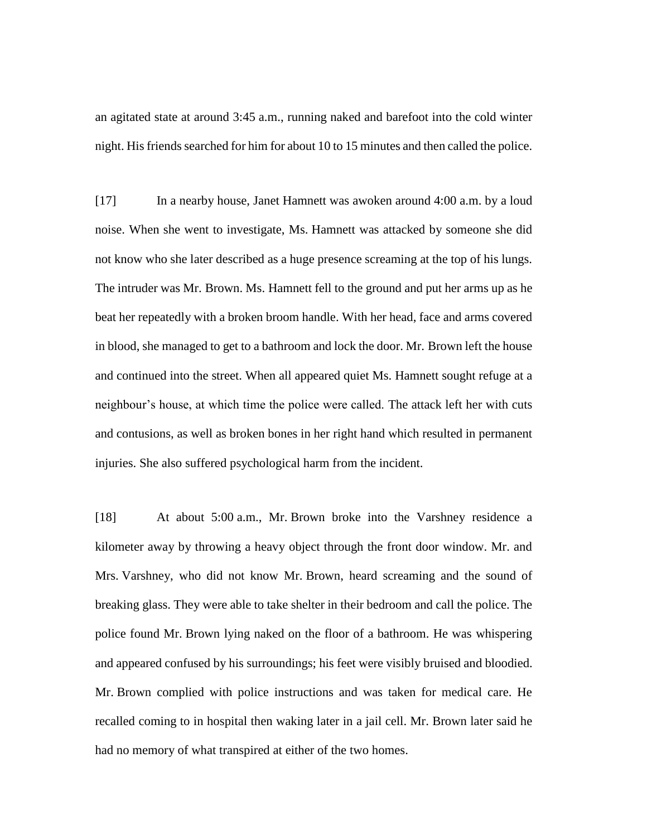an agitated state at around 3:45 a.m., running naked and barefoot into the cold winter night. His friends searched for him for about 10 to 15 minutes and then called the police.

[17] In a nearby house, Janet Hamnett was awoken around 4:00 a.m. by a loud noise. When she went to investigate, Ms. Hamnett was attacked by someone she did not know who she later described as a huge presence screaming at the top of his lungs. The intruder was Mr. Brown. Ms. Hamnett fell to the ground and put her arms up as he beat her repeatedly with a broken broom handle. With her head, face and arms covered in blood, she managed to get to a bathroom and lock the door. Mr. Brown left the house and continued into the street. When all appeared quiet Ms. Hamnett sought refuge at a neighbour's house, at which time the police were called. The attack left her with cuts and contusions, as well as broken bones in her right hand which resulted in permanent injuries. She also suffered psychological harm from the incident.

[18] At about 5:00 a.m., Mr. Brown broke into the Varshney residence a kilometer away by throwing a heavy object through the front door window. Mr. and Mrs. Varshney, who did not know Mr. Brown, heard screaming and the sound of breaking glass. They were able to take shelter in their bedroom and call the police. The police found Mr. Brown lying naked on the floor of a bathroom. He was whispering and appeared confused by his surroundings; his feet were visibly bruised and bloodied. Mr. Brown complied with police instructions and was taken for medical care. He recalled coming to in hospital then waking later in a jail cell. Mr. Brown later said he had no memory of what transpired at either of the two homes.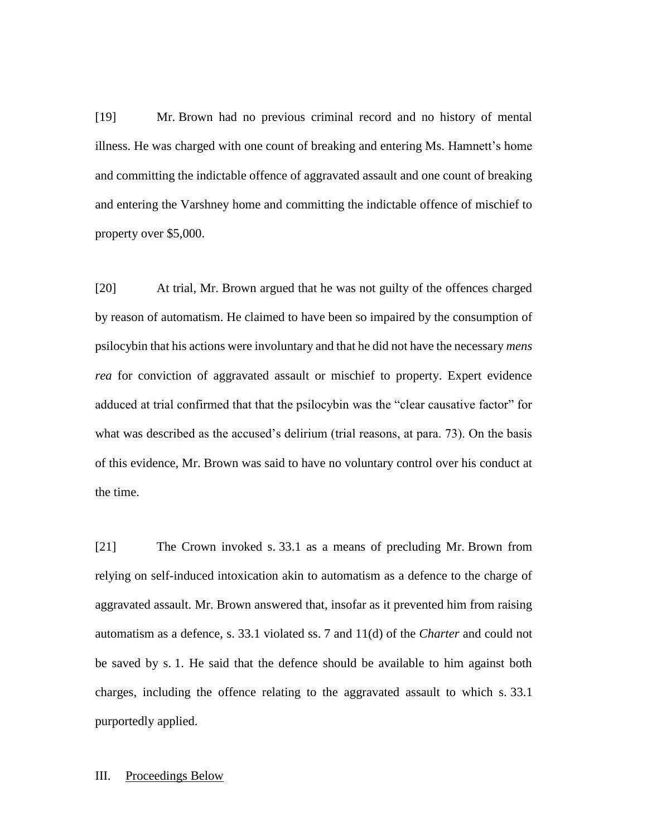[19] Mr. Brown had no previous criminal record and no history of mental illness. He was charged with one count of breaking and entering Ms. Hamnett's home and committing the indictable offence of aggravated assault and one count of breaking and entering the Varshney home and committing the indictable offence of mischief to property over \$5,000.

[20] At trial, Mr. Brown argued that he was not guilty of the offences charged by reason of automatism. He claimed to have been so impaired by the consumption of psilocybin that his actions were involuntary and that he did not have the necessary *mens rea* for conviction of aggravated assault or mischief to property. Expert evidence adduced at trial confirmed that that the psilocybin was the "clear causative factor" for what was described as the accused's delirium (trial reasons, at para. 73). On the basis of this evidence, Mr. Brown was said to have no voluntary control over his conduct at the time.

[21] The Crown invoked s. 33.1 as a means of precluding Mr. Brown from relying on self-induced intoxication akin to automatism as a defence to the charge of aggravated assault. Mr. Brown answered that, insofar as it prevented him from raising automatism as a defence, s. 33.1 violated ss. 7 and 11(d) of the *Charter* and could not be saved by s. 1. He said that the defence should be available to him against both charges, including the offence relating to the aggravated assault to which s. 33.1 purportedly applied.

#### III. Proceedings Below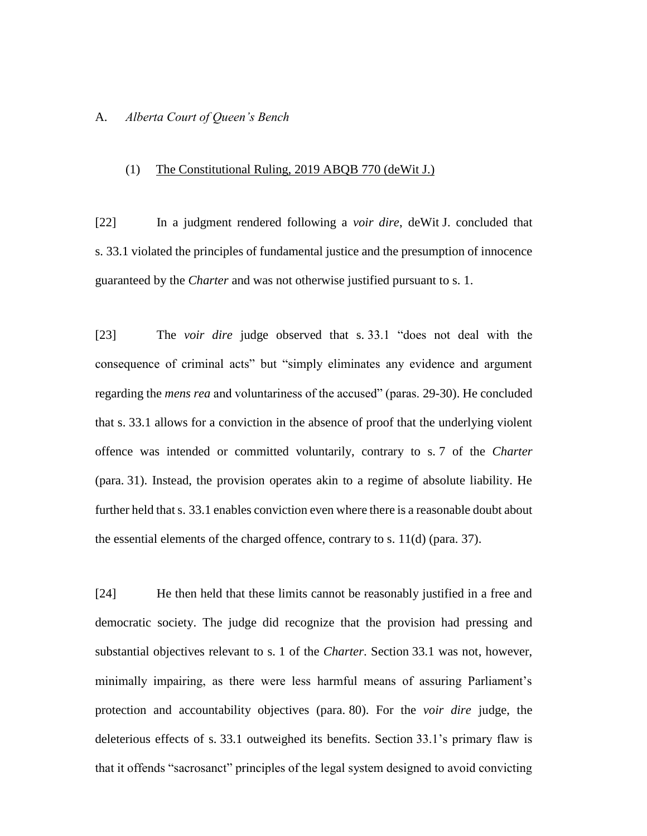### A. *Alberta Court of Queen's Bench*

### (1) The Constitutional Ruling, 2019 ABQB 770 (deWit J.)

[22] In a judgment rendered following a *voir dire*, deWit J. concluded that s. 33.1 violated the principles of fundamental justice and the presumption of innocence guaranteed by the *Charter* and was not otherwise justified pursuant to s. 1.

[23] The *voir dire* judge observed that s. 33.1 "does not deal with the consequence of criminal acts" but "simply eliminates any evidence and argument regarding the *mens rea* and voluntariness of the accused" (paras. 29-30). He concluded that s. 33.1 allows for a conviction in the absence of proof that the underlying violent offence was intended or committed voluntarily, contrary to s. 7 of the *Charter* (para. 31). Instead, the provision operates akin to a regime of absolute liability. He further held that s. 33.1 enables conviction even where there is a reasonable doubt about the essential elements of the charged offence, contrary to s. 11(d) (para. 37).

[24] He then held that these limits cannot be reasonably justified in a free and democratic society. The judge did recognize that the provision had pressing and substantial objectives relevant to s. 1 of the *Charter*. Section 33.1 was not, however, minimally impairing, as there were less harmful means of assuring Parliament's protection and accountability objectives (para. 80). For the *voir dire* judge, the deleterious effects of s. 33.1 outweighed its benefits. Section 33.1's primary flaw is that it offends "sacrosanct" principles of the legal system designed to avoid convicting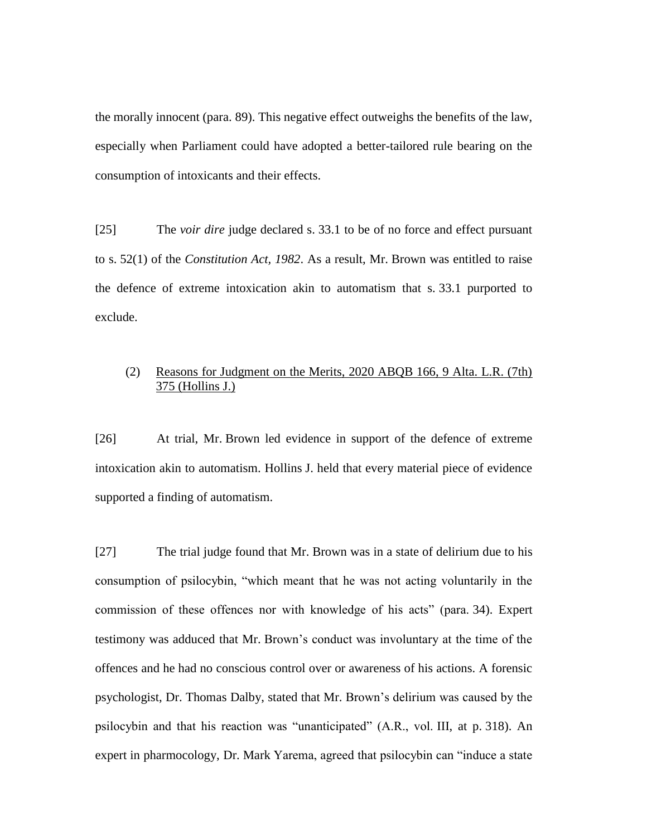the morally innocent (para. 89). This negative effect outweighs the benefits of the law, especially when Parliament could have adopted a better-tailored rule bearing on the consumption of intoxicants and their effects.

[25] The *voir dire* judge declared s. 33.1 to be of no force and effect pursuant to s. 52(1) of the *Constitution Act, 1982*. As a result, Mr. Brown was entitled to raise the defence of extreme intoxication akin to automatism that s. 33.1 purported to exclude.

## (2) Reasons for Judgment on the Merits, 2020 ABQB 166, 9 Alta. L.R. (7th) 375 (Hollins J.)

[26] At trial, Mr. Brown led evidence in support of the defence of extreme intoxication akin to automatism. Hollins J. held that every material piece of evidence supported a finding of automatism.

[27] The trial judge found that Mr. Brown was in a state of delirium due to his consumption of psilocybin, "which meant that he was not acting voluntarily in the commission of these offences nor with knowledge of his acts" (para. 34). Expert testimony was adduced that Mr. Brown's conduct was involuntary at the time of the offences and he had no conscious control over or awareness of his actions. A forensic psychologist, Dr. Thomas Dalby, stated that Mr. Brown's delirium was caused by the psilocybin and that his reaction was "unanticipated" (A.R., vol. III, at p. 318). An expert in pharmocology, Dr. Mark Yarema, agreed that psilocybin can "induce a state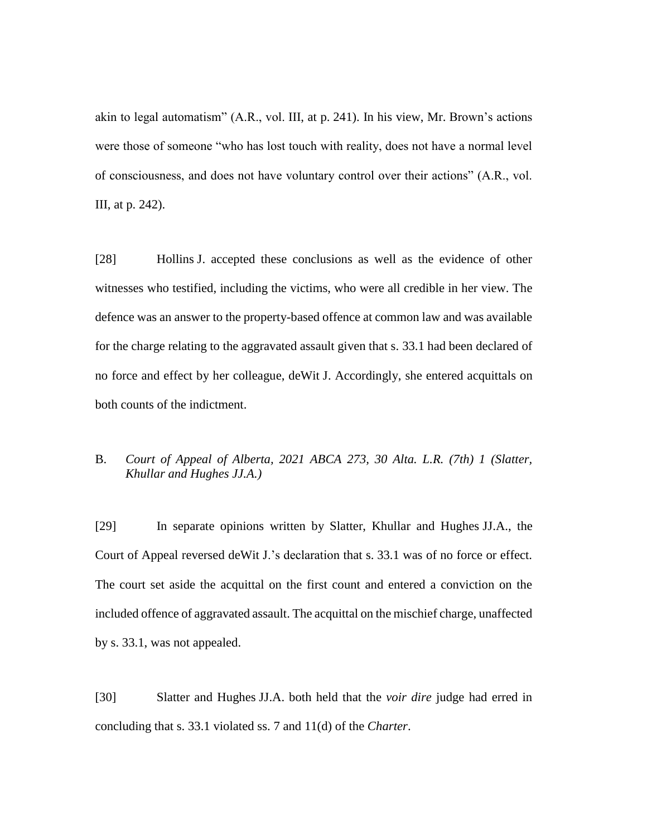akin to legal automatism" (A.R., vol. III, at p. 241). In his view, Mr. Brown's actions were those of someone "who has lost touch with reality, does not have a normal level of consciousness, and does not have voluntary control over their actions" (A.R., vol. III, at p. 242).

[28] Hollins J. accepted these conclusions as well as the evidence of other witnesses who testified, including the victims, who were all credible in her view. The defence was an answer to the property-based offence at common law and was available for the charge relating to the aggravated assault given that s. 33.1 had been declared of no force and effect by her colleague, deWit J. Accordingly, she entered acquittals on both counts of the indictment.

# B. *Court of Appeal of Alberta, 2021 ABCA 273, 30 Alta. L.R. (7th) 1 (Slatter, Khullar and Hughes JJ.A.)*

[29] In separate opinions written by Slatter, Khullar and Hughes JJ.A., the Court of Appeal reversed deWit J.'s declaration that s. 33.1 was of no force or effect. The court set aside the acquittal on the first count and entered a conviction on the included offence of aggravated assault. The acquittal on the mischief charge, unaffected by s. 33.1, was not appealed.

[30] Slatter and Hughes JJ.A. both held that the *voir dire* judge had erred in concluding that s. 33.1 violated ss. 7 and 11(d) of the *Charter*.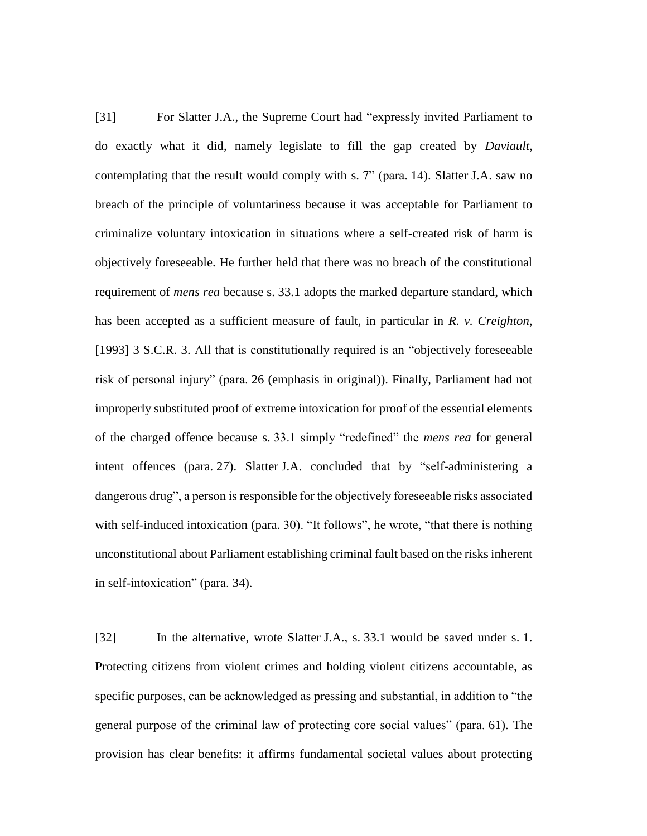[31] For Slatter J.A., the Supreme Court had "expressly invited Parliament to do exactly what it did, namely legislate to fill the gap created by *Daviault*, contemplating that the result would comply with s. 7" (para. 14). Slatter J.A. saw no breach of the principle of voluntariness because it was acceptable for Parliament to criminalize voluntary intoxication in situations where a self-created risk of harm is objectively foreseeable. He further held that there was no breach of the constitutional requirement of *mens rea* because s. 33.1 adopts the marked departure standard, which has been accepted as a sufficient measure of fault, in particular in *R. v. Creighton*, [1993] 3 S.C.R. 3. All that is constitutionally required is an "objectively foreseeable risk of personal injury" (para. 26 (emphasis in original)). Finally, Parliament had not improperly substituted proof of extreme intoxication for proof of the essential elements of the charged offence because s. 33.1 simply "redefined" the *mens rea* for general intent offences (para. 27). Slatter J.A. concluded that by "self-administering a dangerous drug", a person is responsible for the objectively foreseeable risks associated with self-induced intoxication (para. 30). "It follows", he wrote, "that there is nothing unconstitutional about Parliament establishing criminal fault based on the risks inherent in self-intoxication" (para. 34).

[32] In the alternative, wrote Slatter J.A., s. 33.1 would be saved under s. 1. Protecting citizens from violent crimes and holding violent citizens accountable, as specific purposes, can be acknowledged as pressing and substantial, in addition to "the general purpose of the criminal law of protecting core social values" (para. 61). The provision has clear benefits: it affirms fundamental societal values about protecting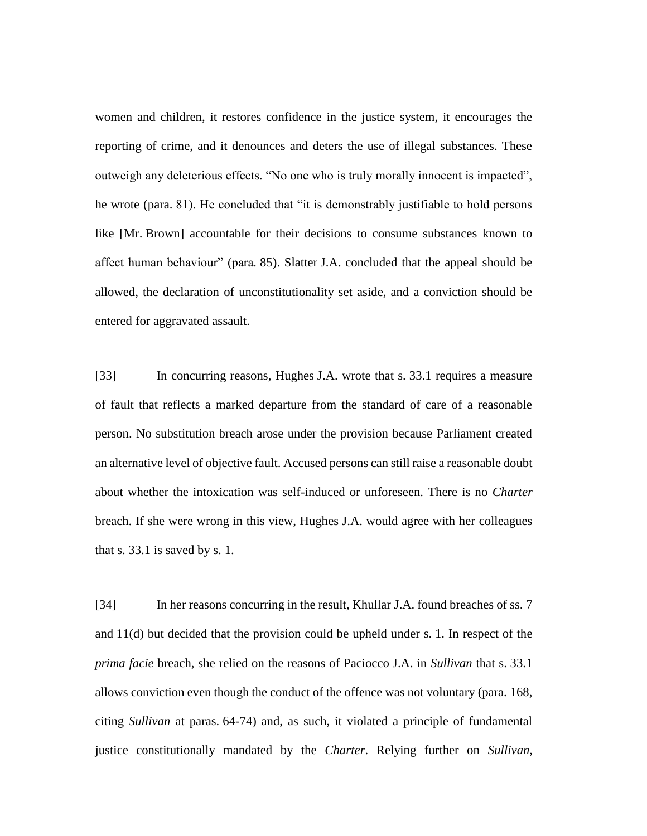women and children, it restores confidence in the justice system, it encourages the reporting of crime, and it denounces and deters the use of illegal substances. These outweigh any deleterious effects. "No one who is truly morally innocent is impacted", he wrote (para. 81). He concluded that "it is demonstrably justifiable to hold persons like [Mr. Brown] accountable for their decisions to consume substances known to affect human behaviour" (para. 85). Slatter J.A. concluded that the appeal should be allowed, the declaration of unconstitutionality set aside, and a conviction should be entered for aggravated assault.

[33] In concurring reasons, Hughes J.A. wrote that s. 33.1 requires a measure of fault that reflects a marked departure from the standard of care of a reasonable person. No substitution breach arose under the provision because Parliament created an alternative level of objective fault. Accused persons can still raise a reasonable doubt about whether the intoxication was self-induced or unforeseen. There is no *Charter* breach. If she were wrong in this view, Hughes J.A. would agree with her colleagues that s. 33.1 is saved by s. 1.

[34] In her reasons concurring in the result, Khullar J.A. found breaches of ss. 7 and 11(d) but decided that the provision could be upheld under s. 1. In respect of the *prima facie* breach, she relied on the reasons of Paciocco J.A. in *Sullivan* that s. 33.1 allows conviction even though the conduct of the offence was not voluntary (para. 168, citing *Sullivan* at paras. 64-74) and, as such, it violated a principle of fundamental justice constitutionally mandated by the *Charter*. Relying further on *Sullivan*,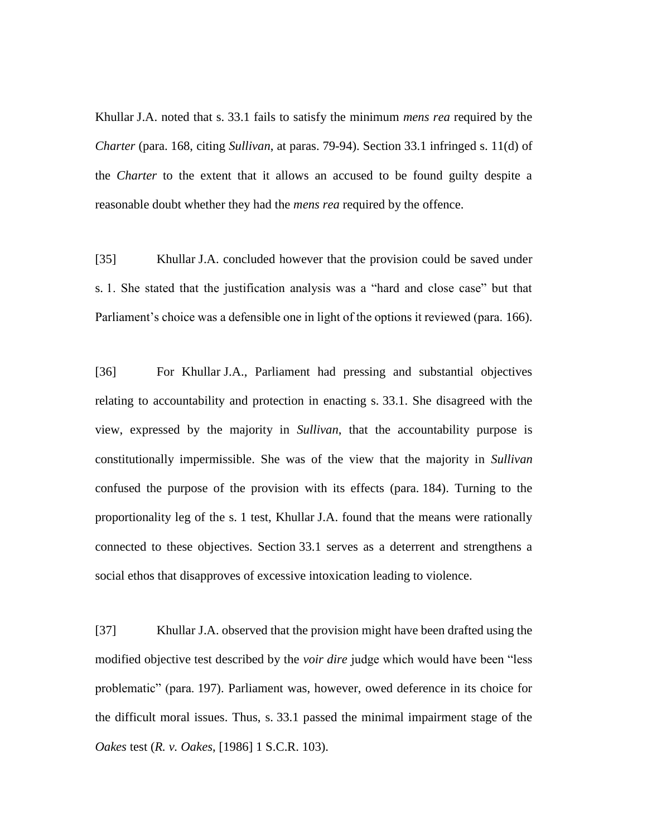Khullar J.A. noted that s. 33.1 fails to satisfy the minimum *mens rea* required by the *Charter* (para. 168, citing *Sullivan*, at paras. 79-94). Section 33.1 infringed s. 11(d) of the *Charter* to the extent that it allows an accused to be found guilty despite a reasonable doubt whether they had the *mens rea* required by the offence.

[35] Khullar J.A. concluded however that the provision could be saved under s. 1. She stated that the justification analysis was a "hard and close case" but that Parliament's choice was a defensible one in light of the options it reviewed (para. 166).

[36] For Khullar J.A., Parliament had pressing and substantial objectives relating to accountability and protection in enacting s. 33.1. She disagreed with the view, expressed by the majority in *Sullivan*, that the accountability purpose is constitutionally impermissible. She was of the view that the majority in *Sullivan*  confused the purpose of the provision with its effects (para. 184). Turning to the proportionality leg of the s. 1 test, Khullar J.A. found that the means were rationally connected to these objectives. Section 33.1 serves as a deterrent and strengthens a social ethos that disapproves of excessive intoxication leading to violence.

[37] Khullar J.A. observed that the provision might have been drafted using the modified objective test described by the *voir dire* judge which would have been "less problematic" (para. 197). Parliament was, however, owed deference in its choice for the difficult moral issues. Thus, s. 33.1 passed the minimal impairment stage of the *Oakes* test (*R. v. Oakes*, [1986] 1 S.C.R. 103).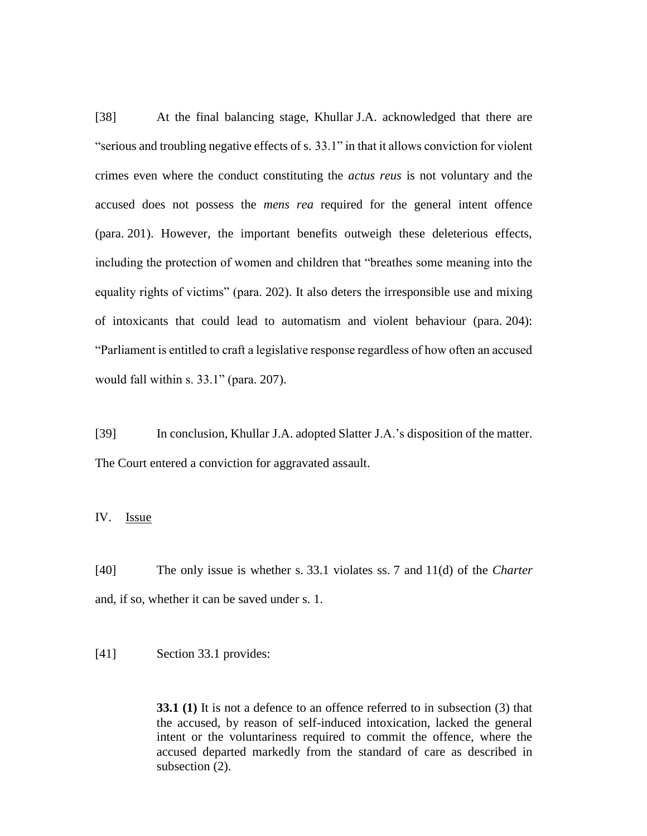[38] At the final balancing stage, Khullar J.A. acknowledged that there are "serious and troubling negative effects of s. 33.1" in that it allows conviction for violent crimes even where the conduct constituting the *actus reus* is not voluntary and the accused does not possess the *mens rea* required for the general intent offence (para. 201). However, the important benefits outweigh these deleterious effects, including the protection of women and children that "breathes some meaning into the equality rights of victims" (para. 202). It also deters the irresponsible use and mixing of intoxicants that could lead to automatism and violent behaviour (para. 204): "Parliament is entitled to craft a legislative response regardless of how often an accused would fall within s. 33.1" (para. 207).

[39] In conclusion, Khullar J.A. adopted Slatter J.A.'s disposition of the matter. The Court entered a conviction for aggravated assault.

IV. Issue

[40] The only issue is whether s. 33.1 violates ss. 7 and 11(d) of the *Charter*  and, if so, whether it can be saved under s. 1.

[41] Section 33.1 provides:

**33.1 (1)** It is not a defence to an offence referred to in subsection (3) that the accused, by reason of self-induced intoxication, lacked the general intent or the voluntariness required to commit the offence, where the accused departed markedly from the standard of care as described in subsection  $(2)$ .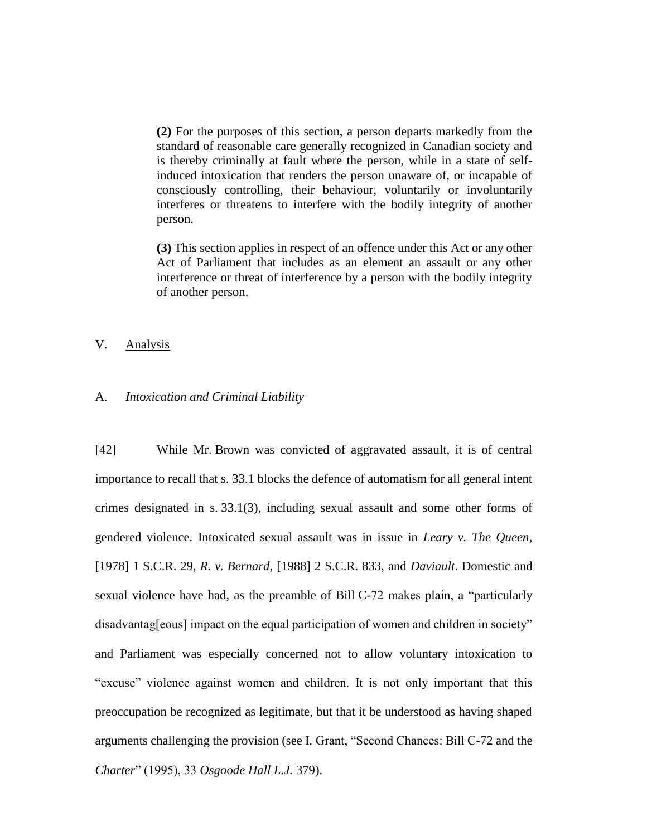**(2)** For the purposes of this section, a person departs markedly from the standard of reasonable care generally recognized in Canadian society and is thereby criminally at fault where the person, while in a state of selfinduced intoxication that renders the person unaware of, or incapable of consciously controlling, their behaviour, voluntarily or involuntarily interferes or threatens to interfere with the bodily integrity of another person.

**(3)** This section applies in respect of an offence under this Act or any other Act of Parliament that includes as an element an assault or any other interference or threat of interference by a person with the bodily integrity of another person.

V. Analysis

#### A. *Intoxication and Criminal Liability*

[42] While Mr. Brown was convicted of aggravated assault, it is of central importance to recall that s. 33.1 blocks the defence of automatism for all general intent crimes designated in s. 33.1(3), including sexual assault and some other forms of gendered violence. Intoxicated sexual assault was in issue in *Leary v. The Queen*, [1978] 1 S.C.R. 29, *R. v. Bernard*, [1988] 2 S.C.R. 833, and *Daviault*. Domestic and sexual violence have had, as the preamble of Bill C-72 makes plain, a "particularly disadvantag[eous] impact on the equal participation of women and children in society" and Parliament was especially concerned not to allow voluntary intoxication to "excuse" violence against women and children. It is not only important that this preoccupation be recognized as legitimate, but that it be understood as having shaped arguments challenging the provision (see I. Grant, "Second Chances: Bill C-72 and the *Charter*" (1995), 33 *Osgoode Hall L.J.* 379).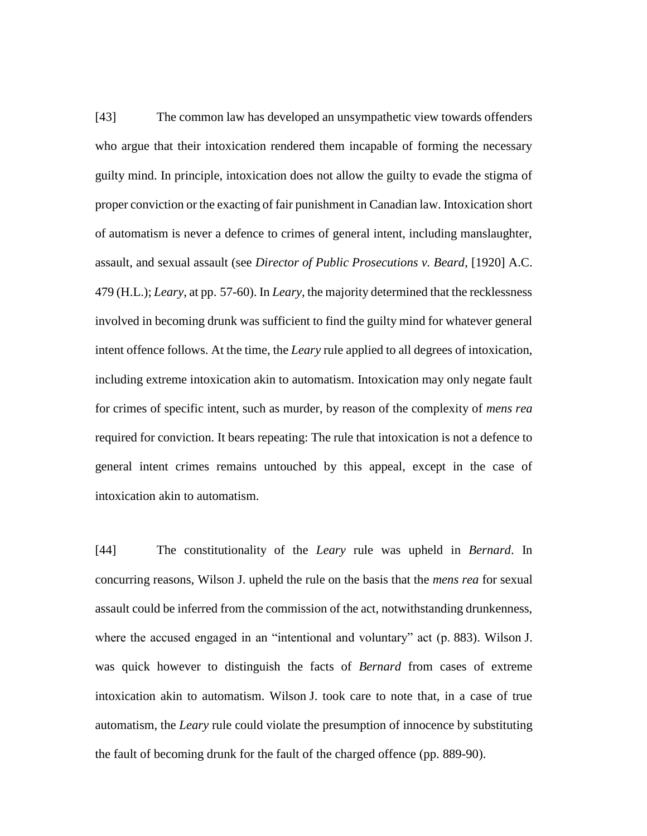[43] The common law has developed an unsympathetic view towards offenders who argue that their intoxication rendered them incapable of forming the necessary guilty mind. In principle, intoxication does not allow the guilty to evade the stigma of proper conviction or the exacting of fair punishment in Canadian law. Intoxication short of automatism is never a defence to crimes of general intent, including manslaughter, assault, and sexual assault (see *Director of Public Prosecutions v. Beard*, [1920] A.C. 479 (H.L.); *Leary*, at pp. 57-60). In *Leary*, the majority determined that the recklessness involved in becoming drunk was sufficient to find the guilty mind for whatever general intent offence follows. At the time, the *Leary* rule applied to all degrees of intoxication, including extreme intoxication akin to automatism. Intoxication may only negate fault for crimes of specific intent, such as murder, by reason of the complexity of *mens rea* required for conviction. It bears repeating: The rule that intoxication is not a defence to general intent crimes remains untouched by this appeal, except in the case of intoxication akin to automatism.

[44] The constitutionality of the *Leary* rule was upheld in *Bernard*. In concurring reasons, Wilson J. upheld the rule on the basis that the *mens rea* for sexual assault could be inferred from the commission of the act, notwithstanding drunkenness, where the accused engaged in an "intentional and voluntary" act (p. 883). Wilson J. was quick however to distinguish the facts of *Bernard* from cases of extreme intoxication akin to automatism. Wilson J. took care to note that, in a case of true automatism, the *Leary* rule could violate the presumption of innocence by substituting the fault of becoming drunk for the fault of the charged offence (pp. 889-90).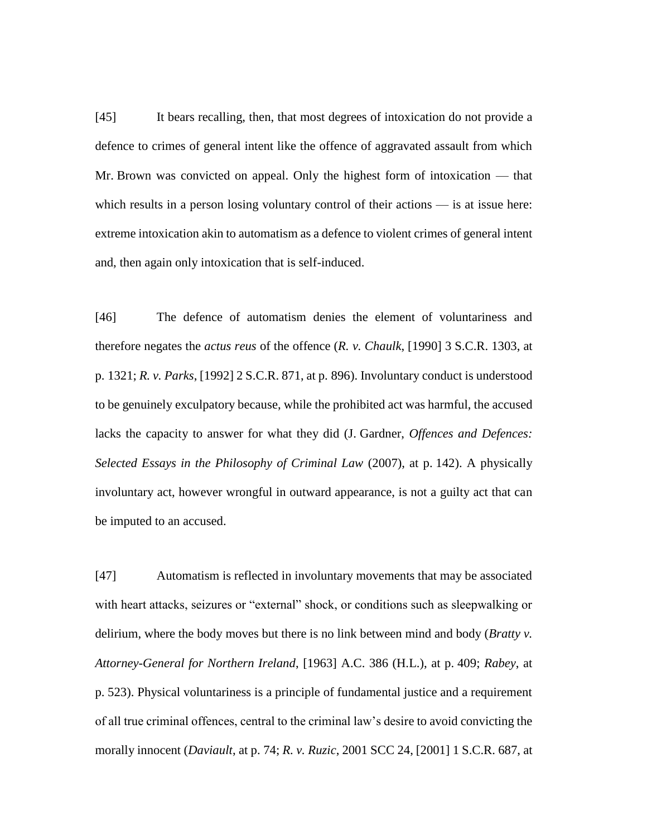[45] It bears recalling, then, that most degrees of intoxication do not provide a defence to crimes of general intent like the offence of aggravated assault from which Mr. Brown was convicted on appeal. Only the highest form of intoxication — that which results in a person losing voluntary control of their actions — is at issue here: extreme intoxication akin to automatism as a defence to violent crimes of general intent and, then again only intoxication that is self-induced.

[46] The defence of automatism denies the element of voluntariness and therefore negates the *actus reus* of the offence (*R. v. Chaulk*, [1990] 3 S.C.R. 1303, at p. 1321; *R. v. Parks*, [1992] 2 S.C.R. 871, at p. 896). Involuntary conduct is understood to be genuinely exculpatory because, while the prohibited act was harmful, the accused lacks the capacity to answer for what they did (J. Gardner, *Offences and Defences: Selected Essays in the Philosophy of Criminal Law* (2007), at p. 142). A physically involuntary act, however wrongful in outward appearance, is not a guilty act that can be imputed to an accused.

[47] Automatism is reflected in involuntary movements that may be associated with heart attacks, seizures or "external" shock, or conditions such as sleepwalking or delirium, where the body moves but there is no link between mind and body (*Bratty v. Attorney-General for Northern Ireland*, [1963] A.C. 386 (H.L.), at p. 409; *Rabey*, at p. 523). Physical voluntariness is a principle of fundamental justice and a requirement of all true criminal offences, central to the criminal law's desire to avoid convicting the morally innocent (*Daviault*, at p. 74; *R. v. Ruzic*, 2001 SCC 24, [2001] 1 S.C.R. 687, at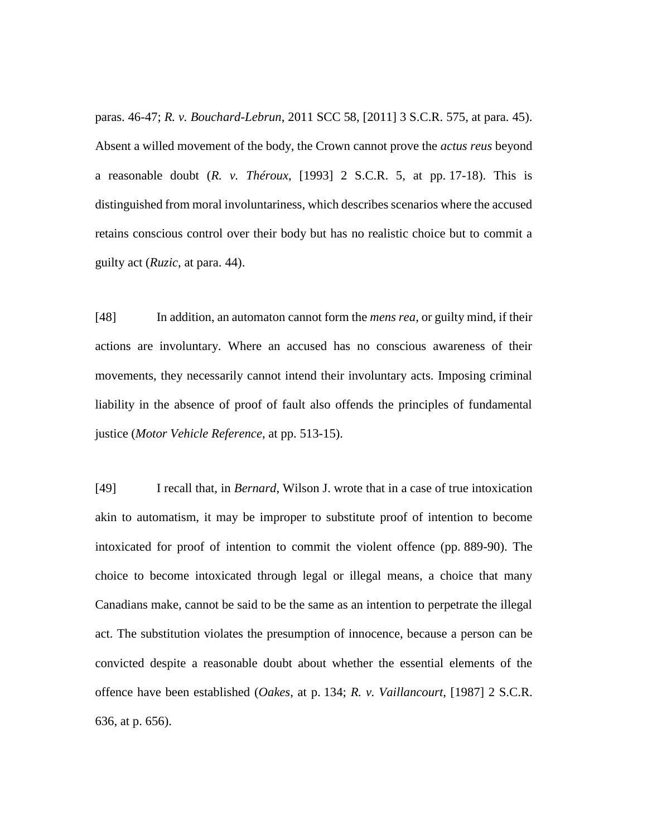paras. 46-47; *R. v. Bouchard-Lebrun*, 2011 SCC 58, [2011] 3 S.C.R. 575, at para. 45). Absent a willed movement of the body, the Crown cannot prove the *actus reus* beyond a reasonable doubt (*R. v. Théroux*, [1993] 2 S.C.R. 5, at pp. 17-18). This is distinguished from moral involuntariness, which describes scenarios where the accused retains conscious control over their body but has no realistic choice but to commit a guilty act (*Ruzic*, at para. 44).

[48] In addition, an automaton cannot form the *mens rea*, or guilty mind, if their actions are involuntary. Where an accused has no conscious awareness of their movements, they necessarily cannot intend their involuntary acts. Imposing criminal liability in the absence of proof of fault also offends the principles of fundamental justice (*Motor Vehicle Reference*, at pp. 513-15).

[49] I recall that, in *Bernard*, Wilson J. wrote that in a case of true intoxication akin to automatism, it may be improper to substitute proof of intention to become intoxicated for proof of intention to commit the violent offence (pp. 889-90). The choice to become intoxicated through legal or illegal means, a choice that many Canadians make, cannot be said to be the same as an intention to perpetrate the illegal act. The substitution violates the presumption of innocence, because a person can be convicted despite a reasonable doubt about whether the essential elements of the offence have been established (*Oakes*, at p. 134; *R. v. Vaillancourt*, [1987] 2 S.C.R. 636, at p. 656).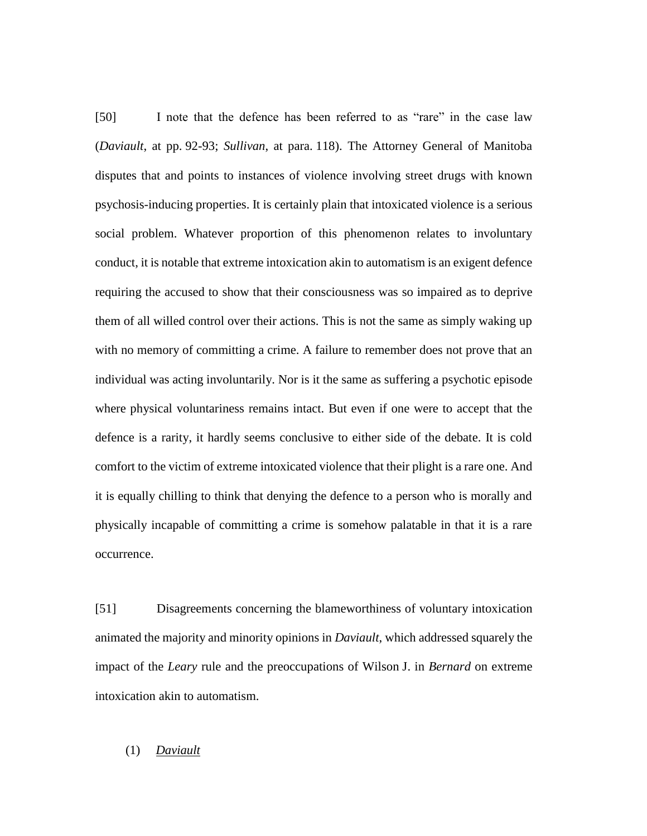[50] I note that the defence has been referred to as "rare" in the case law (*Daviault*, at pp. 92-93; *Sullivan*, at para. 118). The Attorney General of Manitoba disputes that and points to instances of violence involving street drugs with known psychosis-inducing properties. It is certainly plain that intoxicated violence is a serious social problem. Whatever proportion of this phenomenon relates to involuntary conduct, it is notable that extreme intoxication akin to automatism is an exigent defence requiring the accused to show that their consciousness was so impaired as to deprive them of all willed control over their actions. This is not the same as simply waking up with no memory of committing a crime. A failure to remember does not prove that an individual was acting involuntarily. Nor is it the same as suffering a psychotic episode where physical voluntariness remains intact. But even if one were to accept that the defence is a rarity, it hardly seems conclusive to either side of the debate. It is cold comfort to the victim of extreme intoxicated violence that their plight is a rare one. And it is equally chilling to think that denying the defence to a person who is morally and physically incapable of committing a crime is somehow palatable in that it is a rare occurrence.

[51] Disagreements concerning the blameworthiness of voluntary intoxication animated the majority and minority opinions in *Daviault*, which addressed squarely the impact of the *Leary* rule and the preoccupations of Wilson J. in *Bernard* on extreme intoxication akin to automatism.

# (1) *Daviault*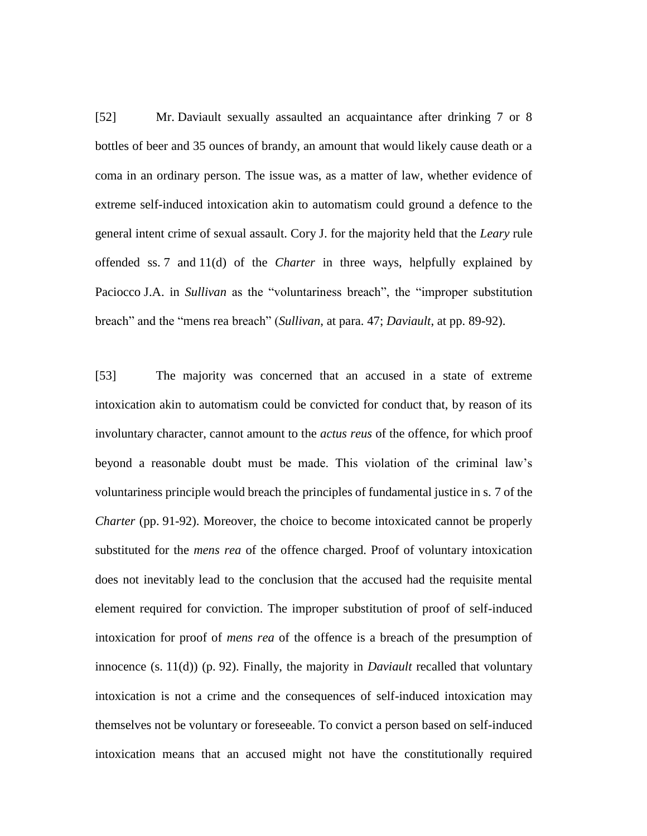[52] Mr. Daviault sexually assaulted an acquaintance after drinking 7 or 8 bottles of beer and 35 ounces of brandy, an amount that would likely cause death or a coma in an ordinary person. The issue was, as a matter of law, whether evidence of extreme self-induced intoxication akin to automatism could ground a defence to the general intent crime of sexual assault. Cory J. for the majority held that the *Leary* rule offended ss. 7 and 11(d) of the *Charter* in three ways, helpfully explained by Paciocco J.A. in *Sullivan* as the "voluntariness breach", the "improper substitution breach" and the "mens rea breach" (*Sullivan*, at para. 47; *Daviault*, at pp. 89-92).

[53] The majority was concerned that an accused in a state of extreme intoxication akin to automatism could be convicted for conduct that, by reason of its involuntary character, cannot amount to the *actus reus* of the offence, for which proof beyond a reasonable doubt must be made. This violation of the criminal law's voluntariness principle would breach the principles of fundamental justice in s. 7 of the *Charter* (pp. 91-92). Moreover, the choice to become intoxicated cannot be properly substituted for the *mens rea* of the offence charged. Proof of voluntary intoxication does not inevitably lead to the conclusion that the accused had the requisite mental element required for conviction. The improper substitution of proof of self-induced intoxication for proof of *mens rea* of the offence is a breach of the presumption of innocence (s. 11(d)) (p. 92). Finally, the majority in *Daviault* recalled that voluntary intoxication is not a crime and the consequences of self-induced intoxication may themselves not be voluntary or foreseeable. To convict a person based on self-induced intoxication means that an accused might not have the constitutionally required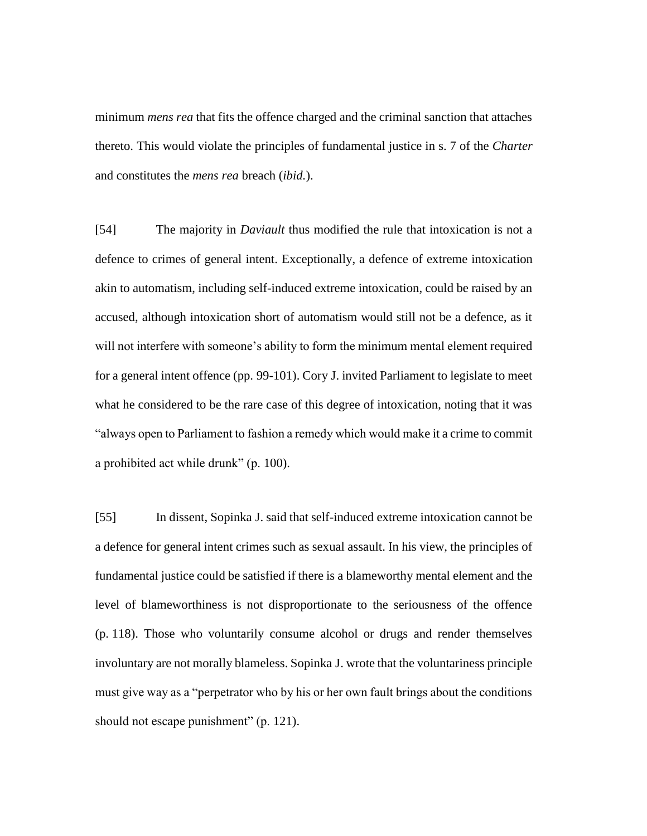minimum *mens rea* that fits the offence charged and the criminal sanction that attaches thereto. This would violate the principles of fundamental justice in s. 7 of the *Charter* and constitutes the *mens rea* breach (*ibid.*).

[54] The majority in *Daviault* thus modified the rule that intoxication is not a defence to crimes of general intent. Exceptionally, a defence of extreme intoxication akin to automatism, including self-induced extreme intoxication, could be raised by an accused, although intoxication short of automatism would still not be a defence, as it will not interfere with someone's ability to form the minimum mental element required for a general intent offence (pp. 99-101). Cory J. invited Parliament to legislate to meet what he considered to be the rare case of this degree of intoxication, noting that it was "always open to Parliament to fashion a remedy which would make it a crime to commit a prohibited act while drunk" (p. 100).

[55] In dissent, Sopinka J. said that self-induced extreme intoxication cannot be a defence for general intent crimes such as sexual assault. In his view, the principles of fundamental justice could be satisfied if there is a blameworthy mental element and the level of blameworthiness is not disproportionate to the seriousness of the offence (p. 118). Those who voluntarily consume alcohol or drugs and render themselves involuntary are not morally blameless. Sopinka J. wrote that the voluntariness principle must give way as a "perpetrator who by his or her own fault brings about the conditions should not escape punishment" (p. 121).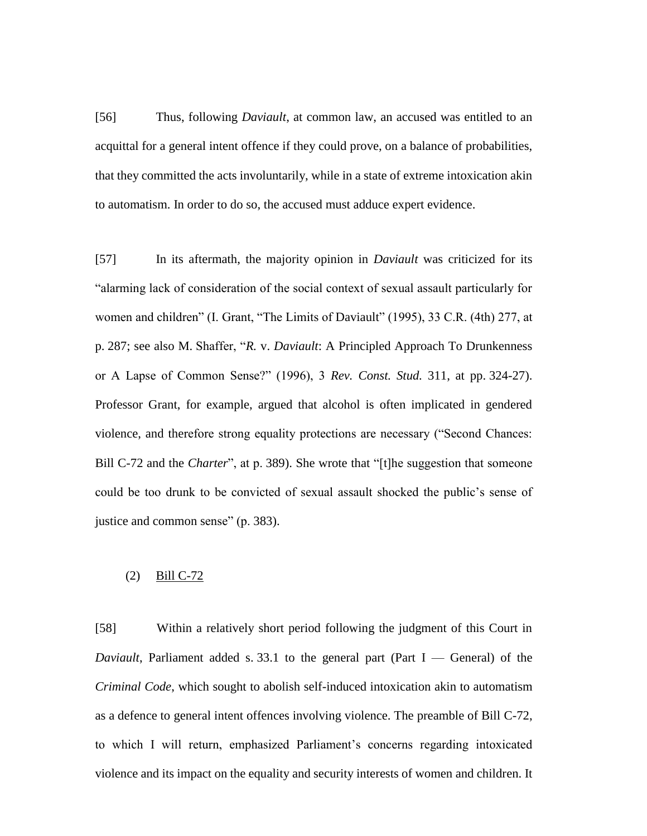[56] Thus, following *Daviault*, at common law, an accused was entitled to an acquittal for a general intent offence if they could prove, on a balance of probabilities, that they committed the acts involuntarily, while in a state of extreme intoxication akin to automatism. In order to do so, the accused must adduce expert evidence.

[57] In its aftermath, the majority opinion in *Daviault* was criticized for its "alarming lack of consideration of the social context of sexual assault particularly for women and children" (I. Grant, "The Limits of Daviault" (1995), 33 C.R. (4th) 277, at p. 287; see also M. Shaffer, "*R.* v. *Daviault*: A Principled Approach To Drunkenness or A Lapse of Common Sense?" (1996), 3 *Rev. Const. Stud.* 311, at pp. 324-27). Professor Grant, for example, argued that alcohol is often implicated in gendered violence, and therefore strong equality protections are necessary ("Second Chances: Bill C-72 and the *Charter*", at p. 389). She wrote that "[t]he suggestion that someone could be too drunk to be convicted of sexual assault shocked the public's sense of justice and common sense" (p. 383).

## (2) Bill C-72

[58] Within a relatively short period following the judgment of this Court in *Daviault*, Parliament added s. 33.1 to the general part (Part I — General) of the *Criminal Code*, which sought to abolish self-induced intoxication akin to automatism as a defence to general intent offences involving violence. The preamble of Bill C-72, to which I will return, emphasized Parliament's concerns regarding intoxicated violence and its impact on the equality and security interests of women and children. It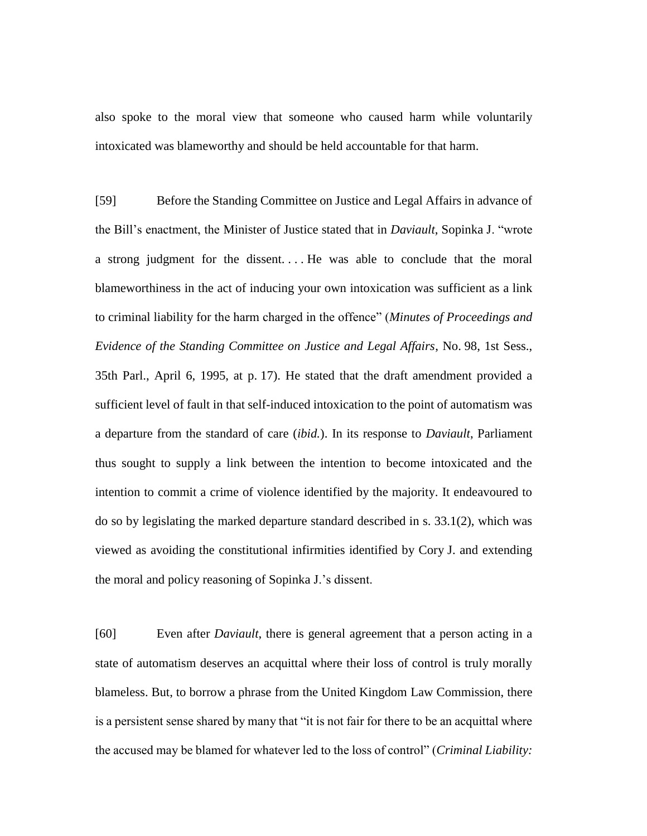also spoke to the moral view that someone who caused harm while voluntarily intoxicated was blameworthy and should be held accountable for that harm.

[59] Before the Standing Committee on Justice and Legal Affairs in advance of the Bill's enactment, the Minister of Justice stated that in *Daviault*, Sopinka J. "wrote a strong judgment for the dissent. . . . He was able to conclude that the moral blameworthiness in the act of inducing your own intoxication was sufficient as a link to criminal liability for the harm charged in the offence" (*Minutes of Proceedings and Evidence of the Standing Committee on Justice and Legal Affairs*, No. 98, 1st Sess., 35th Parl., April 6, 1995, at p. 17). He stated that the draft amendment provided a sufficient level of fault in that self-induced intoxication to the point of automatism was a departure from the standard of care (*ibid.*). In its response to *Daviault*, Parliament thus sought to supply a link between the intention to become intoxicated and the intention to commit a crime of violence identified by the majority. It endeavoured to do so by legislating the marked departure standard described in s. 33.1(2), which was viewed as avoiding the constitutional infirmities identified by Cory J. and extending the moral and policy reasoning of Sopinka J.'s dissent.

[60] Even after *Daviault*, there is general agreement that a person acting in a state of automatism deserves an acquittal where their loss of control is truly morally blameless. But, to borrow a phrase from the United Kingdom Law Commission, there is a persistent sense shared by many that "it is not fair for there to be an acquittal where the accused may be blamed for whatever led to the loss of control" (*Criminal Liability:*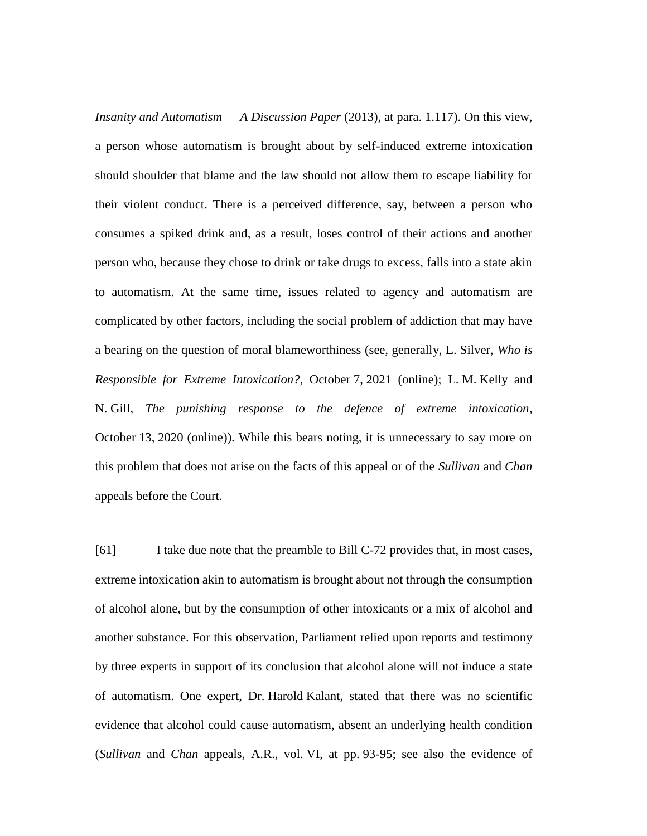*Insanity and Automatism — A Discussion Paper* (2013), at para. 1.117). On this view, a person whose automatism is brought about by self-induced extreme intoxication should shoulder that blame and the law should not allow them to escape liability for their violent conduct. There is a perceived difference, say, between a person who consumes a spiked drink and, as a result, loses control of their actions and another person who, because they chose to drink or take drugs to excess, falls into a state akin to automatism. At the same time, issues related to agency and automatism are complicated by other factors, including the social problem of addiction that may have a bearing on the question of moral blameworthiness (see, generally, L. Silver, *Who is Responsible for Extreme Intoxication?*, October 7, 2021 (online); L. M. Kelly and N. Gill, *The punishing response to the defence of extreme intoxication*, October 13, 2020 (online)). While this bears noting, it is unnecessary to say more on this problem that does not arise on the facts of this appeal or of the *Sullivan* and *Chan* appeals before the Court.

[61] I take due note that the preamble to Bill C-72 provides that, in most cases, extreme intoxication akin to automatism is brought about not through the consumption of alcohol alone, but by the consumption of other intoxicants or a mix of alcohol and another substance. For this observation, Parliament relied upon reports and testimony by three experts in support of its conclusion that alcohol alone will not induce a state of automatism. One expert, Dr. Harold Kalant, stated that there was no scientific evidence that alcohol could cause automatism, absent an underlying health condition (*Sullivan* and *Chan* appeals, A.R., vol. VI, at pp. 93-95; see also the evidence of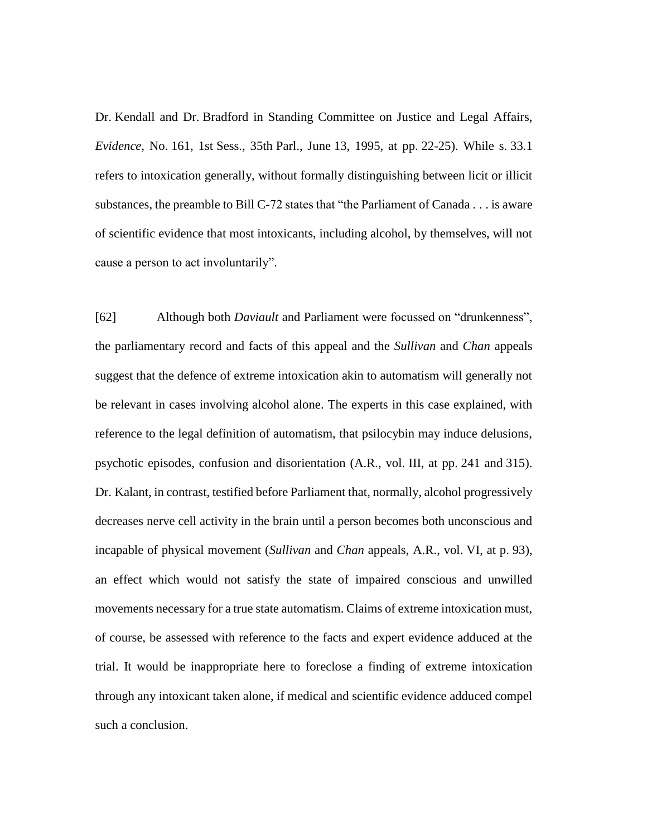Dr. Kendall and Dr. Bradford in Standing Committee on Justice and Legal Affairs, *Evidence*, No. 161, 1st Sess., 35th Parl., June 13, 1995, at pp. 22-25). While s. 33.1 refers to intoxication generally, without formally distinguishing between licit or illicit substances, the preamble to Bill C-72 states that "the Parliament of Canada . . . is aware of scientific evidence that most intoxicants, including alcohol, by themselves, will not cause a person to act involuntarily".

[62] Although both *Daviault* and Parliament were focussed on "drunkenness", the parliamentary record and facts of this appeal and the *Sullivan* and *Chan* appeals suggest that the defence of extreme intoxication akin to automatism will generally not be relevant in cases involving alcohol alone. The experts in this case explained, with reference to the legal definition of automatism, that psilocybin may induce delusions, psychotic episodes, confusion and disorientation (A.R., vol. III, at pp. 241 and 315). Dr. Kalant, in contrast, testified before Parliament that, normally, alcohol progressively decreases nerve cell activity in the brain until a person becomes both unconscious and incapable of physical movement (*Sullivan* and *Chan* appeals, A.R., vol. VI, at p. 93), an effect which would not satisfy the state of impaired conscious and unwilled movements necessary for a true state automatism. Claims of extreme intoxication must, of course, be assessed with reference to the facts and expert evidence adduced at the trial. It would be inappropriate here to foreclose a finding of extreme intoxication through any intoxicant taken alone, if medical and scientific evidence adduced compel such a conclusion.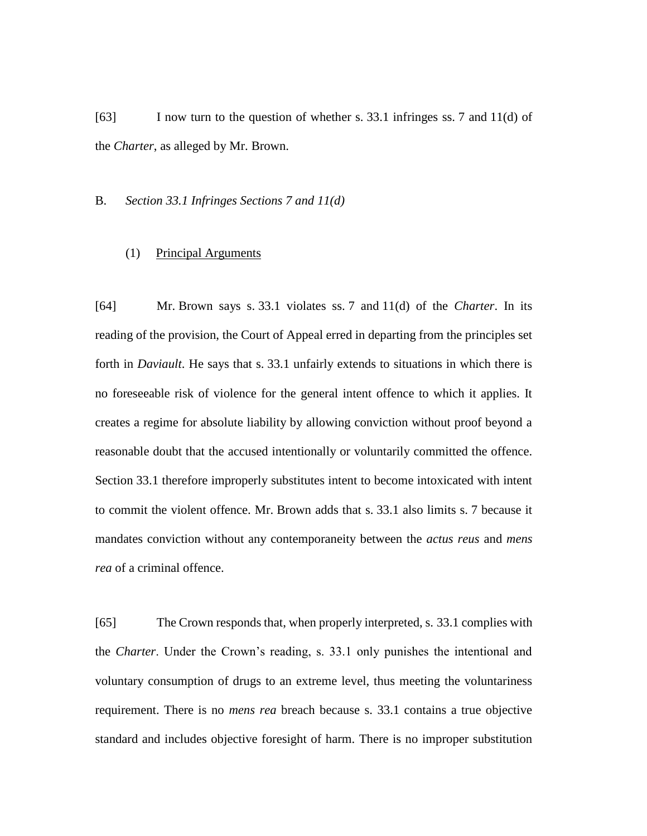[63] I now turn to the question of whether s. 33.1 infringes ss. 7 and 11(d) of the *Charter*, as alleged by Mr. Brown.

#### B. *Section 33.1 Infringes Sections 7 and 11(d)*

#### (1) Principal Arguments

[64] Mr. Brown says s. 33.1 violates ss. 7 and 11(d) of the *Charter*. In its reading of the provision, the Court of Appeal erred in departing from the principles set forth in *Daviault*. He says that s. 33.1 unfairly extends to situations in which there is no foreseeable risk of violence for the general intent offence to which it applies. It creates a regime for absolute liability by allowing conviction without proof beyond a reasonable doubt that the accused intentionally or voluntarily committed the offence. Section 33.1 therefore improperly substitutes intent to become intoxicated with intent to commit the violent offence. Mr. Brown adds that s. 33.1 also limits s. 7 because it mandates conviction without any contemporaneity between the *actus reus* and *mens rea* of a criminal offence.

[65] The Crown responds that, when properly interpreted, s. 33.1 complies with the *Charter*. Under the Crown's reading, s. 33.1 only punishes the intentional and voluntary consumption of drugs to an extreme level, thus meeting the voluntariness requirement. There is no *mens rea* breach because s. 33.1 contains a true objective standard and includes objective foresight of harm. There is no improper substitution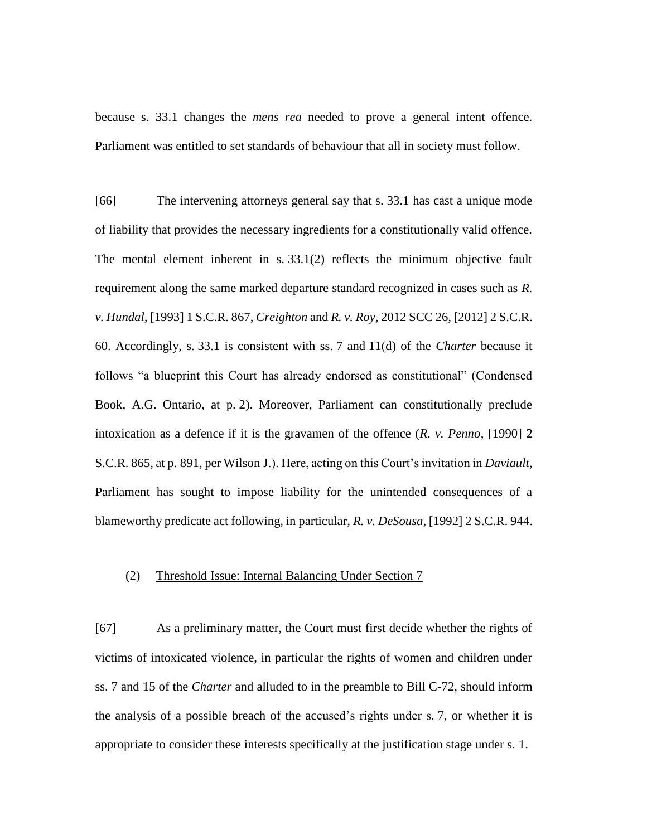because s. 33.1 changes the *mens rea* needed to prove a general intent offence. Parliament was entitled to set standards of behaviour that all in society must follow.

[66] The intervening attorneys general say that s. 33.1 has cast a unique mode of liability that provides the necessary ingredients for a constitutionally valid offence. The mental element inherent in s. 33.1(2) reflects the minimum objective fault requirement along the same marked departure standard recognized in cases such as *R. v. Hundal*, [1993] 1 S.C.R. 867, *Creighton* and *R. v. Roy*, 2012 SCC 26, [2012] 2 S.C.R. 60. Accordingly, s. 33.1 is consistent with ss. 7 and 11(d) of the *Charter* because it follows "a blueprint this Court has already endorsed as constitutional" (Condensed Book, A.G. Ontario, at p. 2). Moreover, Parliament can constitutionally preclude intoxication as a defence if it is the gravamen of the offence (*R. v. Penno*, [1990] 2 S.C.R. 865, at p. 891, per Wilson J.). Here, acting on this Court's invitation in *Daviault*, Parliament has sought to impose liability for the unintended consequences of a blameworthy predicate act following, in particular, *R. v. DeSousa*, [1992] 2 S.C.R. 944.

# (2) Threshold Issue: Internal Balancing Under Section 7

[67] As a preliminary matter, the Court must first decide whether the rights of victims of intoxicated violence, in particular the rights of women and children under ss. 7 and 15 of the *Charter* and alluded to in the preamble to Bill C-72, should inform the analysis of a possible breach of the accused's rights under s. 7, or whether it is appropriate to consider these interests specifically at the justification stage under s. 1.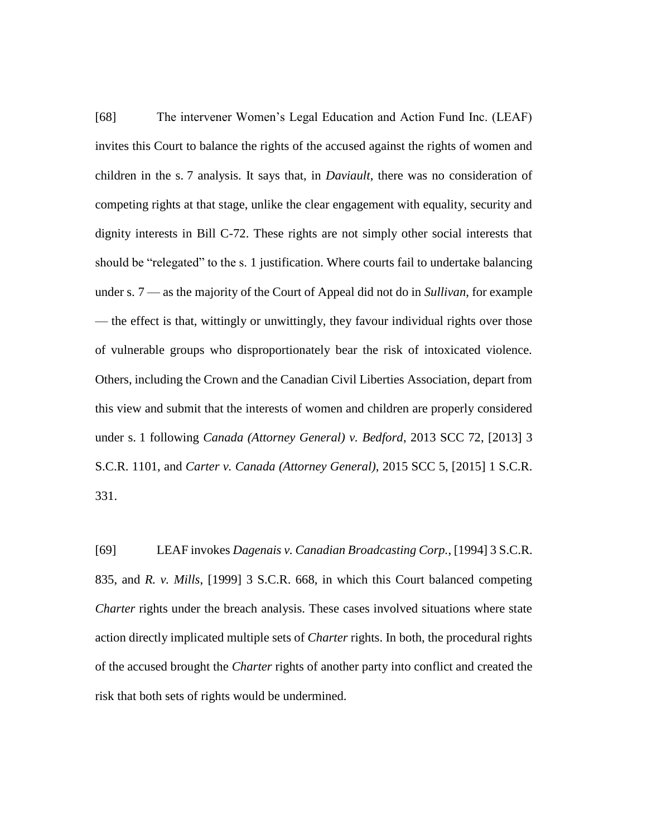[68] The intervener Women's Legal Education and Action Fund Inc. (LEAF) invites this Court to balance the rights of the accused against the rights of women and children in the s. 7 analysis. It says that, in *Daviault*, there was no consideration of competing rights at that stage, unlike the clear engagement with equality, security and dignity interests in Bill C-72. These rights are not simply other social interests that should be "relegated" to the s. 1 justification. Where courts fail to undertake balancing under s. 7 — as the majority of the Court of Appeal did not do in *Sullivan*, for example — the effect is that, wittingly or unwittingly, they favour individual rights over those of vulnerable groups who disproportionately bear the risk of intoxicated violence. Others, including the Crown and the Canadian Civil Liberties Association, depart from this view and submit that the interests of women and children are properly considered under s. 1 following *Canada (Attorney General) v. Bedford*, 2013 SCC 72, [2013] 3 S.C.R. 1101, and *Carter v. Canada (Attorney General)*, 2015 SCC 5, [2015] 1 S.C.R. 331.

[69] LEAF invokes *Dagenais v. Canadian Broadcasting Corp.*, [1994] 3 S.C.R. 835, and *R. v. Mills*, [1999] 3 S.C.R. 668, in which this Court balanced competing *Charter* rights under the breach analysis. These cases involved situations where state action directly implicated multiple sets of *Charter* rights. In both, the procedural rights of the accused brought the *Charter* rights of another party into conflict and created the risk that both sets of rights would be undermined.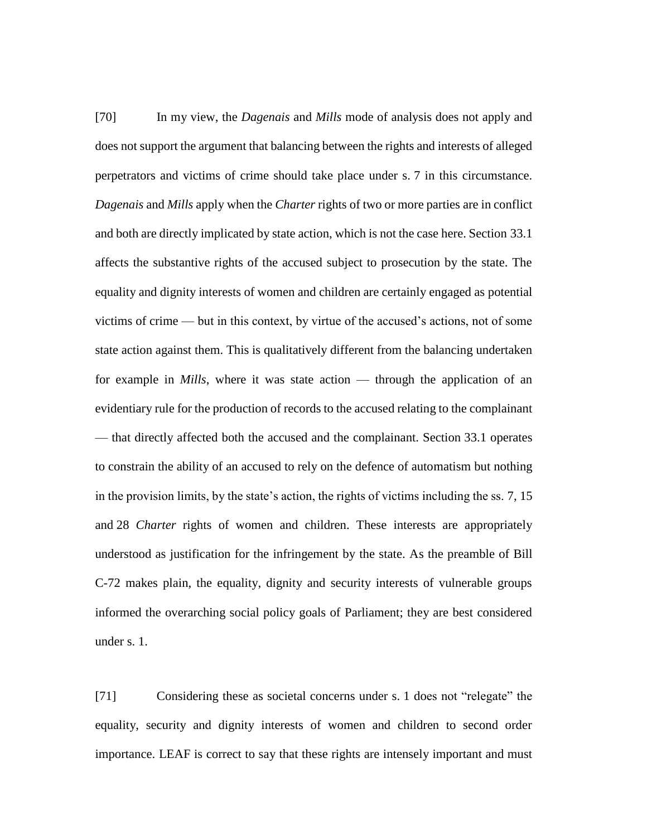[70] In my view, the *Dagenais* and *Mills* mode of analysis does not apply and does not support the argument that balancing between the rights and interests of alleged perpetrators and victims of crime should take place under s. 7 in this circumstance. *Dagenais* and *Mills* apply when the *Charter* rights of two or more parties are in conflict and both are directly implicated by state action, which is not the case here. Section 33.1 affects the substantive rights of the accused subject to prosecution by the state. The equality and dignity interests of women and children are certainly engaged as potential victims of crime — but in this context, by virtue of the accused's actions, not of some state action against them. This is qualitatively different from the balancing undertaken for example in *Mills*, where it was state action — through the application of an evidentiary rule for the production of records to the accused relating to the complainant — that directly affected both the accused and the complainant. Section 33.1 operates to constrain the ability of an accused to rely on the defence of automatism but nothing in the provision limits, by the state's action, the rights of victims including the ss. 7, 15 and 28 *Charter* rights of women and children. These interests are appropriately understood as justification for the infringement by the state. As the preamble of Bill C-72 makes plain, the equality, dignity and security interests of vulnerable groups informed the overarching social policy goals of Parliament; they are best considered under s. 1.

[71] Considering these as societal concerns under s. 1 does not "relegate" the equality, security and dignity interests of women and children to second order importance. LEAF is correct to say that these rights are intensely important and must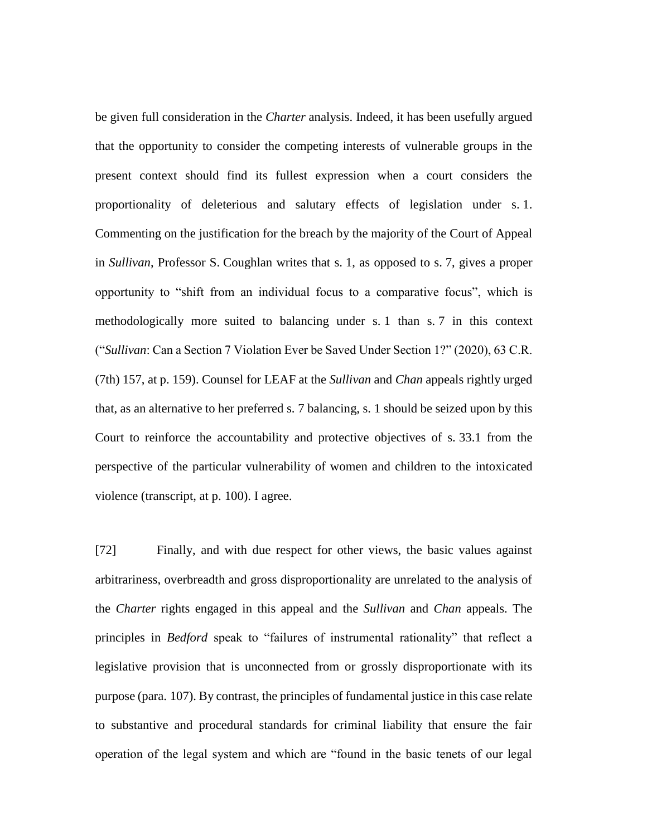be given full consideration in the *Charter* analysis. Indeed, it has been usefully argued that the opportunity to consider the competing interests of vulnerable groups in the present context should find its fullest expression when a court considers the proportionality of deleterious and salutary effects of legislation under s. 1. Commenting on the justification for the breach by the majority of the Court of Appeal in *Sullivan*, Professor S. Coughlan writes that s. 1, as opposed to s. 7, gives a proper opportunity to "shift from an individual focus to a comparative focus", which is methodologically more suited to balancing under s. 1 than s. 7 in this context ("*Sullivan*: Can a Section 7 Violation Ever be Saved Under Section 1?" (2020), 63 C.R. (7th) 157, at p. 159). Counsel for LEAF at the *Sullivan* and *Chan* appeals rightly urged that, as an alternative to her preferred s. 7 balancing, s. 1 should be seized upon by this Court to reinforce the accountability and protective objectives of s. 33.1 from the perspective of the particular vulnerability of women and children to the intoxicated violence (transcript, at p. 100). I agree.

[72] Finally, and with due respect for other views, the basic values against arbitrariness, overbreadth and gross disproportionality are unrelated to the analysis of the *Charter* rights engaged in this appeal and the *Sullivan* and *Chan* appeals. The principles in *Bedford* speak to "failures of instrumental rationality" that reflect a legislative provision that is unconnected from or grossly disproportionate with its purpose (para. 107). By contrast, the principles of fundamental justice in this case relate to substantive and procedural standards for criminal liability that ensure the fair operation of the legal system and which are "found in the basic tenets of our legal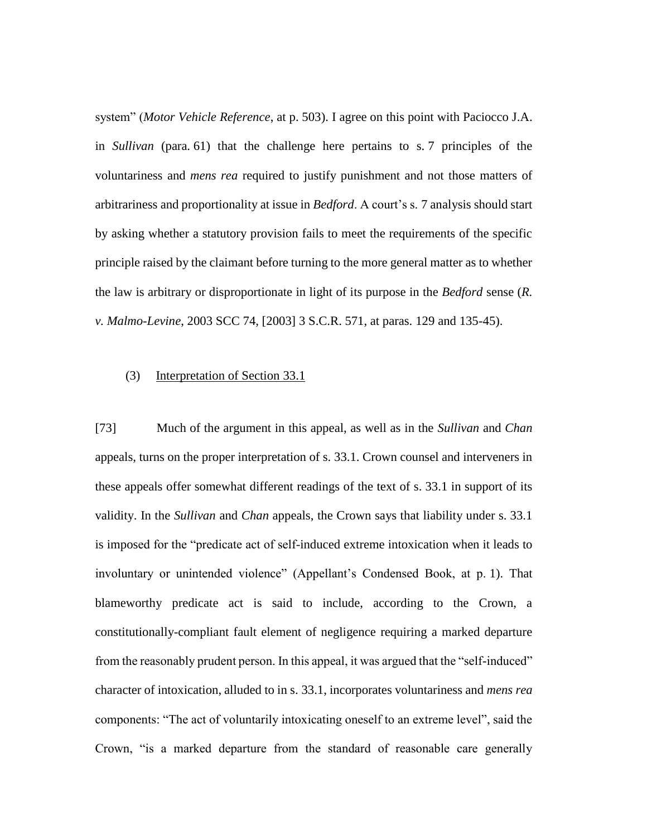system" (*Motor Vehicle Reference*, at p. 503). I agree on this point with Paciocco J.A. in *Sullivan* (para. 61) that the challenge here pertains to s. 7 principles of the voluntariness and *mens rea* required to justify punishment and not those matters of arbitrariness and proportionality at issue in *Bedford*. A court's s. 7 analysis should start by asking whether a statutory provision fails to meet the requirements of the specific principle raised by the claimant before turning to the more general matter as to whether the law is arbitrary or disproportionate in light of its purpose in the *Bedford* sense (*R. v. Malmo-Levine*, 2003 SCC 74, [2003] 3 S.C.R. 571, at paras. 129 and 135-45).

### (3) Interpretation of Section 33.1

[73] Much of the argument in this appeal, as well as in the *Sullivan* and *Chan* appeals, turns on the proper interpretation of s. 33.1. Crown counsel and interveners in these appeals offer somewhat different readings of the text of s. 33.1 in support of its validity. In the *Sullivan* and *Chan* appeals, the Crown says that liability under s. 33.1 is imposed for the "predicate act of self-induced extreme intoxication when it leads to involuntary or unintended violence" (Appellant's Condensed Book, at p. 1). That blameworthy predicate act is said to include, according to the Crown, a constitutionally-compliant fault element of negligence requiring a marked departure from the reasonably prudent person. In this appeal, it was argued that the "self-induced" character of intoxication, alluded to in s. 33.1, incorporates voluntariness and *mens rea* components: "The act of voluntarily intoxicating oneself to an extreme level", said the Crown, "is a marked departure from the standard of reasonable care generally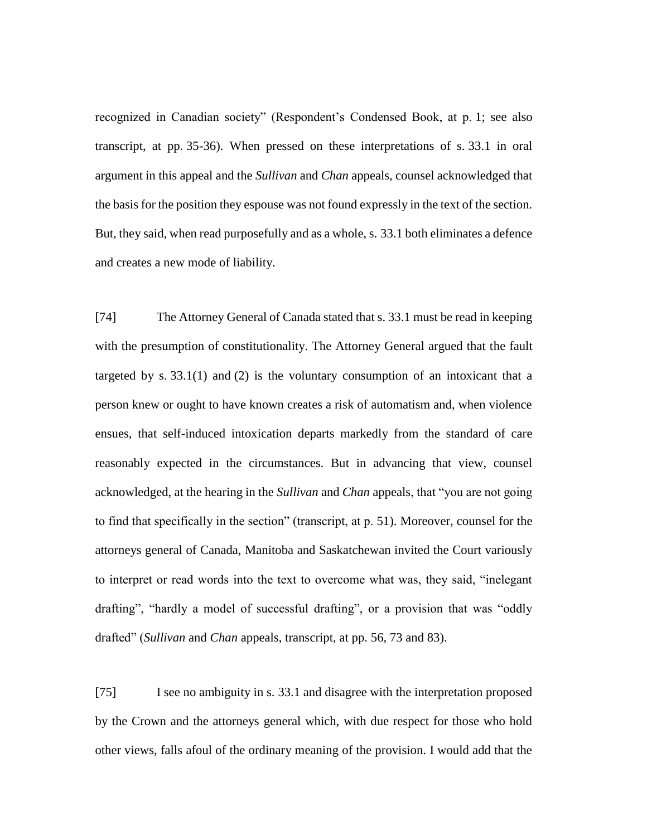recognized in Canadian society" (Respondent's Condensed Book, at p. 1; see also transcript, at pp. 35-36). When pressed on these interpretations of s. 33.1 in oral argument in this appeal and the *Sullivan* and *Chan* appeals, counsel acknowledged that the basis for the position they espouse was not found expressly in the text of the section. But, they said, when read purposefully and as a whole, s. 33.1 both eliminates a defence and creates a new mode of liability.

[74] The Attorney General of Canada stated that s. 33.1 must be read in keeping with the presumption of constitutionality. The Attorney General argued that the fault targeted by s.  $33.1(1)$  and (2) is the voluntary consumption of an intoxicant that a person knew or ought to have known creates a risk of automatism and, when violence ensues, that self-induced intoxication departs markedly from the standard of care reasonably expected in the circumstances. But in advancing that view, counsel acknowledged, at the hearing in the *Sullivan* and *Chan* appeals, that "you are not going to find that specifically in the section" (transcript, at p. 51). Moreover, counsel for the attorneys general of Canada, Manitoba and Saskatchewan invited the Court variously to interpret or read words into the text to overcome what was, they said, "inelegant drafting", "hardly a model of successful drafting", or a provision that was "oddly drafted" (*Sullivan* and *Chan* appeals, transcript, at pp. 56, 73 and 83).

[75] I see no ambiguity in s. 33.1 and disagree with the interpretation proposed by the Crown and the attorneys general which, with due respect for those who hold other views, falls afoul of the ordinary meaning of the provision. I would add that the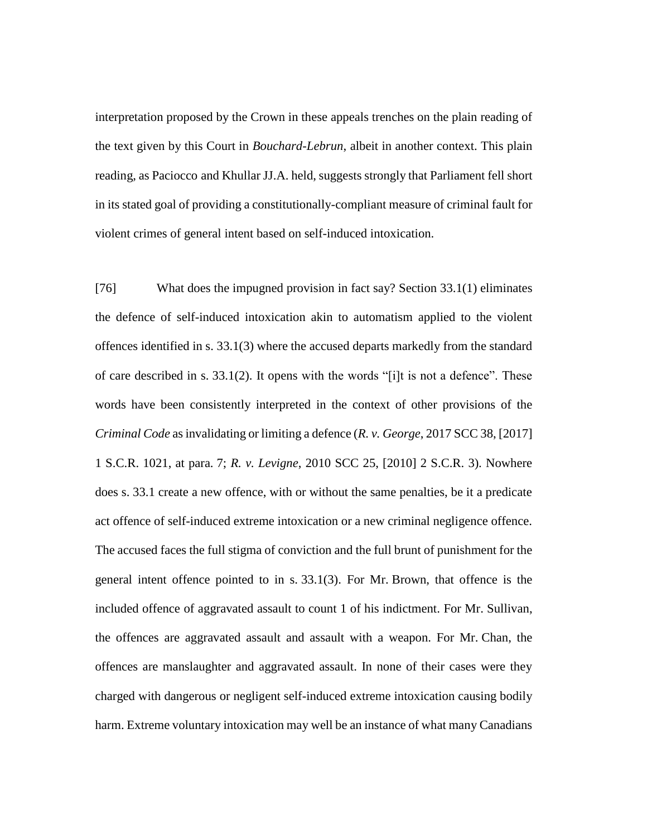interpretation proposed by the Crown in these appeals trenches on the plain reading of the text given by this Court in *Bouchard-Lebrun*, albeit in another context. This plain reading, as Paciocco and Khullar JJ.A. held, suggests strongly that Parliament fell short in its stated goal of providing a constitutionally-compliant measure of criminal fault for violent crimes of general intent based on self-induced intoxication.

[76] What does the impugned provision in fact say? Section 33.1(1) eliminates the defence of self-induced intoxication akin to automatism applied to the violent offences identified in s. 33.1(3) where the accused departs markedly from the standard of care described in s. 33.1(2). It opens with the words "[i]t is not a defence". These words have been consistently interpreted in the context of other provisions of the *Criminal Code* as invalidating or limiting a defence (*R. v. George*, 2017 SCC 38, [2017] 1 S.C.R. 1021, at para. 7; *R. v. Levigne*, 2010 SCC 25, [2010] 2 S.C.R. 3). Nowhere does s. 33.1 create a new offence, with or without the same penalties, be it a predicate act offence of self-induced extreme intoxication or a new criminal negligence offence. The accused faces the full stigma of conviction and the full brunt of punishment for the general intent offence pointed to in s. 33.1(3). For Mr. Brown, that offence is the included offence of aggravated assault to count 1 of his indictment. For Mr. Sullivan, the offences are aggravated assault and assault with a weapon. For Mr. Chan, the offences are manslaughter and aggravated assault. In none of their cases were they charged with dangerous or negligent self-induced extreme intoxication causing bodily harm. Extreme voluntary intoxication may well be an instance of what many Canadians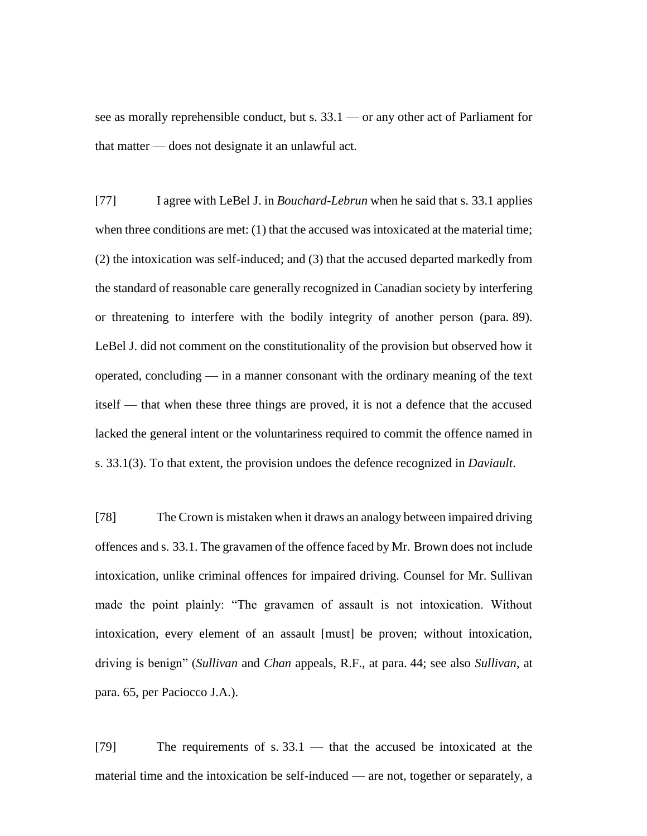see as morally reprehensible conduct, but s. 33.1 — or any other act of Parliament for that matter — does not designate it an unlawful act.

[77] I agree with LeBel J. in *Bouchard-Lebrun* when he said that s. 33.1 applies when three conditions are met: (1) that the accused was intoxicated at the material time; (2) the intoxication was self-induced; and (3) that the accused departed markedly from the standard of reasonable care generally recognized in Canadian society by interfering or threatening to interfere with the bodily integrity of another person (para. 89). LeBel J. did not comment on the constitutionality of the provision but observed how it operated, concluding — in a manner consonant with the ordinary meaning of the text itself — that when these three things are proved, it is not a defence that the accused lacked the general intent or the voluntariness required to commit the offence named in s. 33.1(3). To that extent, the provision undoes the defence recognized in *Daviault*.

[78] The Crown is mistaken when it draws an analogy between impaired driving offences and s. 33.1. The gravamen of the offence faced by Mr. Brown does not include intoxication, unlike criminal offences for impaired driving. Counsel for Mr. Sullivan made the point plainly: "The gravamen of assault is not intoxication. Without intoxication, every element of an assault [must] be proven; without intoxication, driving is benign" (*Sullivan* and *Chan* appeals, R.F., at para. 44; see also *Sullivan*, at para. 65, per Paciocco J.A.).

 $[79]$  The requirements of s. 33.1 — that the accused be intoxicated at the material time and the intoxication be self-induced — are not, together or separately, a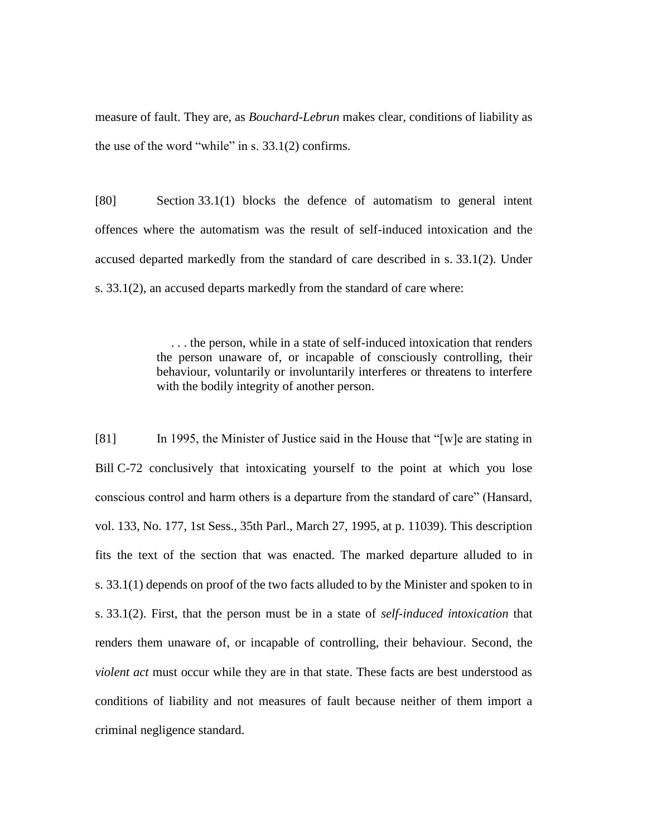measure of fault. They are, as *Bouchard-Lebrun* makes clear, conditions of liability as the use of the word "while" in s. 33.1(2) confirms.

[80] Section 33.1(1) blocks the defence of automatism to general intent offences where the automatism was the result of self-induced intoxication and the accused departed markedly from the standard of care described in s. 33.1(2). Under s. 33.1(2), an accused departs markedly from the standard of care where:

> . . . the person, while in a state of self-induced intoxication that renders the person unaware of, or incapable of consciously controlling, their behaviour, voluntarily or involuntarily interferes or threatens to interfere with the bodily integrity of another person.

[81] In 1995, the Minister of Justice said in the House that "[w] e are stating in Bill C-72 conclusively that intoxicating yourself to the point at which you lose conscious control and harm others is a departure from the standard of care" (Hansard, vol. 133, No. 177, 1st Sess., 35th Parl., March 27, 1995, at p. 11039). This description fits the text of the section that was enacted. The marked departure alluded to in s. 33.1(1) depends on proof of the two facts alluded to by the Minister and spoken to in s. 33.1(2). First, that the person must be in a state of *self-induced intoxication* that renders them unaware of, or incapable of controlling, their behaviour. Second, the *violent act* must occur while they are in that state. These facts are best understood as conditions of liability and not measures of fault because neither of them import a criminal negligence standard.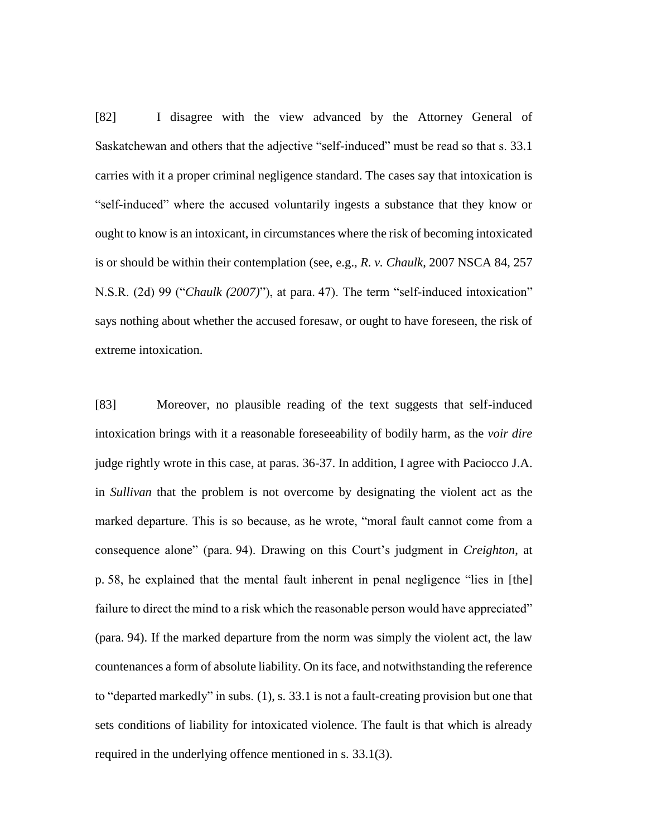[82] I disagree with the view advanced by the Attorney General of Saskatchewan and others that the adjective "self-induced" must be read so that s. 33.1 carries with it a proper criminal negligence standard. The cases say that intoxication is "self-induced" where the accused voluntarily ingests a substance that they know or ought to know is an intoxicant, in circumstances where the risk of becoming intoxicated is or should be within their contemplation (see, e.g., *R. v. Chaulk*, 2007 NSCA 84, 257 N.S.R. (2d) 99 ("*Chaulk (2007)*"), at para. 47). The term "self-induced intoxication" says nothing about whether the accused foresaw, or ought to have foreseen, the risk of extreme intoxication.

[83] Moreover, no plausible reading of the text suggests that self-induced intoxication brings with it a reasonable foreseeability of bodily harm, as the *voir dire* judge rightly wrote in this case, at paras. 36-37. In addition, I agree with Paciocco J.A. in *Sullivan* that the problem is not overcome by designating the violent act as the marked departure. This is so because, as he wrote, "moral fault cannot come from a consequence alone" (para. 94). Drawing on this Court's judgment in *Creighton*, at p. 58, he explained that the mental fault inherent in penal negligence "lies in [the] failure to direct the mind to a risk which the reasonable person would have appreciated" (para. 94). If the marked departure from the norm was simply the violent act, the law countenances a form of absolute liability. On its face, and notwithstanding the reference to "departed markedly" in subs. (1), s. 33.1 is not a fault-creating provision but one that sets conditions of liability for intoxicated violence. The fault is that which is already required in the underlying offence mentioned in s. 33.1(3).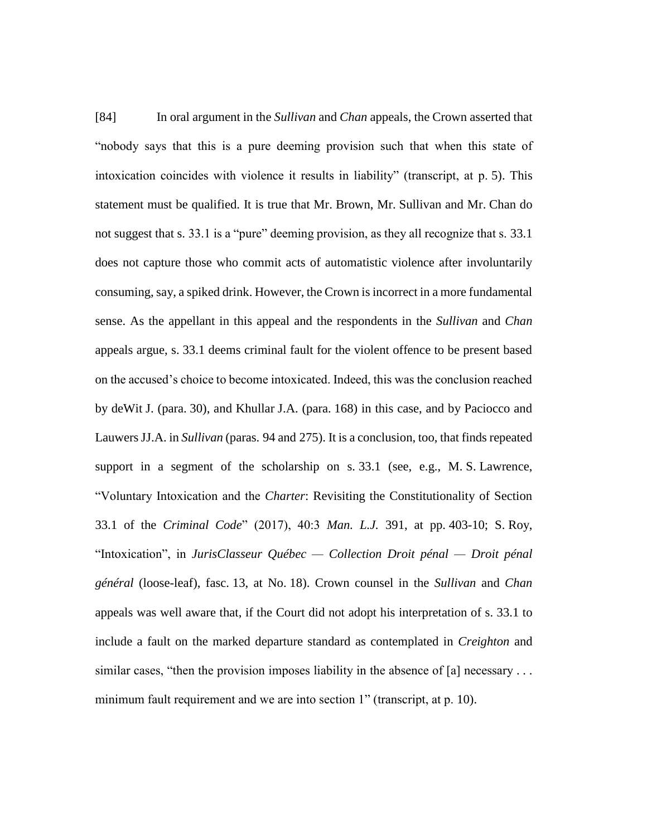[84] In oral argument in the *Sullivan* and *Chan* appeals, the Crown asserted that "nobody says that this is a pure deeming provision such that when this state of intoxication coincides with violence it results in liability" (transcript, at p. 5). This statement must be qualified. It is true that Mr. Brown, Mr. Sullivan and Mr. Chan do not suggest that s. 33.1 is a "pure" deeming provision, as they all recognize that s. 33.1 does not capture those who commit acts of automatistic violence after involuntarily consuming, say, a spiked drink. However, the Crown is incorrect in a more fundamental sense. As the appellant in this appeal and the respondents in the *Sullivan* and *Chan* appeals argue, s. 33.1 deems criminal fault for the violent offence to be present based on the accused's choice to become intoxicated. Indeed, this was the conclusion reached by deWit J. (para. 30), and Khullar J.A. (para. 168) in this case, and by Paciocco and Lauwers JJ.A. in *Sullivan* (paras. 94 and 275). It is a conclusion, too, that finds repeated support in a segment of the scholarship on s. 33.1 (see, e.g., M. S. Lawrence, "Voluntary Intoxication and the *Charter*: Revisiting the Constitutionality of Section 33.1 of the *Criminal Code*" (2017), 40:3 *Man. L.J.* 391, at pp. 403-10; S. Roy, "Intoxication", in *JurisClasseur Québec — Collection Droit pénal — Droit pénal général* (loose-leaf), fasc. 13, at No. 18). Crown counsel in the *Sullivan* and *Chan* appeals was well aware that, if the Court did not adopt his interpretation of s. 33.1 to include a fault on the marked departure standard as contemplated in *Creighton* and similar cases, "then the provision imposes liability in the absence of [a] necessary ... minimum fault requirement and we are into section 1" (transcript, at p. 10).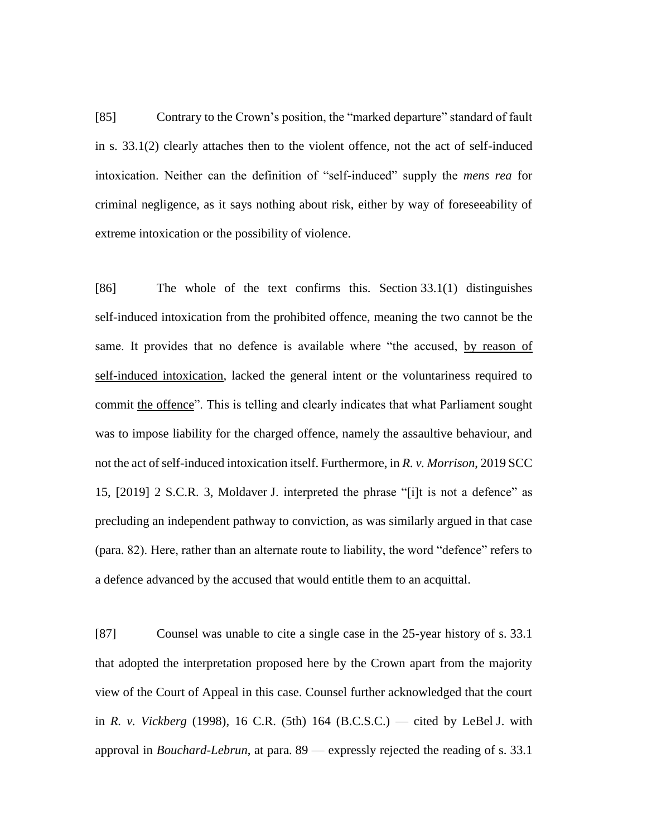[85] Contrary to the Crown's position, the "marked departure" standard of fault in s. 33.1(2) clearly attaches then to the violent offence, not the act of self-induced intoxication. Neither can the definition of "self-induced" supply the *mens rea* for criminal negligence, as it says nothing about risk, either by way of foreseeability of extreme intoxication or the possibility of violence.

[86] The whole of the text confirms this. Section 33.1(1) distinguishes self-induced intoxication from the prohibited offence, meaning the two cannot be the same. It provides that no defence is available where "the accused, by reason of self-induced intoxication, lacked the general intent or the voluntariness required to commit the offence". This is telling and clearly indicates that what Parliament sought was to impose liability for the charged offence, namely the assaultive behaviour, and not the act of self-induced intoxication itself. Furthermore, in *R. v. Morrison*, 2019 SCC 15, [2019] 2 S.C.R. 3, Moldaver J. interpreted the phrase "[i]t is not a defence" as precluding an independent pathway to conviction, as was similarly argued in that case (para. 82). Here, rather than an alternate route to liability, the word "defence" refers to a defence advanced by the accused that would entitle them to an acquittal.

[87] Counsel was unable to cite a single case in the 25-year history of s. 33.1 that adopted the interpretation proposed here by the Crown apart from the majority view of the Court of Appeal in this case. Counsel further acknowledged that the court in *R. v. Vickberg* (1998), 16 C.R. (5th) 164 (B.C.S.C.) — cited by LeBel J. with approval in *Bouchard-Lebrun*, at para. 89 — expressly rejected the reading of s. 33.1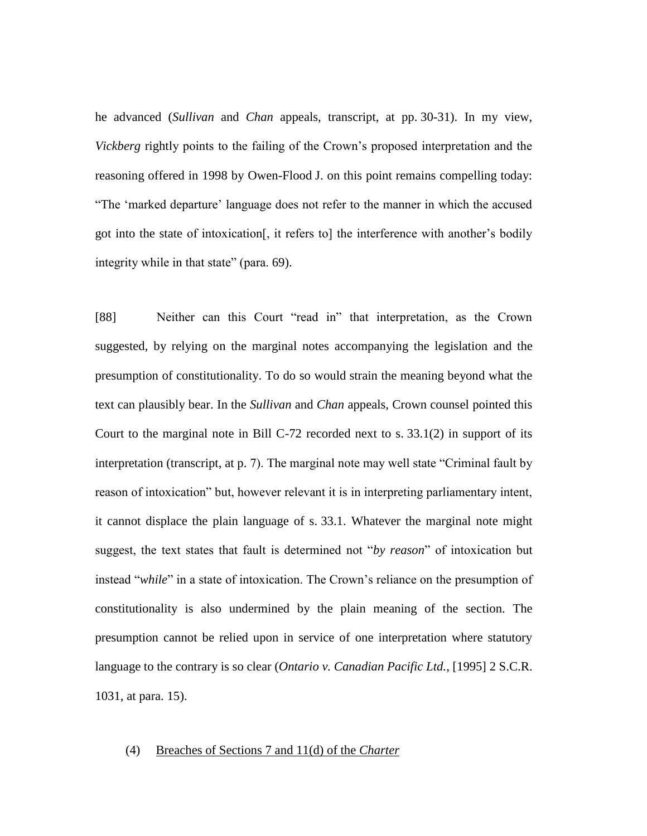he advanced (*Sullivan* and *Chan* appeals, transcript, at pp. 30-31). In my view, *Vickberg* rightly points to the failing of the Crown's proposed interpretation and the reasoning offered in 1998 by Owen-Flood J. on this point remains compelling today: "The 'marked departure' language does not refer to the manner in which the accused got into the state of intoxication[, it refers to] the interference with another's bodily integrity while in that state" (para. 69).

[88] Neither can this Court "read in" that interpretation, as the Crown suggested, by relying on the marginal notes accompanying the legislation and the presumption of constitutionality. To do so would strain the meaning beyond what the text can plausibly bear. In the *Sullivan* and *Chan* appeals, Crown counsel pointed this Court to the marginal note in Bill C-72 recorded next to s. 33.1(2) in support of its interpretation (transcript, at p. 7). The marginal note may well state "Criminal fault by reason of intoxication" but, however relevant it is in interpreting parliamentary intent, it cannot displace the plain language of s. 33.1. Whatever the marginal note might suggest, the text states that fault is determined not "*by reason*" of intoxication but instead "*while*" in a state of intoxication. The Crown's reliance on the presumption of constitutionality is also undermined by the plain meaning of the section. The presumption cannot be relied upon in service of one interpretation where statutory language to the contrary is so clear (*Ontario v. Canadian Pacific Ltd.*, [1995] 2 S.C.R. 1031, at para. 15).

# (4) Breaches of Sections 7 and 11(d) of the *Charter*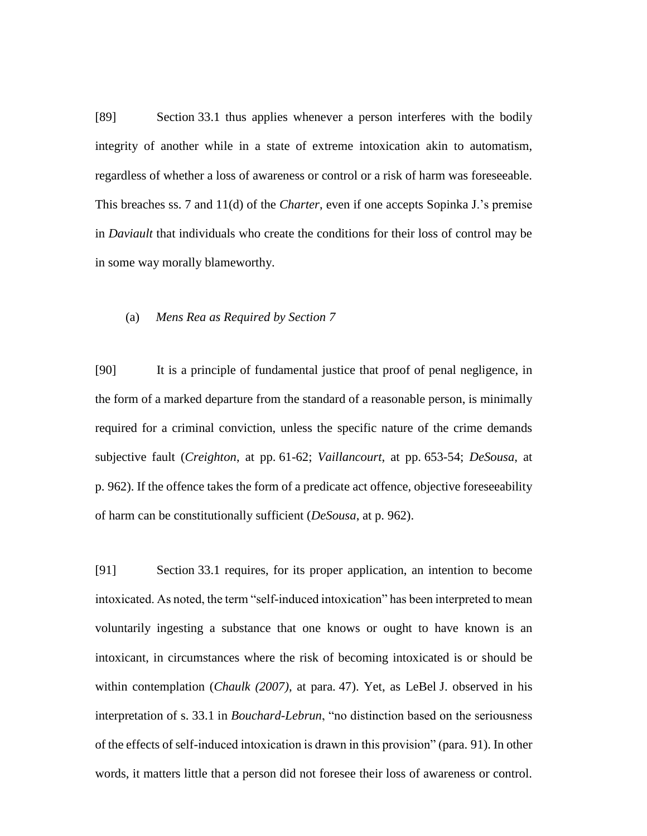[89] Section 33.1 thus applies whenever a person interferes with the bodily integrity of another while in a state of extreme intoxication akin to automatism, regardless of whether a loss of awareness or control or a risk of harm was foreseeable. This breaches ss. 7 and 11(d) of the *Charter*, even if one accepts Sopinka J.'s premise in *Daviault* that individuals who create the conditions for their loss of control may be in some way morally blameworthy.

### (a) *Mens Rea as Required by Section 7*

[90] It is a principle of fundamental justice that proof of penal negligence, in the form of a marked departure from the standard of a reasonable person, is minimally required for a criminal conviction, unless the specific nature of the crime demands subjective fault (*Creighton*, at pp. 61-62; *Vaillancourt*, at pp. 653-54; *DeSousa*, at p. 962). If the offence takes the form of a predicate act offence, objective foreseeability of harm can be constitutionally sufficient (*DeSousa*, at p. 962).

[91] Section 33.1 requires, for its proper application, an intention to become intoxicated. As noted, the term "self-induced intoxication" has been interpreted to mean voluntarily ingesting a substance that one knows or ought to have known is an intoxicant, in circumstances where the risk of becoming intoxicated is or should be within contemplation (*Chaulk (2007)*, at para. 47). Yet, as LeBel J. observed in his interpretation of s. 33.1 in *Bouchard-Lebrun*, "no distinction based on the seriousness of the effects of self-induced intoxication is drawn in this provision" (para. 91). In other words, it matters little that a person did not foresee their loss of awareness or control.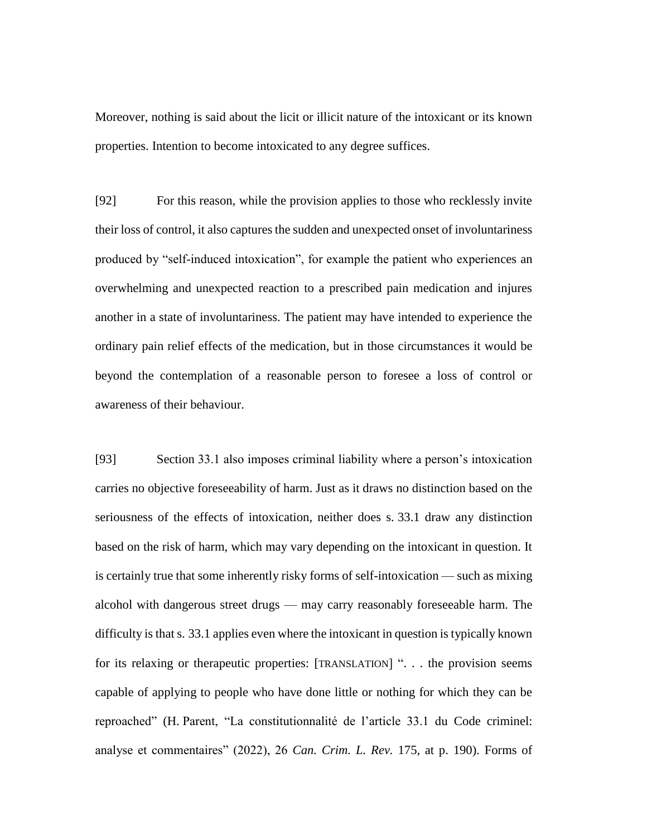Moreover, nothing is said about the licit or illicit nature of the intoxicant or its known properties. Intention to become intoxicated to any degree suffices.

[92] For this reason, while the provision applies to those who recklessly invite their loss of control, it also captures the sudden and unexpected onset of involuntariness produced by "self-induced intoxication", for example the patient who experiences an overwhelming and unexpected reaction to a prescribed pain medication and injures another in a state of involuntariness. The patient may have intended to experience the ordinary pain relief effects of the medication, but in those circumstances it would be beyond the contemplation of a reasonable person to foresee a loss of control or awareness of their behaviour.

[93] Section 33.1 also imposes criminal liability where a person's intoxication carries no objective foreseeability of harm. Just as it draws no distinction based on the seriousness of the effects of intoxication, neither does s. 33.1 draw any distinction based on the risk of harm, which may vary depending on the intoxicant in question. It is certainly true that some inherently risky forms of self-intoxication — such as mixing alcohol with dangerous street drugs — may carry reasonably foreseeable harm. The difficulty is that s. 33.1 applies even where the intoxicant in question is typically known for its relaxing or therapeutic properties: [TRANSLATION] ". . . the provision seems capable of applying to people who have done little or nothing for which they can be reproached" (H. Parent, "La constitutionnalité de l'article 33.1 du Code criminel: analyse et commentaires" (2022), 26 *Can. Crim. L. Rev.* 175, at p. 190). Forms of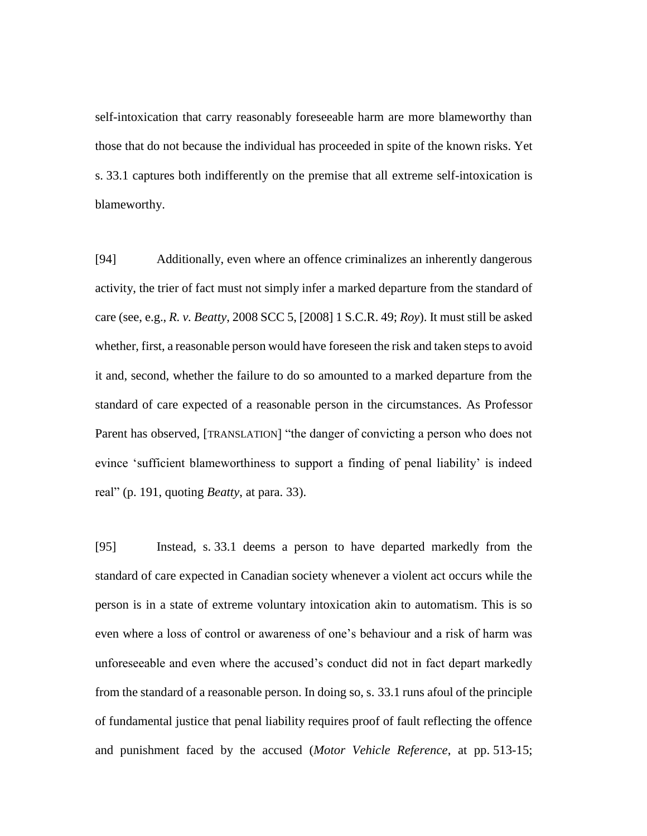self-intoxication that carry reasonably foreseeable harm are more blameworthy than those that do not because the individual has proceeded in spite of the known risks. Yet s. 33.1 captures both indifferently on the premise that all extreme self-intoxication is blameworthy.

[94] Additionally, even where an offence criminalizes an inherently dangerous activity, the trier of fact must not simply infer a marked departure from the standard of care (see, e.g., *R. v. Beatty*, 2008 SCC 5, [2008] 1 S.C.R. 49; *Roy*). It must still be asked whether, first, a reasonable person would have foreseen the risk and taken steps to avoid it and, second, whether the failure to do so amounted to a marked departure from the standard of care expected of a reasonable person in the circumstances. As Professor Parent has observed, [TRANSLATION] "the danger of convicting a person who does not evince 'sufficient blameworthiness to support a finding of penal liability' is indeed real" (p. 191, quoting *Beatty*, at para. 33).

[95] Instead, s. 33.1 deems a person to have departed markedly from the standard of care expected in Canadian society whenever a violent act occurs while the person is in a state of extreme voluntary intoxication akin to automatism. This is so even where a loss of control or awareness of one's behaviour and a risk of harm was unforeseeable and even where the accused's conduct did not in fact depart markedly from the standard of a reasonable person. In doing so, s. 33.1 runs afoul of the principle of fundamental justice that penal liability requires proof of fault reflecting the offence and punishment faced by the accused (*Motor Vehicle Reference*, at pp. 513-15;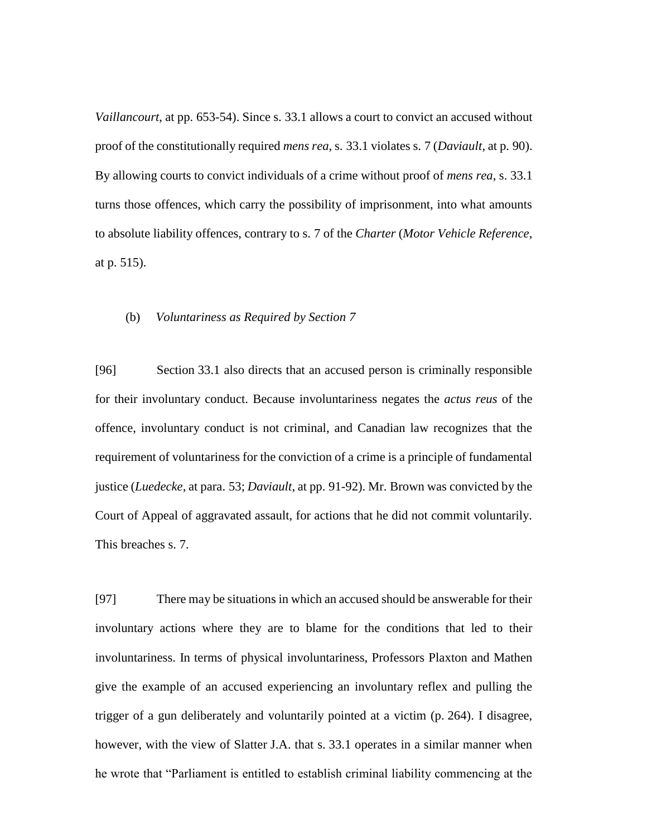*Vaillancourt*, at pp. 653-54). Since s. 33.1 allows a court to convict an accused without proof of the constitutionally required *mens rea*, s. 33.1 violates s. 7 (*Daviault*, at p. 90). By allowing courts to convict individuals of a crime without proof of *mens rea*, s. 33.1 turns those offences, which carry the possibility of imprisonment, into what amounts to absolute liability offences, contrary to s. 7 of the *Charter* (*Motor Vehicle Reference*, at p. 515).

# (b) *Voluntariness as Required by Section 7*

[96] Section 33.1 also directs that an accused person is criminally responsible for their involuntary conduct. Because involuntariness negates the *actus reus* of the offence, involuntary conduct is not criminal, and Canadian law recognizes that the requirement of voluntariness for the conviction of a crime is a principle of fundamental justice (*Luedecke*, at para. 53; *Daviault*, at pp. 91-92). Mr. Brown was convicted by the Court of Appeal of aggravated assault, for actions that he did not commit voluntarily. This breaches s. 7.

[97] There may be situations in which an accused should be answerable for their involuntary actions where they are to blame for the conditions that led to their involuntariness. In terms of physical involuntariness, Professors Plaxton and Mathen give the example of an accused experiencing an involuntary reflex and pulling the trigger of a gun deliberately and voluntarily pointed at a victim (p. 264). I disagree, however, with the view of Slatter J.A. that s. 33.1 operates in a similar manner when he wrote that "Parliament is entitled to establish criminal liability commencing at the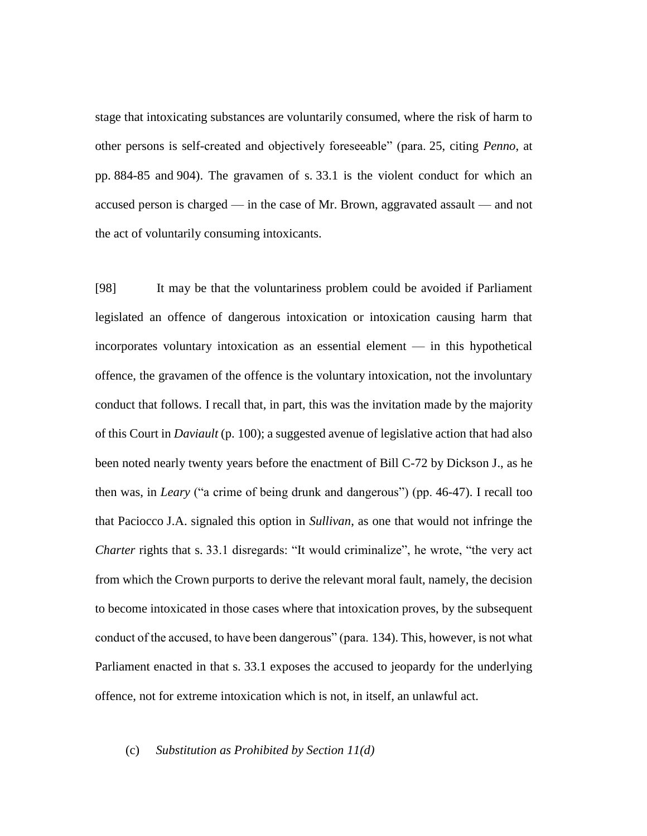stage that intoxicating substances are voluntarily consumed, where the risk of harm to other persons is self-created and objectively foreseeable" (para. 25, citing *Penno*, at pp. 884-85 and 904). The gravamen of s. 33.1 is the violent conduct for which an accused person is charged — in the case of Mr. Brown, aggravated assault — and not the act of voluntarily consuming intoxicants.

[98] It may be that the voluntariness problem could be avoided if Parliament legislated an offence of dangerous intoxication or intoxication causing harm that incorporates voluntary intoxication as an essential element — in this hypothetical offence, the gravamen of the offence is the voluntary intoxication, not the involuntary conduct that follows. I recall that, in part, this was the invitation made by the majority of this Court in *Daviault* (p. 100); a suggested avenue of legislative action that had also been noted nearly twenty years before the enactment of Bill C-72 by Dickson J., as he then was, in *Leary* ("a crime of being drunk and dangerous") (pp. 46-47). I recall too that Paciocco J.A. signaled this option in *Sullivan*, as one that would not infringe the *Charter* rights that s. 33.1 disregards: "It would criminalize", he wrote, "the very act from which the Crown purports to derive the relevant moral fault, namely, the decision to become intoxicated in those cases where that intoxication proves, by the subsequent conduct of the accused, to have been dangerous" (para. 134). This, however, is not what Parliament enacted in that s. 33.1 exposes the accused to jeopardy for the underlying offence, not for extreme intoxication which is not, in itself, an unlawful act.

# (c) *Substitution as Prohibited by Section 11(d)*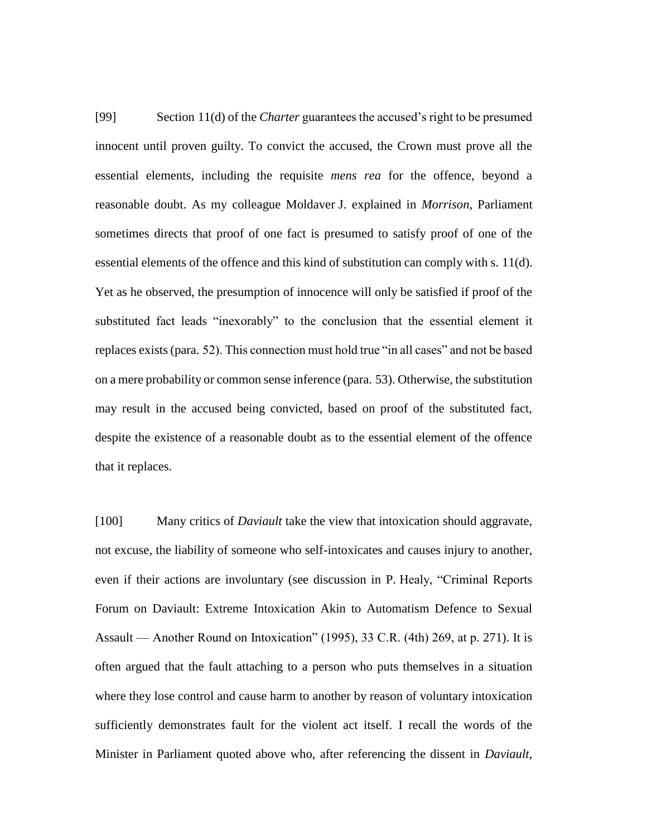[99] Section 11(d) of the *Charter* guarantees the accused's right to be presumed innocent until proven guilty. To convict the accused, the Crown must prove all the essential elements, including the requisite *mens rea* for the offence, beyond a reasonable doubt. As my colleague Moldaver J. explained in *Morrison*, Parliament sometimes directs that proof of one fact is presumed to satisfy proof of one of the essential elements of the offence and this kind of substitution can comply with s. 11(d). Yet as he observed, the presumption of innocence will only be satisfied if proof of the substituted fact leads "inexorably" to the conclusion that the essential element it replaces exists (para. 52). This connection must hold true "in all cases" and not be based on a mere probability or common sense inference (para. 53). Otherwise, the substitution may result in the accused being convicted, based on proof of the substituted fact, despite the existence of a reasonable doubt as to the essential element of the offence that it replaces.

[100] Many critics of *Daviault* take the view that intoxication should aggravate, not excuse, the liability of someone who self-intoxicates and causes injury to another, even if their actions are involuntary (see discussion in P. Healy, "Criminal Reports Forum on Daviault: Extreme Intoxication Akin to Automatism Defence to Sexual Assault — Another Round on Intoxication" (1995), 33 C.R. (4th) 269, at p. 271). It is often argued that the fault attaching to a person who puts themselves in a situation where they lose control and cause harm to another by reason of voluntary intoxication sufficiently demonstrates fault for the violent act itself. I recall the words of the Minister in Parliament quoted above who, after referencing the dissent in *Daviault*,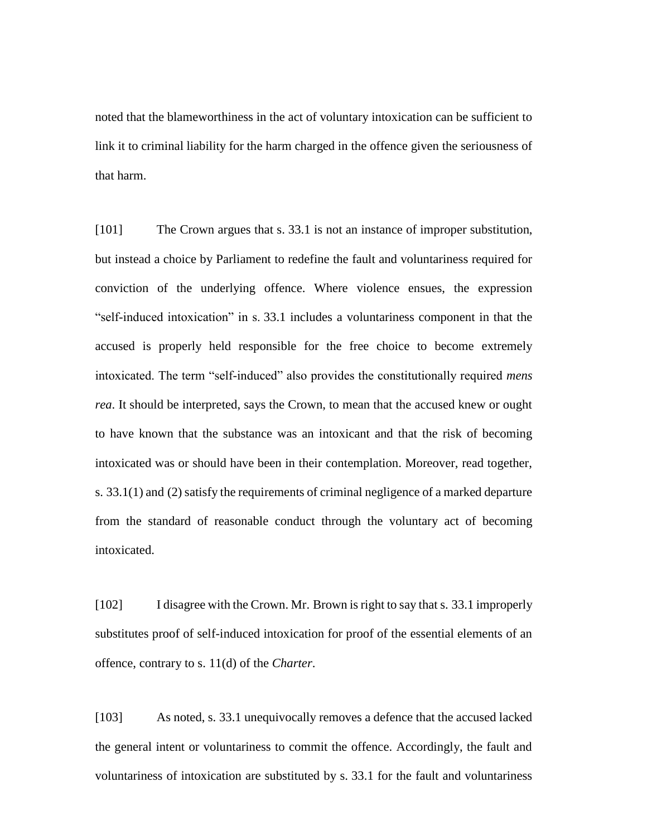noted that the blameworthiness in the act of voluntary intoxication can be sufficient to link it to criminal liability for the harm charged in the offence given the seriousness of that harm.

[101] The Crown argues that s. 33.1 is not an instance of improper substitution, but instead a choice by Parliament to redefine the fault and voluntariness required for conviction of the underlying offence. Where violence ensues, the expression "self-induced intoxication" in s. 33.1 includes a voluntariness component in that the accused is properly held responsible for the free choice to become extremely intoxicated. The term "self-induced" also provides the constitutionally required *mens rea*. It should be interpreted, says the Crown, to mean that the accused knew or ought to have known that the substance was an intoxicant and that the risk of becoming intoxicated was or should have been in their contemplation. Moreover, read together, s. 33.1(1) and (2) satisfy the requirements of criminal negligence of a marked departure from the standard of reasonable conduct through the voluntary act of becoming intoxicated.

[102] I disagree with the Crown. Mr. Brown is right to say that s. 33.1 improperly substitutes proof of self-induced intoxication for proof of the essential elements of an offence, contrary to s. 11(d) of the *Charter*.

[103] As noted, s. 33.1 unequivocally removes a defence that the accused lacked the general intent or voluntariness to commit the offence. Accordingly, the fault and voluntariness of intoxication are substituted by s. 33.1 for the fault and voluntariness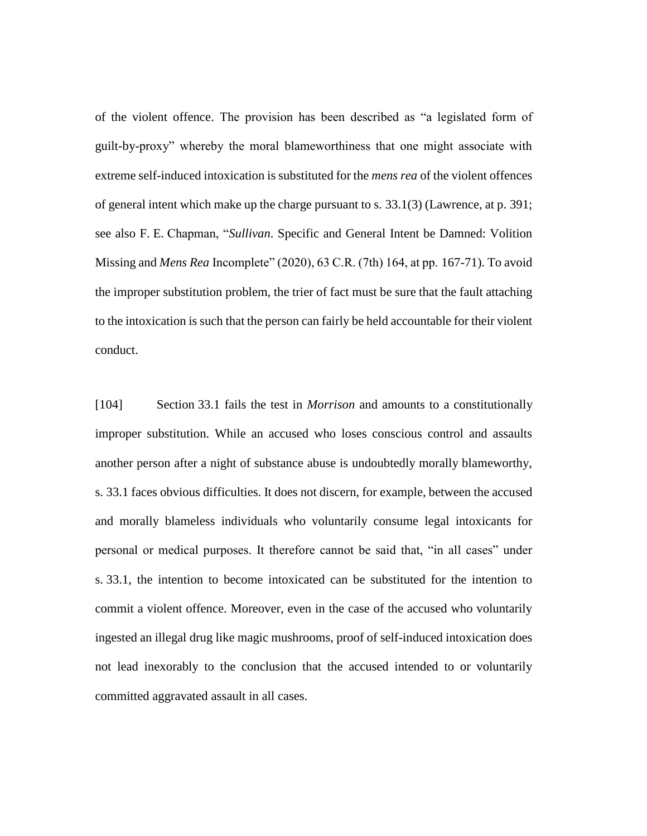of the violent offence. The provision has been described as "a legislated form of guilt-by-proxy" whereby the moral blameworthiness that one might associate with extreme self-induced intoxication is substituted for the *mens rea* of the violent offences of general intent which make up the charge pursuant to s. 33.1(3) (Lawrence, at p. 391; see also F. E. Chapman, "*Sullivan*. Specific and General Intent be Damned: Volition Missing and *Mens Rea* Incomplete" (2020), 63 C.R. (7th) 164, at pp. 167-71). To avoid the improper substitution problem, the trier of fact must be sure that the fault attaching to the intoxication is such that the person can fairly be held accountable for their violent conduct.

[104] Section 33.1 fails the test in *Morrison* and amounts to a constitutionally improper substitution. While an accused who loses conscious control and assaults another person after a night of substance abuse is undoubtedly morally blameworthy, s. 33.1 faces obvious difficulties. It does not discern, for example, between the accused and morally blameless individuals who voluntarily consume legal intoxicants for personal or medical purposes. It therefore cannot be said that, "in all cases" under s. 33.1, the intention to become intoxicated can be substituted for the intention to commit a violent offence. Moreover, even in the case of the accused who voluntarily ingested an illegal drug like magic mushrooms, proof of self-induced intoxication does not lead inexorably to the conclusion that the accused intended to or voluntarily committed aggravated assault in all cases.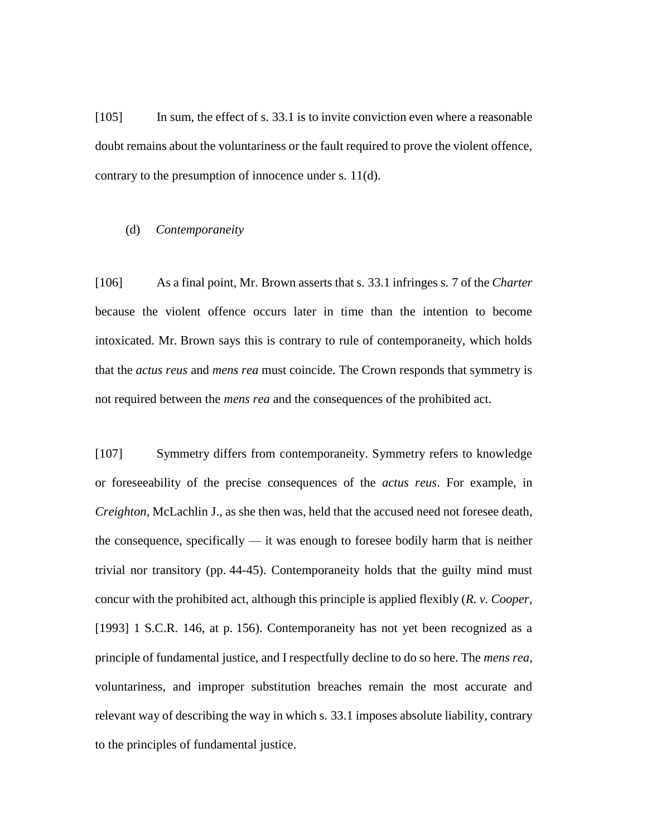[105] In sum, the effect of s. 33.1 is to invite conviction even where a reasonable doubt remains about the voluntariness or the fault required to prove the violent offence, contrary to the presumption of innocence under s. 11(d).

### (d) *Contemporaneity*

[106] As a final point, Mr. Brown asserts that s. 33.1 infringes s. 7 of the *Charter* because the violent offence occurs later in time than the intention to become intoxicated. Mr. Brown says this is contrary to rule of contemporaneity, which holds that the *actus reus* and *mens rea* must coincide. The Crown responds that symmetry is not required between the *mens rea* and the consequences of the prohibited act.

[107] Symmetry differs from contemporaneity. Symmetry refers to knowledge or foreseeability of the precise consequences of the *actus reus*. For example, in *Creighton*, McLachlin J., as she then was, held that the accused need not foresee death, the consequence, specifically — it was enough to foresee bodily harm that is neither trivial nor transitory (pp. 44-45). Contemporaneity holds that the guilty mind must concur with the prohibited act, although this principle is applied flexibly (*R. v. Cooper*, [1993] 1 S.C.R. 146, at p. 156). Contemporaneity has not yet been recognized as a principle of fundamental justice, and I respectfully decline to do so here. The *mens rea*, voluntariness, and improper substitution breaches remain the most accurate and relevant way of describing the way in which s. 33.1 imposes absolute liability, contrary to the principles of fundamental justice.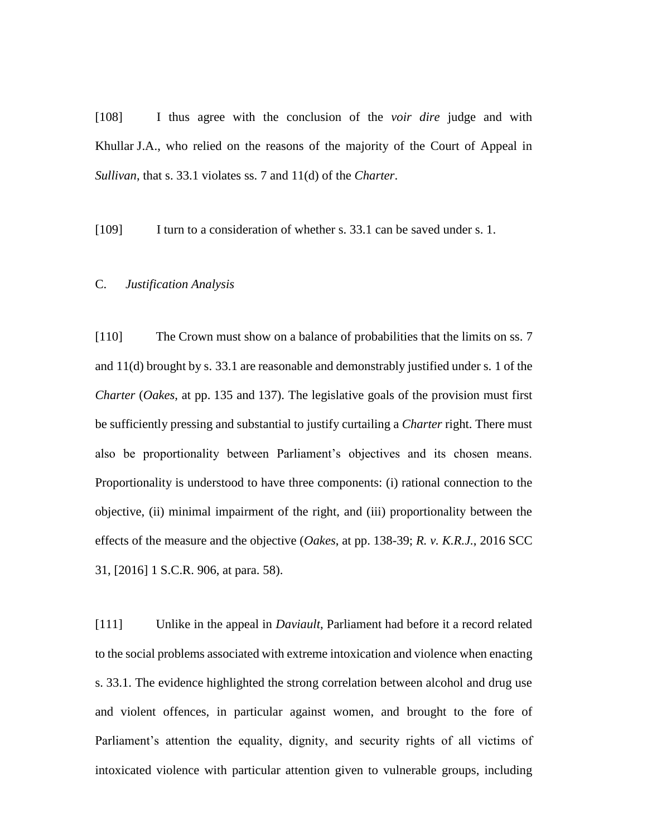[108] I thus agree with the conclusion of the *voir dire* judge and with Khullar J.A., who relied on the reasons of the majority of the Court of Appeal in *Sullivan*, that s. 33.1 violates ss. 7 and 11(d) of the *Charter*.

[109] I turn to a consideration of whether s. 33.1 can be saved under s. 1.

# C. *Justification Analysis*

[110] The Crown must show on a balance of probabilities that the limits on ss. 7 and 11(d) brought by s. 33.1 are reasonable and demonstrably justified under s. 1 of the *Charter* (*Oakes*, at pp. 135 and 137). The legislative goals of the provision must first be sufficiently pressing and substantial to justify curtailing a *Charter* right. There must also be proportionality between Parliament's objectives and its chosen means. Proportionality is understood to have three components: (i) rational connection to the objective, (ii) minimal impairment of the right, and (iii) proportionality between the effects of the measure and the objective (*Oakes*, at pp. 138-39; *R. v. K.R.J.*, 2016 SCC 31, [2016] 1 S.C.R. 906, at para. 58).

[111] Unlike in the appeal in *Daviault*, Parliament had before it a record related to the social problems associated with extreme intoxication and violence when enacting s. 33.1. The evidence highlighted the strong correlation between alcohol and drug use and violent offences, in particular against women, and brought to the fore of Parliament's attention the equality, dignity, and security rights of all victims of intoxicated violence with particular attention given to vulnerable groups, including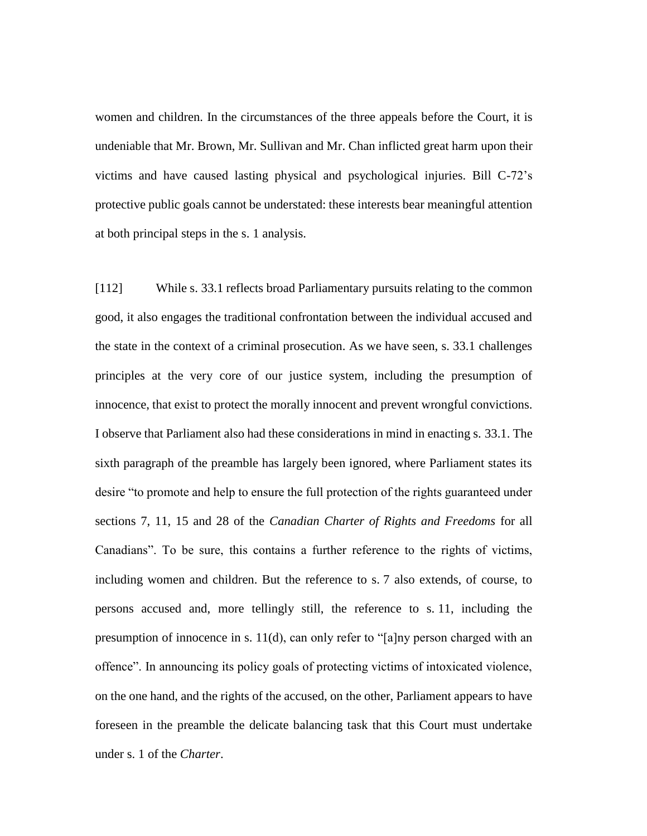women and children. In the circumstances of the three appeals before the Court, it is undeniable that Mr. Brown, Mr. Sullivan and Mr. Chan inflicted great harm upon their victims and have caused lasting physical and psychological injuries. Bill C-72's protective public goals cannot be understated: these interests bear meaningful attention at both principal steps in the s. 1 analysis.

[112] While s. 33.1 reflects broad Parliamentary pursuits relating to the common good, it also engages the traditional confrontation between the individual accused and the state in the context of a criminal prosecution. As we have seen, s. 33.1 challenges principles at the very core of our justice system, including the presumption of innocence, that exist to protect the morally innocent and prevent wrongful convictions. I observe that Parliament also had these considerations in mind in enacting s. 33.1. The sixth paragraph of the preamble has largely been ignored, where Parliament states its desire "to promote and help to ensure the full protection of the rights guaranteed under sections 7, 11, 15 and 28 of the *Canadian Charter of Rights and Freedoms* for all Canadians". To be sure, this contains a further reference to the rights of victims, including women and children. But the reference to s. 7 also extends, of course, to persons accused and, more tellingly still, the reference to s. 11, including the presumption of innocence in s. 11(d), can only refer to "[a]ny person charged with an offence". In announcing its policy goals of protecting victims of intoxicated violence, on the one hand, and the rights of the accused, on the other, Parliament appears to have foreseen in the preamble the delicate balancing task that this Court must undertake under s. 1 of the *Charter*.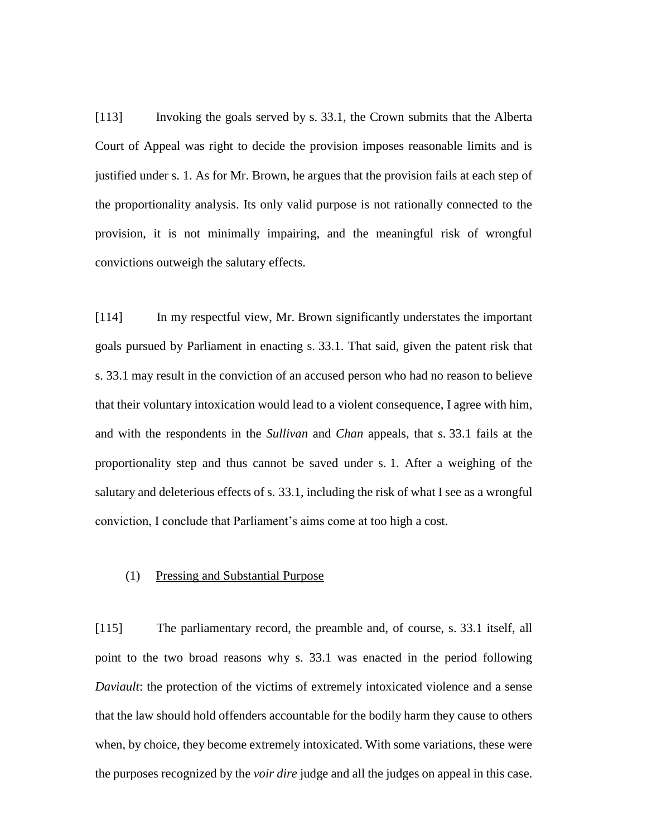[113] Invoking the goals served by s. 33.1, the Crown submits that the Alberta Court of Appeal was right to decide the provision imposes reasonable limits and is justified under s. 1. As for Mr. Brown, he argues that the provision fails at each step of the proportionality analysis. Its only valid purpose is not rationally connected to the provision, it is not minimally impairing, and the meaningful risk of wrongful convictions outweigh the salutary effects.

[114] In my respectful view, Mr. Brown significantly understates the important goals pursued by Parliament in enacting s. 33.1. That said, given the patent risk that s. 33.1 may result in the conviction of an accused person who had no reason to believe that their voluntary intoxication would lead to a violent consequence, I agree with him, and with the respondents in the *Sullivan* and *Chan* appeals, that s. 33.1 fails at the proportionality step and thus cannot be saved under s. 1. After a weighing of the salutary and deleterious effects of s. 33.1, including the risk of what I see as a wrongful conviction, I conclude that Parliament's aims come at too high a cost.

## (1) Pressing and Substantial Purpose

[115] The parliamentary record, the preamble and, of course, s. 33.1 itself, all point to the two broad reasons why s. 33.1 was enacted in the period following *Daviault*: the protection of the victims of extremely intoxicated violence and a sense that the law should hold offenders accountable for the bodily harm they cause to others when, by choice, they become extremely intoxicated. With some variations, these were the purposes recognized by the *voir dire* judge and all the judges on appeal in this case.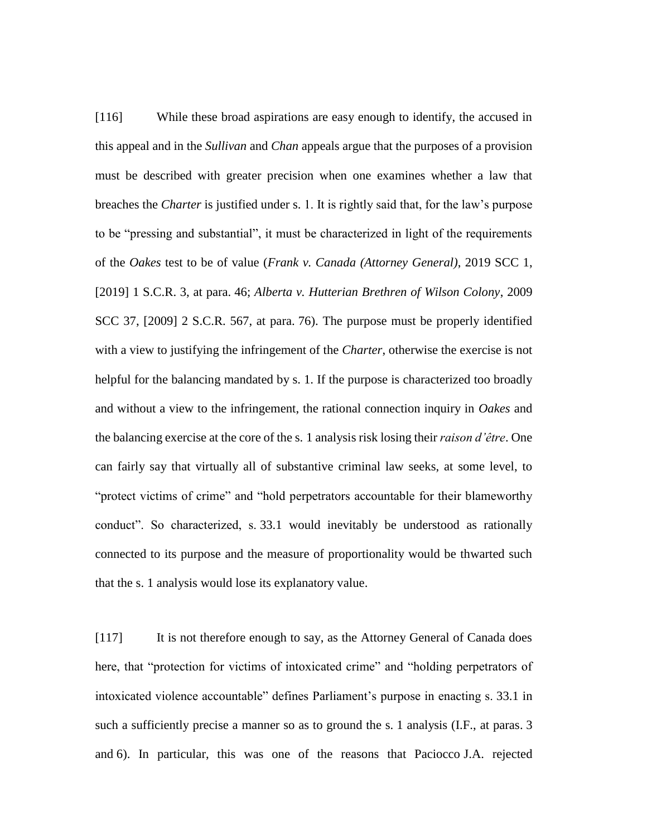[116] While these broad aspirations are easy enough to identify, the accused in this appeal and in the *Sullivan* and *Chan* appeals argue that the purposes of a provision must be described with greater precision when one examines whether a law that breaches the *Charter* is justified under s. 1. It is rightly said that, for the law's purpose to be "pressing and substantial", it must be characterized in light of the requirements of the *Oakes* test to be of value (*Frank v. Canada (Attorney General)*, 2019 SCC 1, [2019] 1 S.C.R. 3, at para. 46; *Alberta v. Hutterian Brethren of Wilson Colony*, 2009 SCC 37, [2009] 2 S.C.R. 567, at para. 76). The purpose must be properly identified with a view to justifying the infringement of the *Charter*, otherwise the exercise is not helpful for the balancing mandated by s. 1. If the purpose is characterized too broadly and without a view to the infringement, the rational connection inquiry in *Oakes* and the balancing exercise at the core of the s. 1 analysis risk losing their *raison d'être*. One can fairly say that virtually all of substantive criminal law seeks, at some level, to "protect victims of crime" and "hold perpetrators accountable for their blameworthy conduct". So characterized, s. 33.1 would inevitably be understood as rationally connected to its purpose and the measure of proportionality would be thwarted such that the s. 1 analysis would lose its explanatory value.

[117] It is not therefore enough to say, as the Attorney General of Canada does here, that "protection for victims of intoxicated crime" and "holding perpetrators of intoxicated violence accountable" defines Parliament's purpose in enacting s. 33.1 in such a sufficiently precise a manner so as to ground the s. 1 analysis (I.F., at paras. 3 and 6). In particular, this was one of the reasons that Paciocco J.A. rejected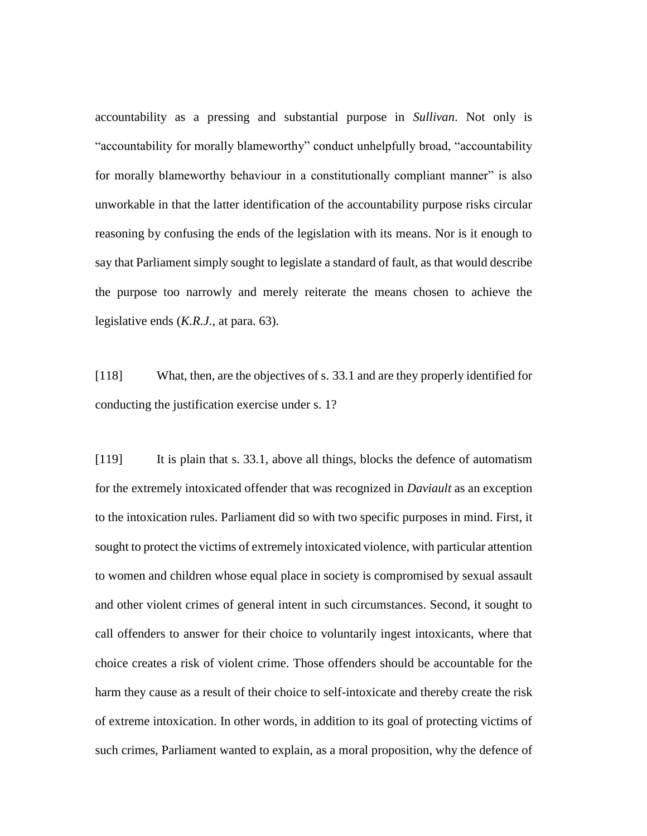accountability as a pressing and substantial purpose in *Sullivan*. Not only is "accountability for morally blameworthy" conduct unhelpfully broad, "accountability for morally blameworthy behaviour in a constitutionally compliant manner" is also unworkable in that the latter identification of the accountability purpose risks circular reasoning by confusing the ends of the legislation with its means. Nor is it enough to say that Parliament simply sought to legislate a standard of fault, as that would describe the purpose too narrowly and merely reiterate the means chosen to achieve the legislative ends (*K.R.J.*, at para. 63).

[118] What, then, are the objectives of s. 33.1 and are they properly identified for conducting the justification exercise under s. 1?

[119] It is plain that s. 33.1, above all things, blocks the defence of automatism for the extremely intoxicated offender that was recognized in *Daviault* as an exception to the intoxication rules. Parliament did so with two specific purposes in mind. First, it sought to protect the victims of extremely intoxicated violence, with particular attention to women and children whose equal place in society is compromised by sexual assault and other violent crimes of general intent in such circumstances. Second, it sought to call offenders to answer for their choice to voluntarily ingest intoxicants, where that choice creates a risk of violent crime. Those offenders should be accountable for the harm they cause as a result of their choice to self-intoxicate and thereby create the risk of extreme intoxication. In other words, in addition to its goal of protecting victims of such crimes, Parliament wanted to explain, as a moral proposition, why the defence of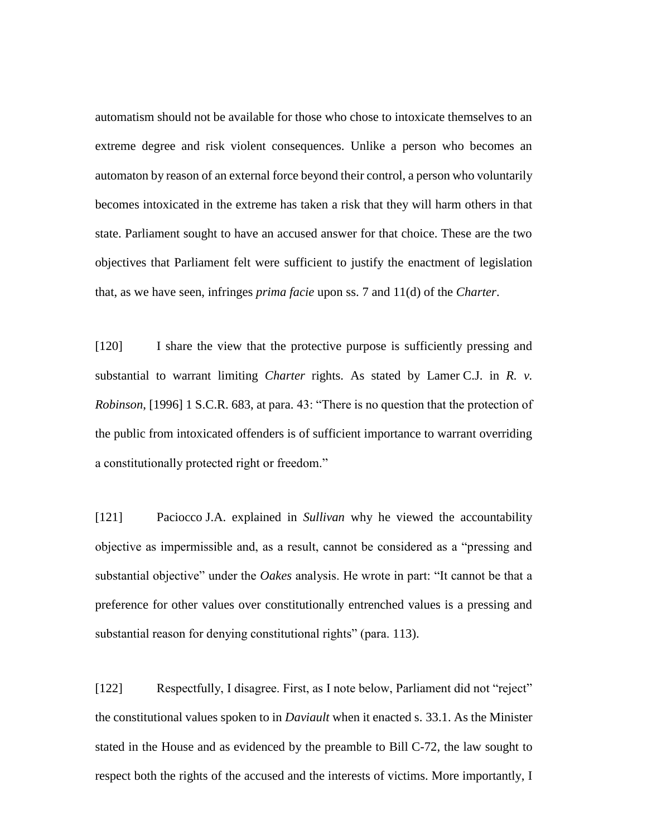automatism should not be available for those who chose to intoxicate themselves to an extreme degree and risk violent consequences. Unlike a person who becomes an automaton by reason of an external force beyond their control, a person who voluntarily becomes intoxicated in the extreme has taken a risk that they will harm others in that state. Parliament sought to have an accused answer for that choice. These are the two objectives that Parliament felt were sufficient to justify the enactment of legislation that, as we have seen, infringes *prima facie* upon ss. 7 and 11(d) of the *Charter*.

[120] I share the view that the protective purpose is sufficiently pressing and substantial to warrant limiting *Charter* rights. As stated by Lamer C.J. in *R. v. Robinson*, [1996] 1 S.C.R. 683, at para. 43: "There is no question that the protection of the public from intoxicated offenders is of sufficient importance to warrant overriding a constitutionally protected right or freedom."

[121] Paciocco J.A. explained in *Sullivan* why he viewed the accountability objective as impermissible and, as a result, cannot be considered as a "pressing and substantial objective" under the *Oakes* analysis. He wrote in part: "It cannot be that a preference for other values over constitutionally entrenched values is a pressing and substantial reason for denying constitutional rights" (para. 113).

[122] Respectfully, I disagree. First, as I note below, Parliament did not "reject" the constitutional values spoken to in *Daviault* when it enacted s. 33.1. As the Minister stated in the House and as evidenced by the preamble to Bill C-72, the law sought to respect both the rights of the accused and the interests of victims. More importantly, I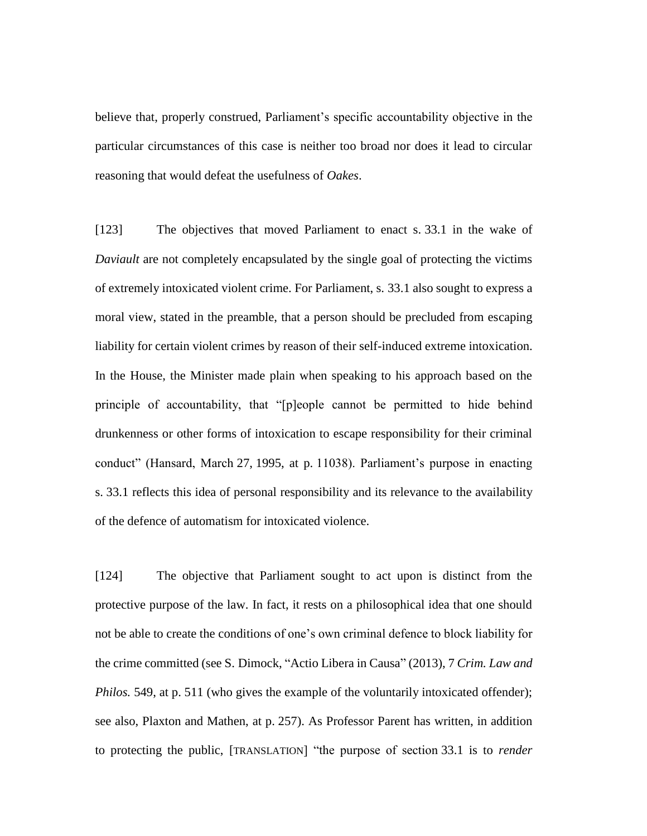believe that, properly construed, Parliament's specific accountability objective in the particular circumstances of this case is neither too broad nor does it lead to circular reasoning that would defeat the usefulness of *Oakes*.

[123] The objectives that moved Parliament to enact s. 33.1 in the wake of *Daviault* are not completely encapsulated by the single goal of protecting the victims of extremely intoxicated violent crime. For Parliament, s. 33.1 also sought to express a moral view, stated in the preamble, that a person should be precluded from escaping liability for certain violent crimes by reason of their self-induced extreme intoxication. In the House, the Minister made plain when speaking to his approach based on the principle of accountability, that "[p]eople cannot be permitted to hide behind drunkenness or other forms of intoxication to escape responsibility for their criminal conduct" (Hansard, March 27, 1995, at p. 11038). Parliament's purpose in enacting s. 33.1 reflects this idea of personal responsibility and its relevance to the availability of the defence of automatism for intoxicated violence.

[124] The objective that Parliament sought to act upon is distinct from the protective purpose of the law. In fact, it rests on a philosophical idea that one should not be able to create the conditions of one's own criminal defence to block liability for the crime committed (see S. Dimock, "Actio Libera in Causa" (2013), 7 *Crim. Law and Philos.* 549, at p. 511 (who gives the example of the voluntarily intoxicated offender); see also, Plaxton and Mathen, at p. 257). As Professor Parent has written, in addition to protecting the public, [TRANSLATION] "the purpose of section 33.1 is to *render*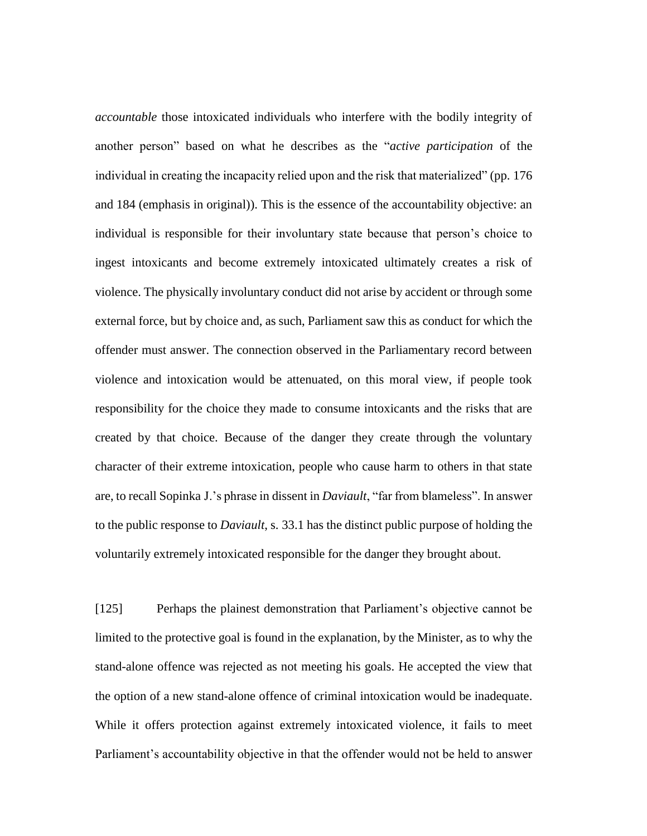*accountable* those intoxicated individuals who interfere with the bodily integrity of another person" based on what he describes as the "*active participation* of the individual in creating the incapacity relied upon and the risk that materialized" (pp. 176 and 184 (emphasis in original)). This is the essence of the accountability objective: an individual is responsible for their involuntary state because that person's choice to ingest intoxicants and become extremely intoxicated ultimately creates a risk of violence. The physically involuntary conduct did not arise by accident or through some external force, but by choice and, as such, Parliament saw this as conduct for which the offender must answer. The connection observed in the Parliamentary record between violence and intoxication would be attenuated, on this moral view, if people took responsibility for the choice they made to consume intoxicants and the risks that are created by that choice. Because of the danger they create through the voluntary character of their extreme intoxication, people who cause harm to others in that state are, to recall Sopinka J.'s phrase in dissent in *Daviault*, "far from blameless". In answer to the public response to *Daviault*, s. 33.1 has the distinct public purpose of holding the voluntarily extremely intoxicated responsible for the danger they brought about.

[125] Perhaps the plainest demonstration that Parliament's objective cannot be limited to the protective goal is found in the explanation, by the Minister, as to why the stand-alone offence was rejected as not meeting his goals. He accepted the view that the option of a new stand-alone offence of criminal intoxication would be inadequate. While it offers protection against extremely intoxicated violence, it fails to meet Parliament's accountability objective in that the offender would not be held to answer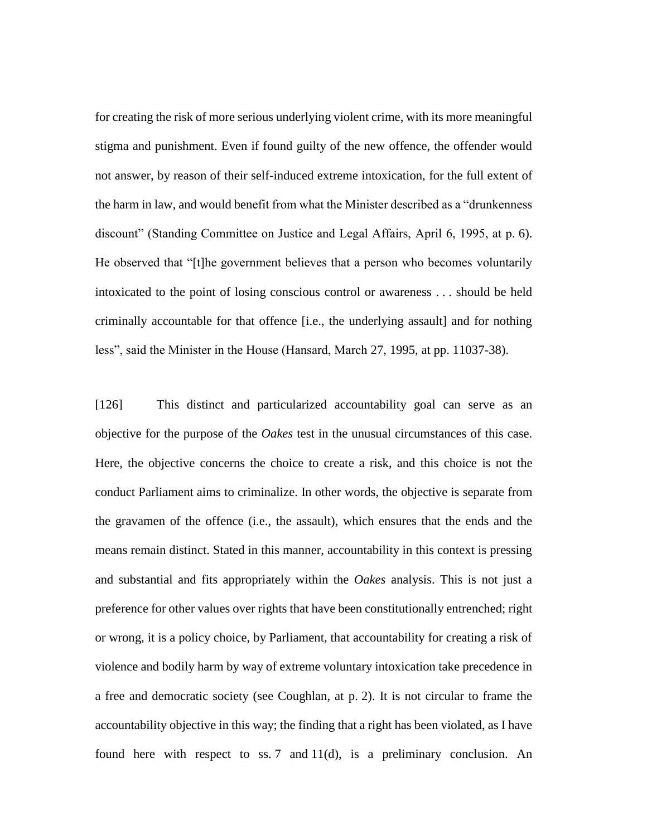for creating the risk of more serious underlying violent crime, with its more meaningful stigma and punishment. Even if found guilty of the new offence, the offender would not answer, by reason of their self-induced extreme intoxication, for the full extent of the harm in law, and would benefit from what the Minister described as a "drunkenness discount" (Standing Committee on Justice and Legal Affairs, April 6, 1995, at p. 6). He observed that "[t]he government believes that a person who becomes voluntarily intoxicated to the point of losing conscious control or awareness . . . should be held criminally accountable for that offence [i.e., the underlying assault] and for nothing less", said the Minister in the House (Hansard, March 27, 1995, at pp. 11037-38).

[126] This distinct and particularized accountability goal can serve as an objective for the purpose of the *Oakes* test in the unusual circumstances of this case. Here, the objective concerns the choice to create a risk, and this choice is not the conduct Parliament aims to criminalize. In other words, the objective is separate from the gravamen of the offence (i.e., the assault), which ensures that the ends and the means remain distinct. Stated in this manner, accountability in this context is pressing and substantial and fits appropriately within the *Oakes* analysis. This is not just a preference for other values over rights that have been constitutionally entrenched; right or wrong, it is a policy choice, by Parliament, that accountability for creating a risk of violence and bodily harm by way of extreme voluntary intoxication take precedence in a free and democratic society (see Coughlan, at p. 2). It is not circular to frame the accountability objective in this way; the finding that a right has been violated, as I have found here with respect to ss. 7 and 11(d), is a preliminary conclusion. An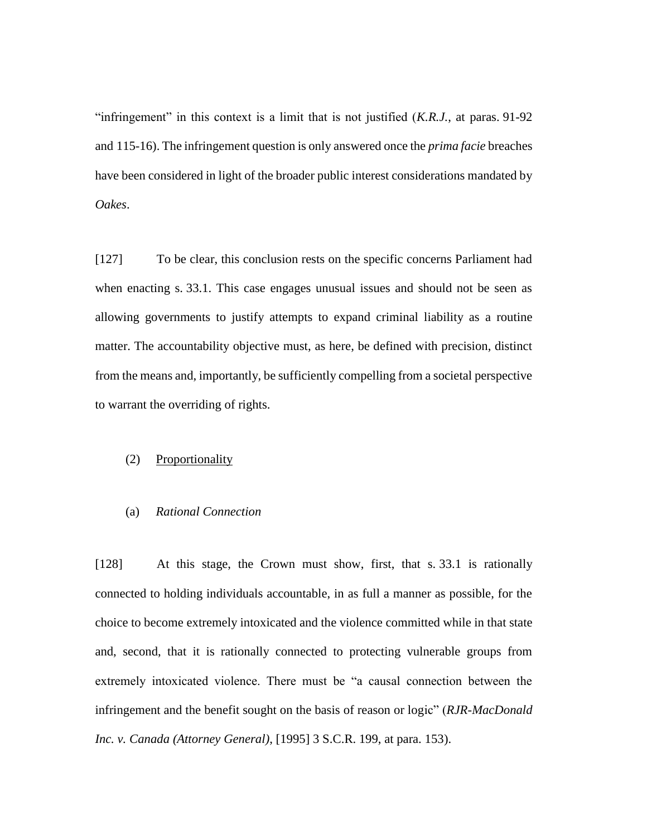"infringement" in this context is a limit that is not justified (*K.R.J.*, at paras. 91-92 and 115-16). The infringement question is only answered once the *prima facie* breaches have been considered in light of the broader public interest considerations mandated by *Oakes*.

[127] To be clear, this conclusion rests on the specific concerns Parliament had when enacting s. 33.1. This case engages unusual issues and should not be seen as allowing governments to justify attempts to expand criminal liability as a routine matter. The accountability objective must, as here, be defined with precision, distinct from the means and, importantly, be sufficiently compelling from a societal perspective to warrant the overriding of rights.

## (2) Proportionality

# (a) *Rational Connection*

[128] At this stage, the Crown must show, first, that s. 33.1 is rationally connected to holding individuals accountable, in as full a manner as possible, for the choice to become extremely intoxicated and the violence committed while in that state and, second, that it is rationally connected to protecting vulnerable groups from extremely intoxicated violence. There must be "a causal connection between the infringement and the benefit sought on the basis of reason or logic" (*RJR-MacDonald Inc. v. Canada (Attorney General)*, [1995] 3 S.C.R. 199, at para. 153).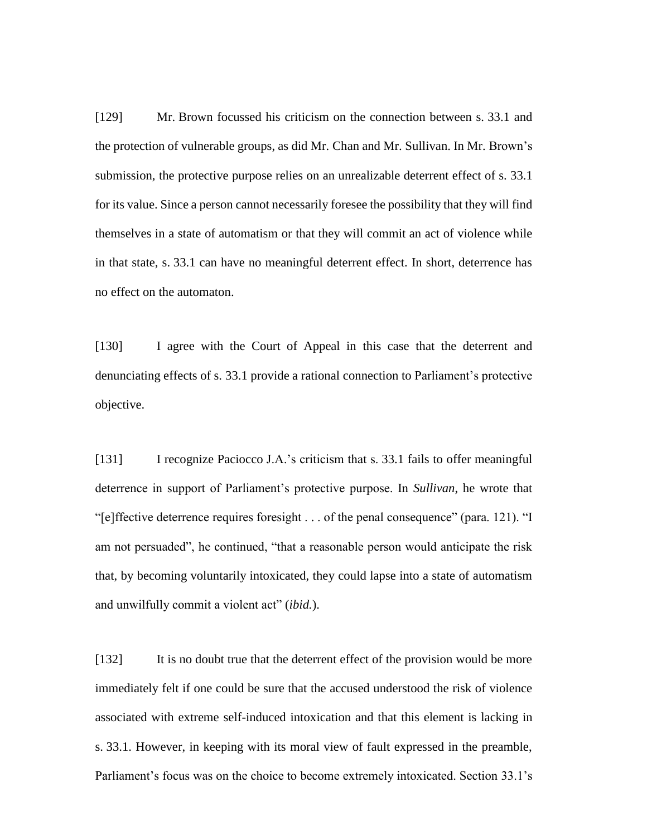[129] Mr. Brown focussed his criticism on the connection between s. 33.1 and the protection of vulnerable groups, as did Mr. Chan and Mr. Sullivan. In Mr. Brown's submission, the protective purpose relies on an unrealizable deterrent effect of s. 33.1 for its value. Since a person cannot necessarily foresee the possibility that they will find themselves in a state of automatism or that they will commit an act of violence while in that state, s. 33.1 can have no meaningful deterrent effect. In short, deterrence has no effect on the automaton.

[130] I agree with the Court of Appeal in this case that the deterrent and denunciating effects of s. 33.1 provide a rational connection to Parliament's protective objective.

[131] I recognize Paciocco J.A.'s criticism that s. 33.1 fails to offer meaningful deterrence in support of Parliament's protective purpose. In *Sullivan*, he wrote that "[e]ffective deterrence requires foresight . . . of the penal consequence" (para. 121). "I am not persuaded", he continued, "that a reasonable person would anticipate the risk that, by becoming voluntarily intoxicated, they could lapse into a state of automatism and unwilfully commit a violent act" (*ibid.*).

[132] It is no doubt true that the deterrent effect of the provision would be more immediately felt if one could be sure that the accused understood the risk of violence associated with extreme self-induced intoxication and that this element is lacking in s. 33.1. However, in keeping with its moral view of fault expressed in the preamble, Parliament's focus was on the choice to become extremely intoxicated. Section 33.1's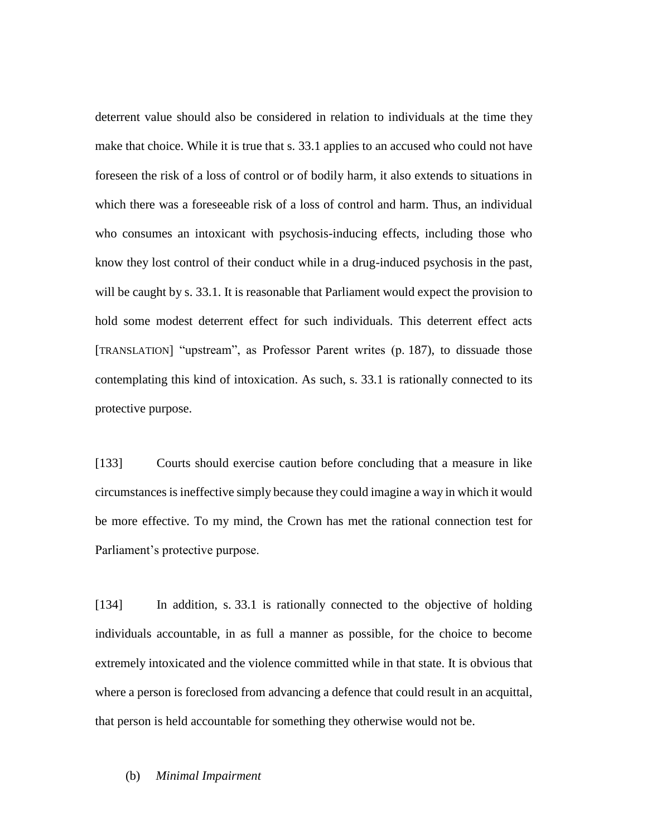deterrent value should also be considered in relation to individuals at the time they make that choice. While it is true that s. 33.1 applies to an accused who could not have foreseen the risk of a loss of control or of bodily harm, it also extends to situations in which there was a foreseeable risk of a loss of control and harm. Thus, an individual who consumes an intoxicant with psychosis-inducing effects, including those who know they lost control of their conduct while in a drug-induced psychosis in the past, will be caught by s. 33.1. It is reasonable that Parliament would expect the provision to hold some modest deterrent effect for such individuals. This deterrent effect acts [TRANSLATION] "upstream", as Professor Parent writes (p. 187), to dissuade those contemplating this kind of intoxication. As such, s. 33.1 is rationally connected to its protective purpose.

[133] Courts should exercise caution before concluding that a measure in like circumstances is ineffective simply because they could imagine a way in which it would be more effective. To my mind, the Crown has met the rational connection test for Parliament's protective purpose.

[134] In addition, s. 33.1 is rationally connected to the objective of holding individuals accountable, in as full a manner as possible, for the choice to become extremely intoxicated and the violence committed while in that state. It is obvious that where a person is foreclosed from advancing a defence that could result in an acquittal, that person is held accountable for something they otherwise would not be.

#### (b) *Minimal Impairment*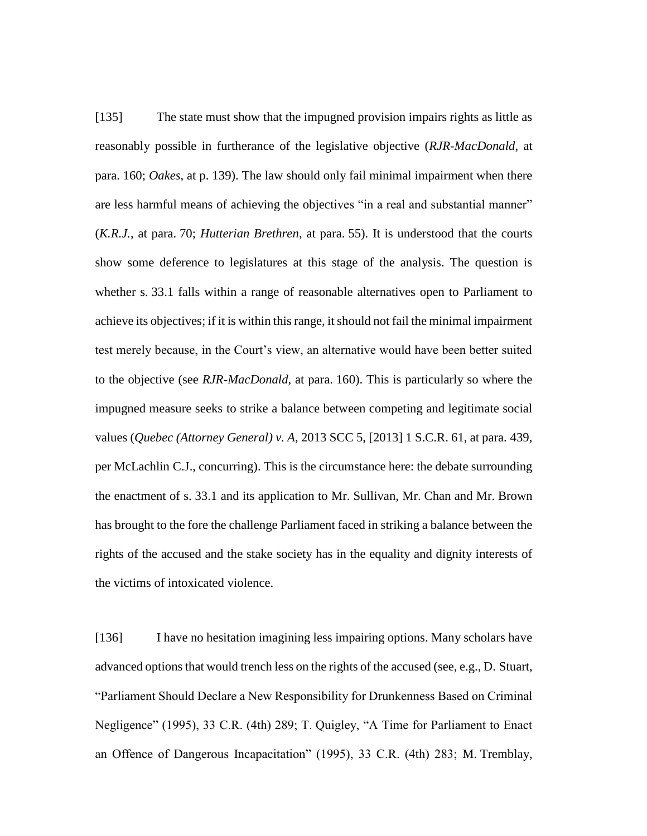[135] The state must show that the impugned provision impairs rights as little as reasonably possible in furtherance of the legislative objective (*RJR-MacDonald*, at para. 160; *Oakes*, at p. 139). The law should only fail minimal impairment when there are less harmful means of achieving the objectives "in a real and substantial manner" (*K.R.J.*, at para. 70; *Hutterian Brethren*, at para. 55). It is understood that the courts show some deference to legislatures at this stage of the analysis. The question is whether s. 33.1 falls within a range of reasonable alternatives open to Parliament to achieve its objectives; if it is within this range, it should not fail the minimal impairment test merely because, in the Court's view, an alternative would have been better suited to the objective (see *RJR-MacDonald*, at para. 160). This is particularly so where the impugned measure seeks to strike a balance between competing and legitimate social values (*Quebec (Attorney General) v. A*, 2013 SCC 5, [2013] 1 S.C.R. 61, at para. 439, per McLachlin C.J., concurring). This is the circumstance here: the debate surrounding the enactment of s. 33.1 and its application to Mr. Sullivan, Mr. Chan and Mr. Brown has brought to the fore the challenge Parliament faced in striking a balance between the rights of the accused and the stake society has in the equality and dignity interests of the victims of intoxicated violence.

[136] I have no hesitation imagining less impairing options. Many scholars have advanced options that would trench less on the rights of the accused (see, e.g., D. Stuart, "Parliament Should Declare a New Responsibility for Drunkenness Based on Criminal Negligence" (1995), 33 C.R. (4th) 289; T. Quigley, "A Time for Parliament to Enact an Offence of Dangerous Incapacitation" (1995), 33 C.R. (4th) 283; M. Tremblay,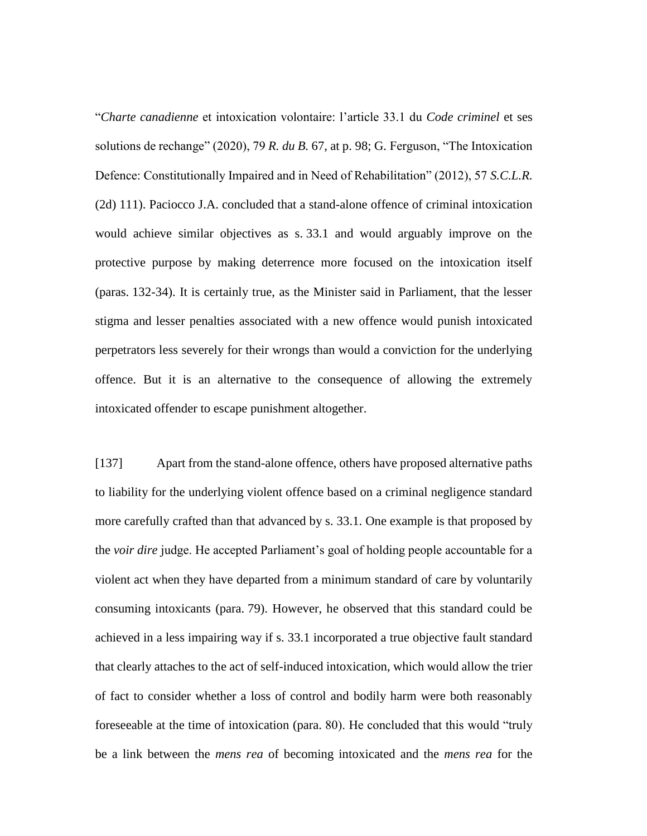"*Charte canadienne* et intoxication volontaire: l'article 33.1 du *Code criminel* et ses solutions de rechange" (2020), 79 *R. du B.* 67, at p. 98; G. Ferguson, "The Intoxication Defence: Constitutionally Impaired and in Need of Rehabilitation" (2012), 57 *S.C.L.R.* (2d) 111). Paciocco J.A. concluded that a stand-alone offence of criminal intoxication would achieve similar objectives as s. 33.1 and would arguably improve on the protective purpose by making deterrence more focused on the intoxication itself (paras. 132-34). It is certainly true, as the Minister said in Parliament, that the lesser stigma and lesser penalties associated with a new offence would punish intoxicated perpetrators less severely for their wrongs than would a conviction for the underlying offence. But it is an alternative to the consequence of allowing the extremely intoxicated offender to escape punishment altogether.

[137] Apart from the stand-alone offence, others have proposed alternative paths to liability for the underlying violent offence based on a criminal negligence standard more carefully crafted than that advanced by s. 33.1. One example is that proposed by the *voir dire* judge. He accepted Parliament's goal of holding people accountable for a violent act when they have departed from a minimum standard of care by voluntarily consuming intoxicants (para. 79). However, he observed that this standard could be achieved in a less impairing way if s. 33.1 incorporated a true objective fault standard that clearly attaches to the act of self-induced intoxication, which would allow the trier of fact to consider whether a loss of control and bodily harm were both reasonably foreseeable at the time of intoxication (para. 80). He concluded that this would "truly be a link between the *mens rea* of becoming intoxicated and the *mens rea* for the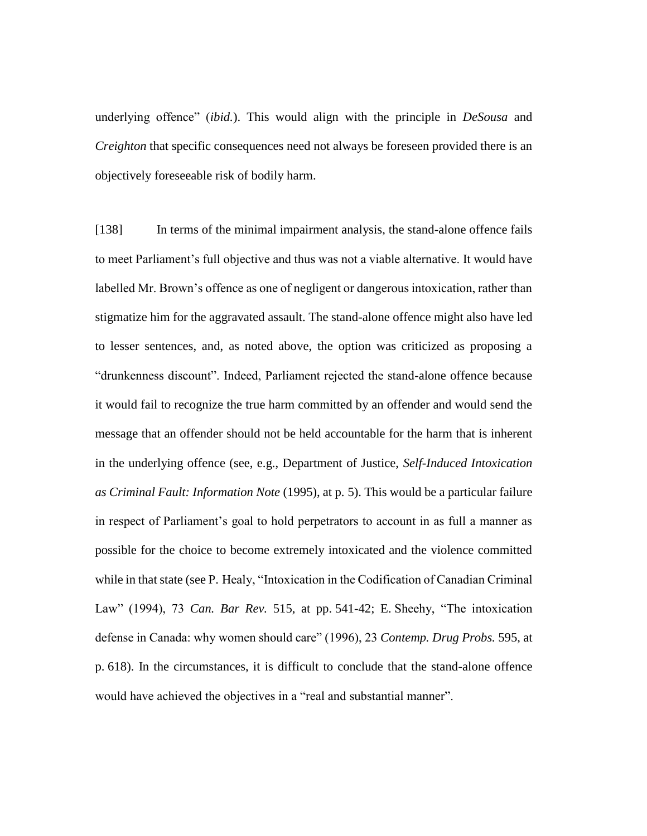underlying offence" (*ibid.*). This would align with the principle in *DeSousa* and *Creighton* that specific consequences need not always be foreseen provided there is an objectively foreseeable risk of bodily harm.

[138] In terms of the minimal impairment analysis, the stand-alone offence fails to meet Parliament's full objective and thus was not a viable alternative. It would have labelled Mr. Brown's offence as one of negligent or dangerous intoxication, rather than stigmatize him for the aggravated assault. The stand-alone offence might also have led to lesser sentences, and, as noted above, the option was criticized as proposing a "drunkenness discount". Indeed, Parliament rejected the stand-alone offence because it would fail to recognize the true harm committed by an offender and would send the message that an offender should not be held accountable for the harm that is inherent in the underlying offence (see, e.g., Department of Justice, *Self-Induced Intoxication as Criminal Fault: Information Note* (1995), at p. 5). This would be a particular failure in respect of Parliament's goal to hold perpetrators to account in as full a manner as possible for the choice to become extremely intoxicated and the violence committed while in that state (see P. Healy, "Intoxication in the Codification of Canadian Criminal Law" (1994), 73 *Can. Bar Rev.* 515, at pp. 541-42; E. Sheehy, "The intoxication defense in Canada: why women should care" (1996), 23 *Contemp. Drug Probs.* 595, at p. 618). In the circumstances, it is difficult to conclude that the stand-alone offence would have achieved the objectives in a "real and substantial manner".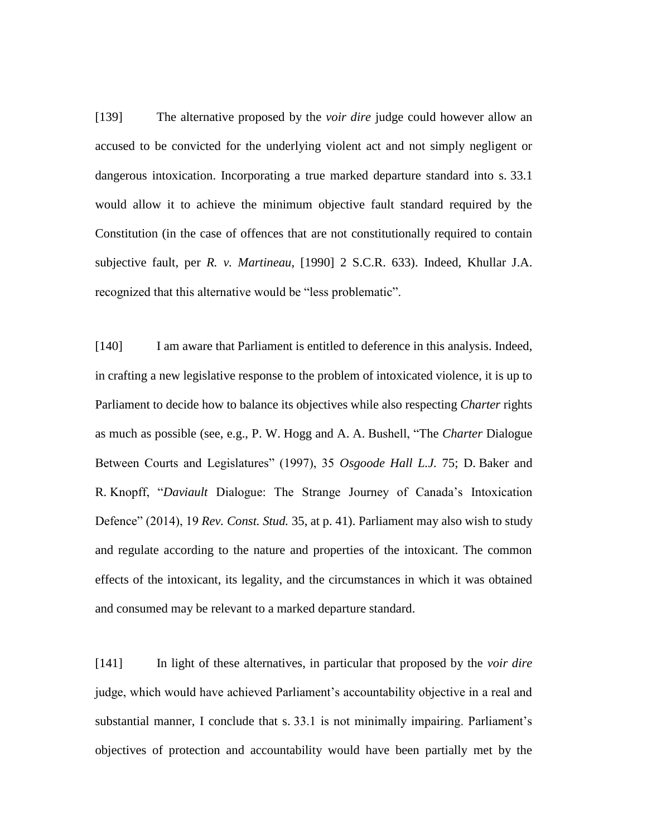[139] The alternative proposed by the *voir dire* judge could however allow an accused to be convicted for the underlying violent act and not simply negligent or dangerous intoxication. Incorporating a true marked departure standard into s. 33.1 would allow it to achieve the minimum objective fault standard required by the Constitution (in the case of offences that are not constitutionally required to contain subjective fault, per *R. v. Martineau*, [1990] 2 S.C.R. 633). Indeed, Khullar J.A. recognized that this alternative would be "less problematic".

[140] I am aware that Parliament is entitled to deference in this analysis. Indeed, in crafting a new legislative response to the problem of intoxicated violence, it is up to Parliament to decide how to balance its objectives while also respecting *Charter* rights as much as possible (see, e.g., P. W. Hogg and A. A. Bushell, "The *Charter* Dialogue Between Courts and Legislatures" (1997), 35 *Osgoode Hall L.J.* 75; D. Baker and R. Knopff, "*Daviault* Dialogue: The Strange Journey of Canada's Intoxication Defence" (2014), 19 *Rev. Const. Stud.* 35, at p. 41). Parliament may also wish to study and regulate according to the nature and properties of the intoxicant. The common effects of the intoxicant, its legality, and the circumstances in which it was obtained and consumed may be relevant to a marked departure standard.

[141] In light of these alternatives, in particular that proposed by the *voir dire* judge, which would have achieved Parliament's accountability objective in a real and substantial manner, I conclude that s. 33.1 is not minimally impairing. Parliament's objectives of protection and accountability would have been partially met by the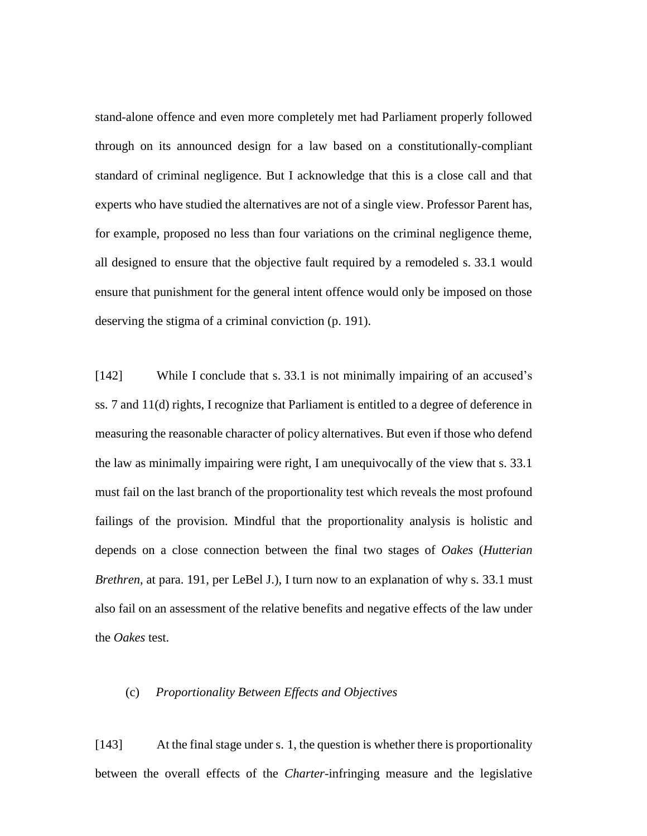stand-alone offence and even more completely met had Parliament properly followed through on its announced design for a law based on a constitutionally-compliant standard of criminal negligence. But I acknowledge that this is a close call and that experts who have studied the alternatives are not of a single view. Professor Parent has, for example, proposed no less than four variations on the criminal negligence theme, all designed to ensure that the objective fault required by a remodeled s. 33.1 would ensure that punishment for the general intent offence would only be imposed on those deserving the stigma of a criminal conviction (p. 191).

[142] While I conclude that s. 33.1 is not minimally impairing of an accused's ss. 7 and 11(d) rights, I recognize that Parliament is entitled to a degree of deference in measuring the reasonable character of policy alternatives. But even if those who defend the law as minimally impairing were right, I am unequivocally of the view that s. 33.1 must fail on the last branch of the proportionality test which reveals the most profound failings of the provision. Mindful that the proportionality analysis is holistic and depends on a close connection between the final two stages of *Oakes* (*Hutterian Brethren*, at para. 191, per LeBel J.), I turn now to an explanation of why s. 33.1 must also fail on an assessment of the relative benefits and negative effects of the law under the *Oakes* test.

## (c) *Proportionality Between Effects and Objectives*

[143] At the final stage under s. 1, the question is whether there is proportionality between the overall effects of the *Charter*-infringing measure and the legislative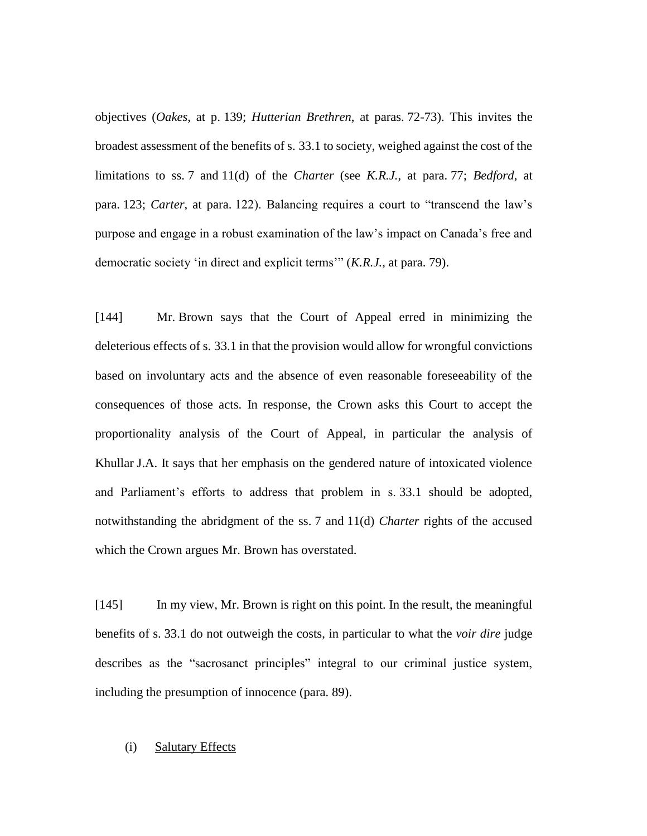objectives (*Oakes*, at p. 139; *Hutterian Brethren*, at paras. 72-73). This invites the broadest assessment of the benefits of s. 33.1 to society, weighed against the cost of the limitations to ss. 7 and 11(d) of the *Charter* (see *K.R.J.*, at para. 77; *Bedford*, at para. 123; *Carter*, at para. 122). Balancing requires a court to "transcend the law's purpose and engage in a robust examination of the law's impact on Canada's free and democratic society 'in direct and explicit terms'" (*K.R.J.*, at para. 79).

[144] Mr. Brown says that the Court of Appeal erred in minimizing the deleterious effects of s. 33.1 in that the provision would allow for wrongful convictions based on involuntary acts and the absence of even reasonable foreseeability of the consequences of those acts. In response, the Crown asks this Court to accept the proportionality analysis of the Court of Appeal, in particular the analysis of Khullar J.A. It says that her emphasis on the gendered nature of intoxicated violence and Parliament's efforts to address that problem in s. 33.1 should be adopted, notwithstanding the abridgment of the ss. 7 and 11(d) *Charter* rights of the accused which the Crown argues Mr. Brown has overstated.

[145] In my view, Mr. Brown is right on this point. In the result, the meaningful benefits of s. 33.1 do not outweigh the costs, in particular to what the *voir dire* judge describes as the "sacrosanct principles" integral to our criminal justice system, including the presumption of innocence (para. 89).

# (i) Salutary Effects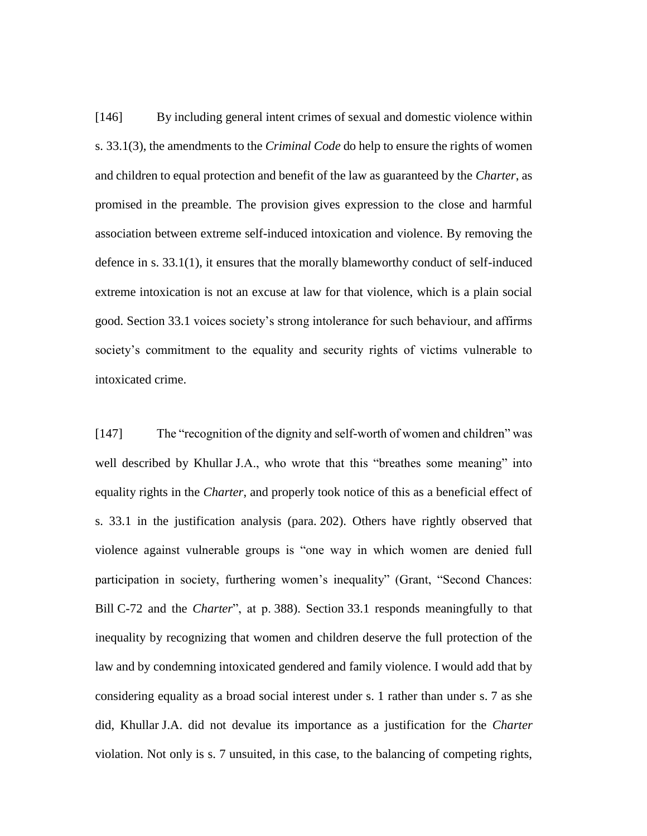[146] By including general intent crimes of sexual and domestic violence within s. 33.1(3), the amendments to the *Criminal Code* do help to ensure the rights of women and children to equal protection and benefit of the law as guaranteed by the *Charter*, as promised in the preamble. The provision gives expression to the close and harmful association between extreme self-induced intoxication and violence. By removing the defence in s. 33.1(1), it ensures that the morally blameworthy conduct of self-induced extreme intoxication is not an excuse at law for that violence, which is a plain social good. Section 33.1 voices society's strong intolerance for such behaviour, and affirms society's commitment to the equality and security rights of victims vulnerable to intoxicated crime.

[147] The "recognition of the dignity and self-worth of women and children" was well described by Khullar J.A., who wrote that this "breathes some meaning" into equality rights in the *Charter*, and properly took notice of this as a beneficial effect of s. 33.1 in the justification analysis (para. 202). Others have rightly observed that violence against vulnerable groups is "one way in which women are denied full participation in society, furthering women's inequality" (Grant, "Second Chances: Bill C-72 and the *Charter*", at p. 388). Section 33.1 responds meaningfully to that inequality by recognizing that women and children deserve the full protection of the law and by condemning intoxicated gendered and family violence. I would add that by considering equality as a broad social interest under s. 1 rather than under s. 7 as she did, Khullar J.A. did not devalue its importance as a justification for the *Charter* violation. Not only is s. 7 unsuited, in this case, to the balancing of competing rights,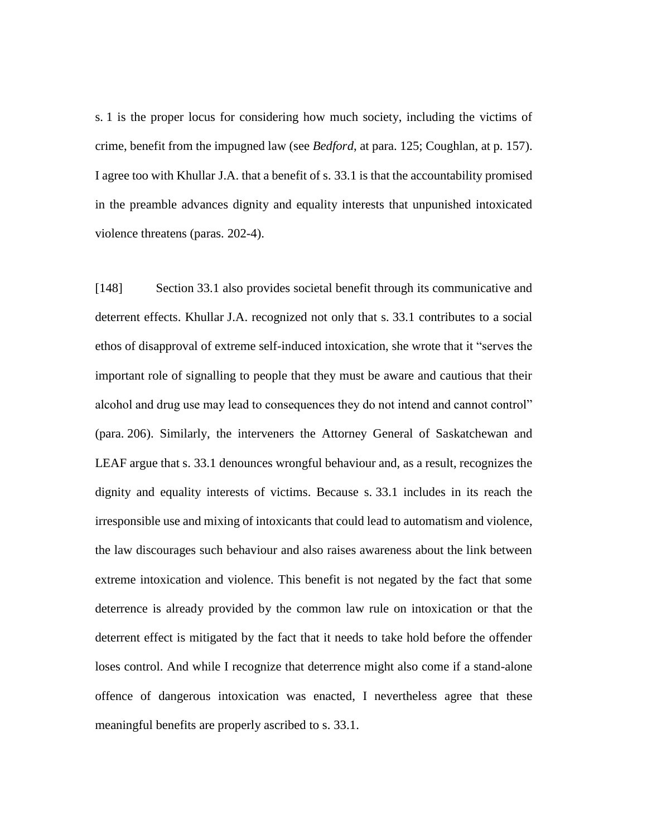s. 1 is the proper locus for considering how much society, including the victims of crime, benefit from the impugned law (see *Bedford*, at para. 125; Coughlan, at p. 157). I agree too with Khullar J.A. that a benefit of s. 33.1 is that the accountability promised in the preamble advances dignity and equality interests that unpunished intoxicated violence threatens (paras. 202-4).

[148] Section 33.1 also provides societal benefit through its communicative and deterrent effects. Khullar J.A. recognized not only that s. 33.1 contributes to a social ethos of disapproval of extreme self-induced intoxication, she wrote that it "serves the important role of signalling to people that they must be aware and cautious that their alcohol and drug use may lead to consequences they do not intend and cannot control" (para. 206). Similarly, the interveners the Attorney General of Saskatchewan and LEAF argue that s. 33.1 denounces wrongful behaviour and, as a result, recognizes the dignity and equality interests of victims. Because s. 33.1 includes in its reach the irresponsible use and mixing of intoxicants that could lead to automatism and violence, the law discourages such behaviour and also raises awareness about the link between extreme intoxication and violence. This benefit is not negated by the fact that some deterrence is already provided by the common law rule on intoxication or that the deterrent effect is mitigated by the fact that it needs to take hold before the offender loses control. And while I recognize that deterrence might also come if a stand-alone offence of dangerous intoxication was enacted, I nevertheless agree that these meaningful benefits are properly ascribed to s. 33.1.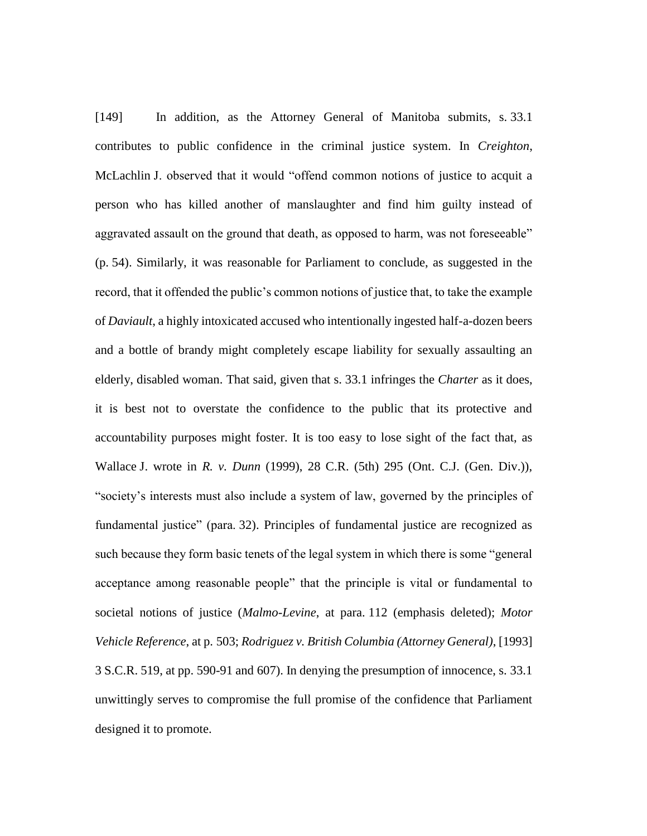[149] In addition, as the Attorney General of Manitoba submits, s. 33.1 contributes to public confidence in the criminal justice system. In *Creighton*, McLachlin J. observed that it would "offend common notions of justice to acquit a person who has killed another of manslaughter and find him guilty instead of aggravated assault on the ground that death, as opposed to harm, was not foreseeable" (p. 54). Similarly, it was reasonable for Parliament to conclude, as suggested in the record, that it offended the public's common notions of justice that, to take the example of *Daviault*, a highly intoxicated accused who intentionally ingested half-a-dozen beers and a bottle of brandy might completely escape liability for sexually assaulting an elderly, disabled woman. That said, given that s. 33.1 infringes the *Charter* as it does, it is best not to overstate the confidence to the public that its protective and accountability purposes might foster. It is too easy to lose sight of the fact that, as Wallace J. wrote in *R. v. Dunn* (1999), 28 C.R. (5th) 295 (Ont. C.J. (Gen. Div.)), "society's interests must also include a system of law, governed by the principles of fundamental justice" (para. 32). Principles of fundamental justice are recognized as such because they form basic tenets of the legal system in which there is some "general acceptance among reasonable people" that the principle is vital or fundamental to societal notions of justice (*Malmo-Levine*, at para. 112 (emphasis deleted); *Motor Vehicle Reference*, at p. 503; *Rodriguez v. British Columbia (Attorney General)*, [1993] 3 S.C.R. 519, at pp. 590-91 and 607). In denying the presumption of innocence, s. 33.1 unwittingly serves to compromise the full promise of the confidence that Parliament designed it to promote.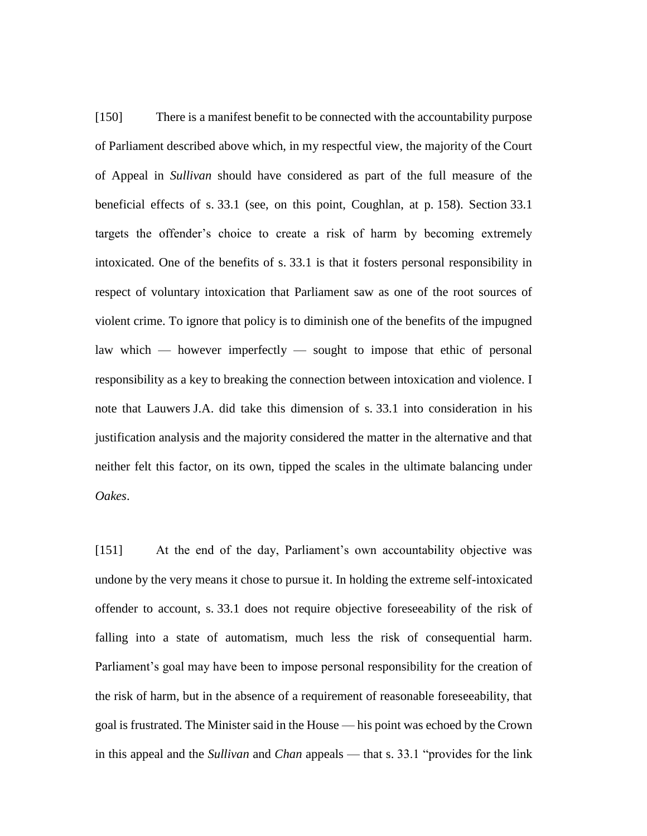[150] There is a manifest benefit to be connected with the accountability purpose of Parliament described above which, in my respectful view, the majority of the Court of Appeal in *Sullivan* should have considered as part of the full measure of the beneficial effects of s. 33.1 (see, on this point, Coughlan, at p. 158). Section 33.1 targets the offender's choice to create a risk of harm by becoming extremely intoxicated. One of the benefits of s. 33.1 is that it fosters personal responsibility in respect of voluntary intoxication that Parliament saw as one of the root sources of violent crime. To ignore that policy is to diminish one of the benefits of the impugned law which — however imperfectly — sought to impose that ethic of personal responsibility as a key to breaking the connection between intoxication and violence. I note that Lauwers J.A. did take this dimension of s. 33.1 into consideration in his justification analysis and the majority considered the matter in the alternative and that neither felt this factor, on its own, tipped the scales in the ultimate balancing under *Oakes*.

[151] At the end of the day, Parliament's own accountability objective was undone by the very means it chose to pursue it. In holding the extreme self-intoxicated offender to account, s. 33.1 does not require objective foreseeability of the risk of falling into a state of automatism, much less the risk of consequential harm. Parliament's goal may have been to impose personal responsibility for the creation of the risk of harm, but in the absence of a requirement of reasonable foreseeability, that goal is frustrated. The Minister said in the House — his point was echoed by the Crown in this appeal and the *Sullivan* and *Chan* appeals — that s. 33.1 "provides for the link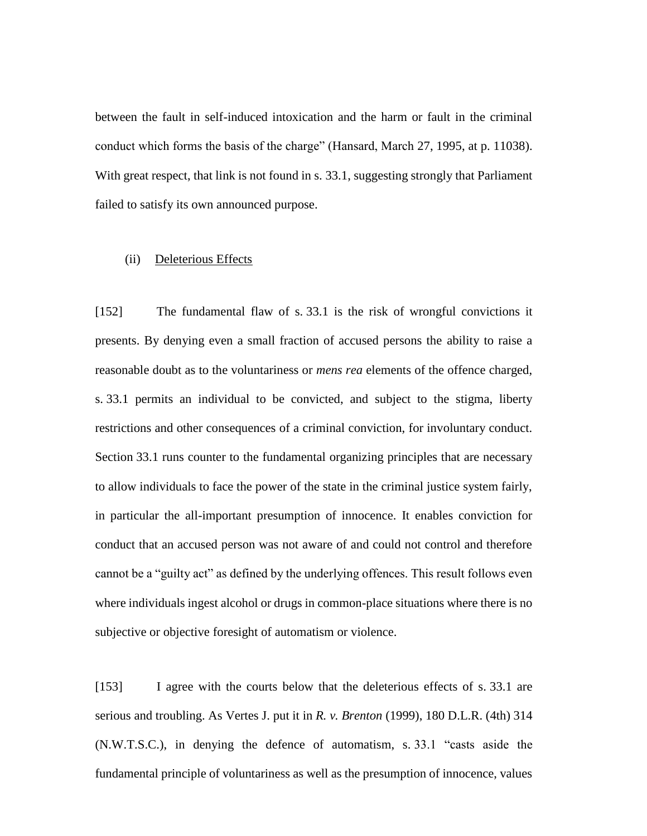between the fault in self-induced intoxication and the harm or fault in the criminal conduct which forms the basis of the charge" (Hansard, March 27, 1995, at p. 11038). With great respect, that link is not found in s. 33.1, suggesting strongly that Parliament failed to satisfy its own announced purpose.

#### (ii) Deleterious Effects

[152] The fundamental flaw of s. 33.1 is the risk of wrongful convictions it presents. By denying even a small fraction of accused persons the ability to raise a reasonable doubt as to the voluntariness or *mens rea* elements of the offence charged, s. 33.1 permits an individual to be convicted, and subject to the stigma, liberty restrictions and other consequences of a criminal conviction, for involuntary conduct. Section 33.1 runs counter to the fundamental organizing principles that are necessary to allow individuals to face the power of the state in the criminal justice system fairly, in particular the all-important presumption of innocence. It enables conviction for conduct that an accused person was not aware of and could not control and therefore cannot be a "guilty act" as defined by the underlying offences. This result follows even where individuals ingest alcohol or drugs in common-place situations where there is no subjective or objective foresight of automatism or violence.

[153] I agree with the courts below that the deleterious effects of s. 33.1 are serious and troubling. As Vertes J. put it in *R. v. Brenton* (1999), 180 D.L.R. (4th) 314 (N.W.T.S.C.), in denying the defence of automatism, s. 33.1 "casts aside the fundamental principle of voluntariness as well as the presumption of innocence, values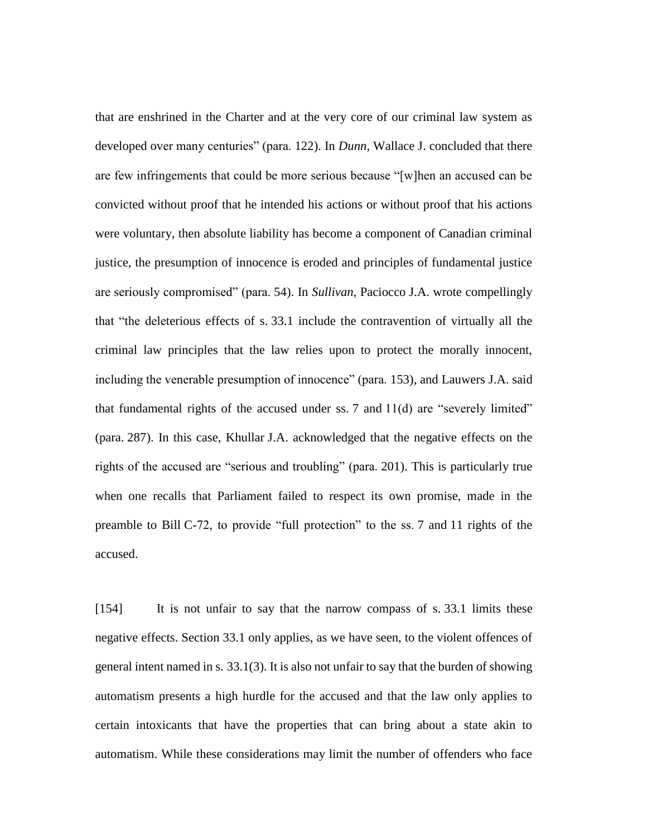that are enshrined in the Charter and at the very core of our criminal law system as developed over many centuries" (para. 122). In *Dunn*, Wallace J. concluded that there are few infringements that could be more serious because "[w]hen an accused can be convicted without proof that he intended his actions or without proof that his actions were voluntary, then absolute liability has become a component of Canadian criminal justice, the presumption of innocence is eroded and principles of fundamental justice are seriously compromised" (para. 54). In *Sullivan*, Paciocco J.A. wrote compellingly that "the deleterious effects of s. 33.1 include the contravention of virtually all the criminal law principles that the law relies upon to protect the morally innocent, including the venerable presumption of innocence" (para. 153), and Lauwers J.A. said that fundamental rights of the accused under ss.  $7$  and  $11(d)$  are "severely limited" (para. 287). In this case, Khullar J.A. acknowledged that the negative effects on the rights of the accused are "serious and troubling" (para. 201). This is particularly true when one recalls that Parliament failed to respect its own promise, made in the preamble to Bill C-72, to provide "full protection" to the ss. 7 and 11 rights of the accused.

[154] It is not unfair to say that the narrow compass of s. 33.1 limits these negative effects. Section 33.1 only applies, as we have seen, to the violent offences of general intent named in s. 33.1(3). It is also not unfair to say that the burden of showing automatism presents a high hurdle for the accused and that the law only applies to certain intoxicants that have the properties that can bring about a state akin to automatism. While these considerations may limit the number of offenders who face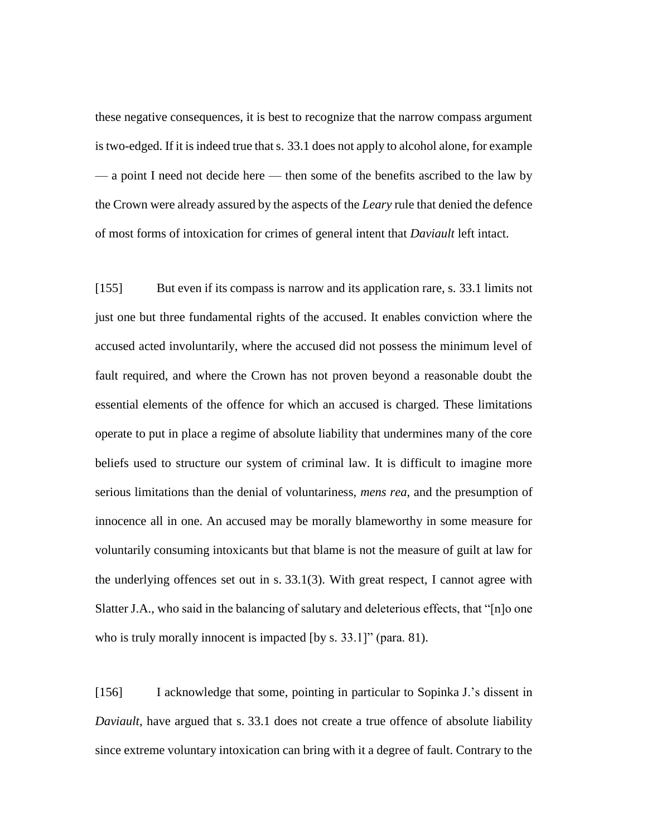these negative consequences, it is best to recognize that the narrow compass argument is two-edged. If it is indeed true that s. 33.1 does not apply to alcohol alone, for example — a point I need not decide here — then some of the benefits ascribed to the law by the Crown were already assured by the aspects of the *Leary* rule that denied the defence of most forms of intoxication for crimes of general intent that *Daviault* left intact.

[155] But even if its compass is narrow and its application rare, s. 33.1 limits not just one but three fundamental rights of the accused. It enables conviction where the accused acted involuntarily, where the accused did not possess the minimum level of fault required, and where the Crown has not proven beyond a reasonable doubt the essential elements of the offence for which an accused is charged. These limitations operate to put in place a regime of absolute liability that undermines many of the core beliefs used to structure our system of criminal law. It is difficult to imagine more serious limitations than the denial of voluntariness, *mens rea*, and the presumption of innocence all in one. An accused may be morally blameworthy in some measure for voluntarily consuming intoxicants but that blame is not the measure of guilt at law for the underlying offences set out in s. 33.1(3). With great respect, I cannot agree with Slatter J.A., who said in the balancing of salutary and deleterious effects, that "[n]o one who is truly morally innocent is impacted [by s. 33.1]" (para. 81).

[156] I acknowledge that some, pointing in particular to Sopinka J.'s dissent in *Daviault*, have argued that s. 33.1 does not create a true offence of absolute liability since extreme voluntary intoxication can bring with it a degree of fault. Contrary to the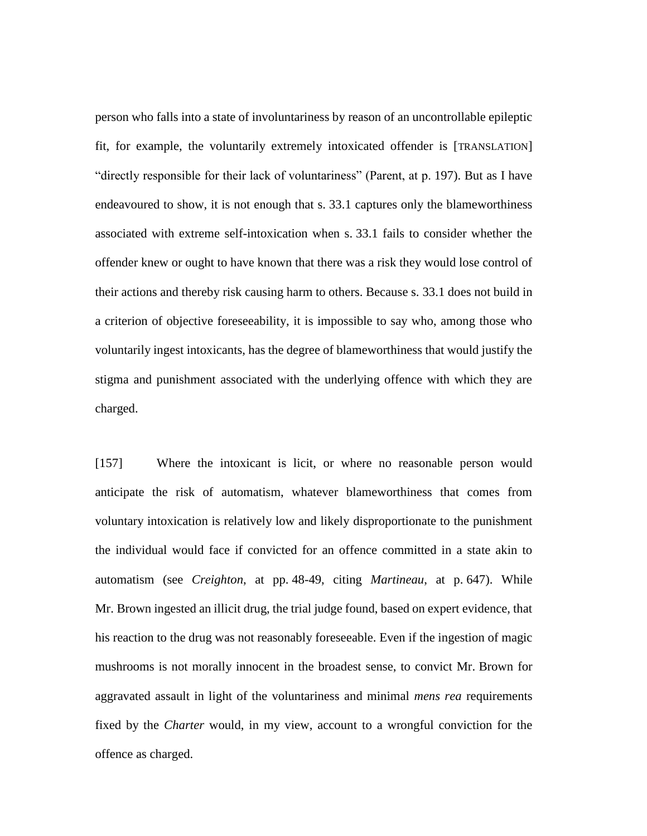person who falls into a state of involuntariness by reason of an uncontrollable epileptic fit, for example, the voluntarily extremely intoxicated offender is [TRANSLATION] "directly responsible for their lack of voluntariness" (Parent, at p. 197). But as I have endeavoured to show, it is not enough that s. 33.1 captures only the blameworthiness associated with extreme self-intoxication when s. 33.1 fails to consider whether the offender knew or ought to have known that there was a risk they would lose control of their actions and thereby risk causing harm to others. Because s. 33.1 does not build in a criterion of objective foreseeability, it is impossible to say who, among those who voluntarily ingest intoxicants, has the degree of blameworthiness that would justify the stigma and punishment associated with the underlying offence with which they are charged.

[157] Where the intoxicant is licit, or where no reasonable person would anticipate the risk of automatism, whatever blameworthiness that comes from voluntary intoxication is relatively low and likely disproportionate to the punishment the individual would face if convicted for an offence committed in a state akin to automatism (see *Creighton*, at pp. 48-49, citing *Martineau*, at p. 647). While Mr. Brown ingested an illicit drug, the trial judge found, based on expert evidence, that his reaction to the drug was not reasonably foreseeable. Even if the ingestion of magic mushrooms is not morally innocent in the broadest sense, to convict Mr. Brown for aggravated assault in light of the voluntariness and minimal *mens rea* requirements fixed by the *Charter* would, in my view, account to a wrongful conviction for the offence as charged.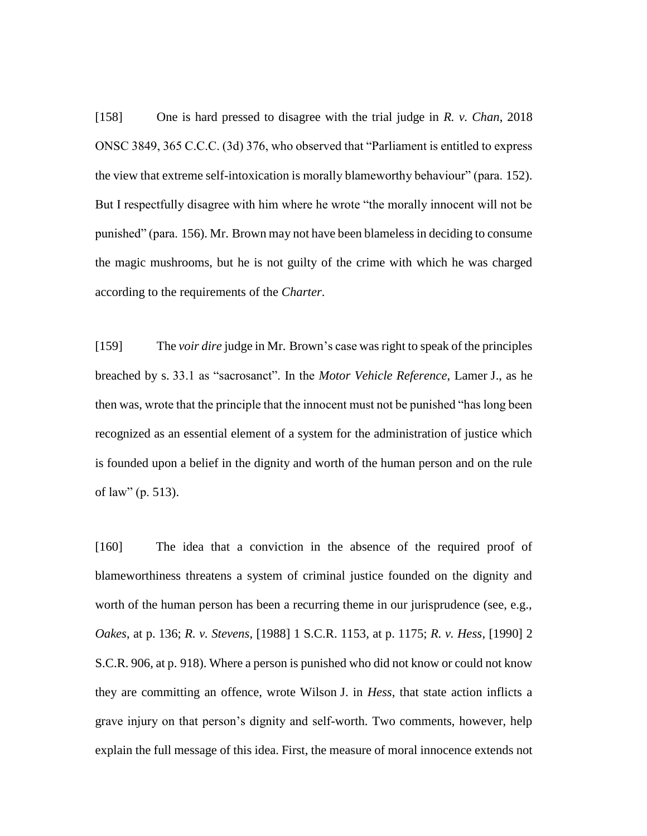[158] One is hard pressed to disagree with the trial judge in *R. v. Chan*, 2018 ONSC 3849, 365 C.C.C. (3d) 376, who observed that "Parliament is entitled to express the view that extreme self-intoxication is morally blameworthy behaviour" (para. 152). But I respectfully disagree with him where he wrote "the morally innocent will not be punished" (para. 156). Mr. Brown may not have been blameless in deciding to consume the magic mushrooms, but he is not guilty of the crime with which he was charged according to the requirements of the *Charter*.

[159] The *voir dire* judge in Mr. Brown's case was right to speak of the principles breached by s. 33.1 as "sacrosanct". In the *Motor Vehicle Reference*, Lamer J., as he then was, wrote that the principle that the innocent must not be punished "has long been recognized as an essential element of a system for the administration of justice which is founded upon a belief in the dignity and worth of the human person and on the rule of law" (p. 513).

[160] The idea that a conviction in the absence of the required proof of blameworthiness threatens a system of criminal justice founded on the dignity and worth of the human person has been a recurring theme in our jurisprudence (see, e.g., *Oakes*, at p. 136; *R. v. Stevens*, [1988] 1 S.C.R. 1153, at p. 1175; *R. v. Hess*, [1990] 2 S.C.R. 906, at p. 918). Where a person is punished who did not know or could not know they are committing an offence, wrote Wilson J. in *Hess*, that state action inflicts a grave injury on that person's dignity and self-worth. Two comments, however, help explain the full message of this idea. First, the measure of moral innocence extends not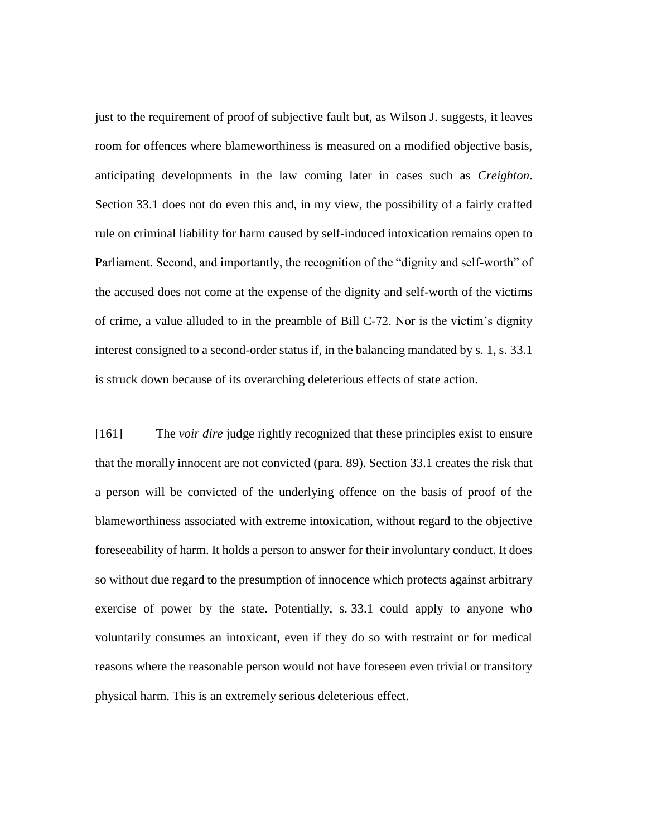just to the requirement of proof of subjective fault but, as Wilson J. suggests, it leaves room for offences where blameworthiness is measured on a modified objective basis, anticipating developments in the law coming later in cases such as *Creighton*. Section 33.1 does not do even this and, in my view, the possibility of a fairly crafted rule on criminal liability for harm caused by self-induced intoxication remains open to Parliament. Second, and importantly, the recognition of the "dignity and self-worth" of the accused does not come at the expense of the dignity and self-worth of the victims of crime, a value alluded to in the preamble of Bill C-72. Nor is the victim's dignity interest consigned to a second-order status if, in the balancing mandated by s. 1, s. 33.1 is struck down because of its overarching deleterious effects of state action.

[161] The *voir dire* judge rightly recognized that these principles exist to ensure that the morally innocent are not convicted (para. 89). Section 33.1 creates the risk that a person will be convicted of the underlying offence on the basis of proof of the blameworthiness associated with extreme intoxication, without regard to the objective foreseeability of harm. It holds a person to answer for their involuntary conduct. It does so without due regard to the presumption of innocence which protects against arbitrary exercise of power by the state. Potentially, s. 33.1 could apply to anyone who voluntarily consumes an intoxicant, even if they do so with restraint or for medical reasons where the reasonable person would not have foreseen even trivial or transitory physical harm. This is an extremely serious deleterious effect.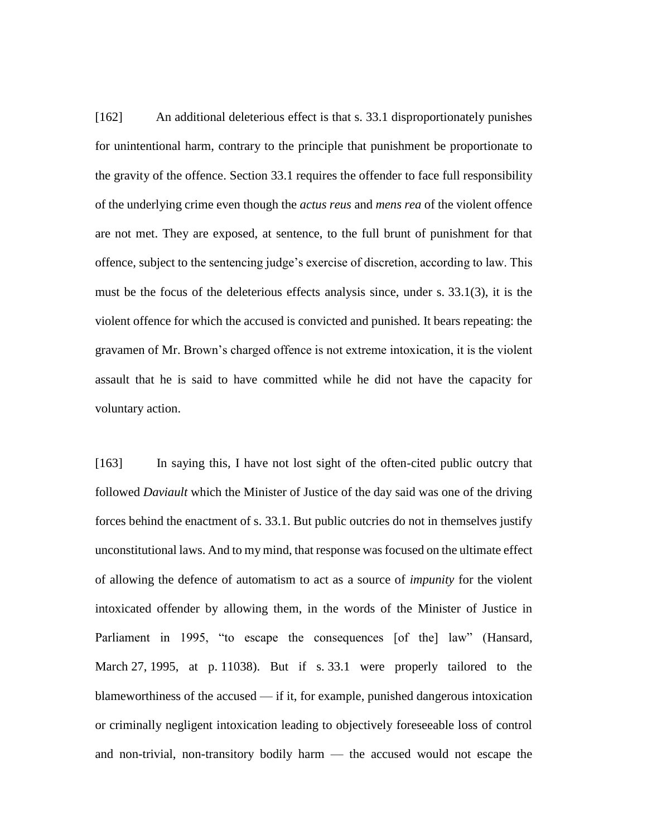[162] An additional deleterious effect is that s. 33.1 disproportionately punishes for unintentional harm, contrary to the principle that punishment be proportionate to the gravity of the offence. Section 33.1 requires the offender to face full responsibility of the underlying crime even though the *actus reus* and *mens rea* of the violent offence are not met. They are exposed, at sentence, to the full brunt of punishment for that offence, subject to the sentencing judge's exercise of discretion, according to law. This must be the focus of the deleterious effects analysis since, under s. 33.1(3), it is the violent offence for which the accused is convicted and punished. It bears repeating: the gravamen of Mr. Brown's charged offence is not extreme intoxication, it is the violent assault that he is said to have committed while he did not have the capacity for voluntary action.

[163] In saying this, I have not lost sight of the often-cited public outcry that followed *Daviault* which the Minister of Justice of the day said was one of the driving forces behind the enactment of s. 33.1. But public outcries do not in themselves justify unconstitutional laws. And to my mind, that response was focused on the ultimate effect of allowing the defence of automatism to act as a source of *impunity* for the violent intoxicated offender by allowing them, in the words of the Minister of Justice in Parliament in 1995, "to escape the consequences [of the] law" (Hansard, March 27, 1995, at p. 11038). But if s. 33.1 were properly tailored to the blameworthiness of the accused — if it, for example, punished dangerous intoxication or criminally negligent intoxication leading to objectively foreseeable loss of control and non-trivial, non-transitory bodily harm — the accused would not escape the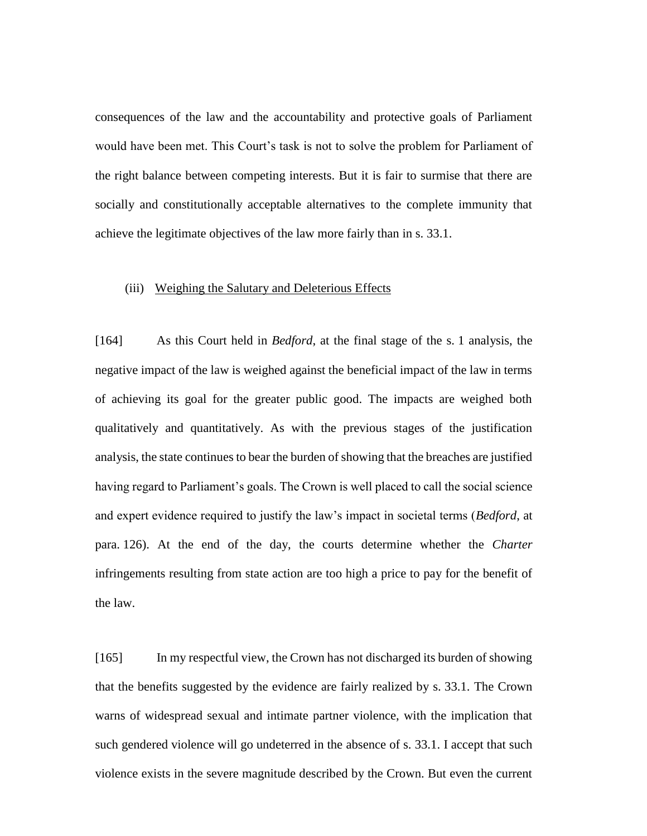consequences of the law and the accountability and protective goals of Parliament would have been met. This Court's task is not to solve the problem for Parliament of the right balance between competing interests. But it is fair to surmise that there are socially and constitutionally acceptable alternatives to the complete immunity that achieve the legitimate objectives of the law more fairly than in s. 33.1.

#### (iii) Weighing the Salutary and Deleterious Effects

[164] As this Court held in *Bedford*, at the final stage of the s. 1 analysis, the negative impact of the law is weighed against the beneficial impact of the law in terms of achieving its goal for the greater public good. The impacts are weighed both qualitatively and quantitatively. As with the previous stages of the justification analysis, the state continues to bear the burden of showing that the breaches are justified having regard to Parliament's goals. The Crown is well placed to call the social science and expert evidence required to justify the law's impact in societal terms (*Bedford*, at para. 126). At the end of the day, the courts determine whether the *Charter* infringements resulting from state action are too high a price to pay for the benefit of the law.

[165] In my respectful view, the Crown has not discharged its burden of showing that the benefits suggested by the evidence are fairly realized by s. 33.1. The Crown warns of widespread sexual and intimate partner violence, with the implication that such gendered violence will go undeterred in the absence of s. 33.1. I accept that such violence exists in the severe magnitude described by the Crown. But even the current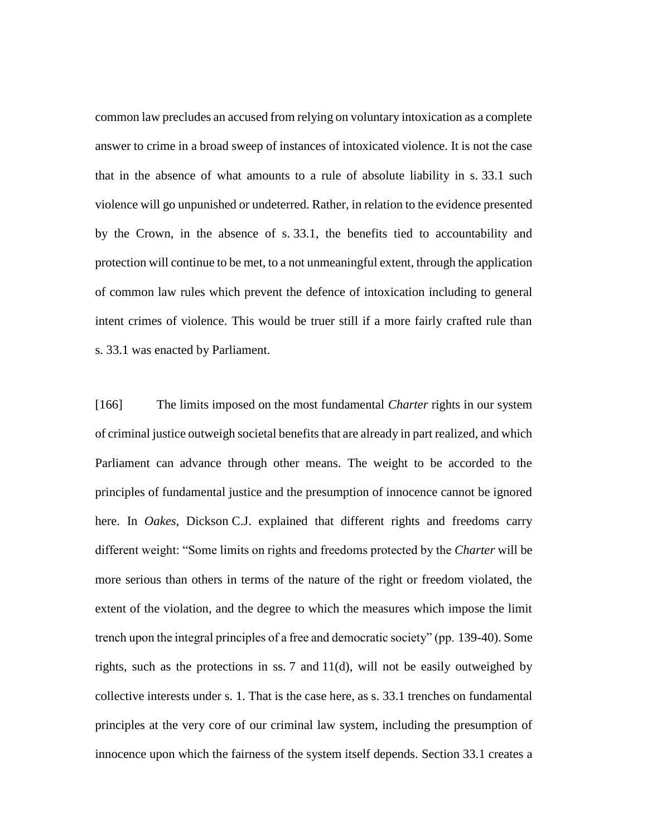common law precludes an accused from relying on voluntary intoxication as a complete answer to crime in a broad sweep of instances of intoxicated violence. It is not the case that in the absence of what amounts to a rule of absolute liability in s. 33.1 such violence will go unpunished or undeterred. Rather, in relation to the evidence presented by the Crown, in the absence of s. 33.1, the benefits tied to accountability and protection will continue to be met, to a not unmeaningful extent, through the application of common law rules which prevent the defence of intoxication including to general intent crimes of violence. This would be truer still if a more fairly crafted rule than s. 33.1 was enacted by Parliament.

[166] The limits imposed on the most fundamental *Charter* rights in our system of criminal justice outweigh societal benefits that are already in part realized, and which Parliament can advance through other means. The weight to be accorded to the principles of fundamental justice and the presumption of innocence cannot be ignored here. In *Oakes*, Dickson C.J. explained that different rights and freedoms carry different weight: "Some limits on rights and freedoms protected by the *Charter* will be more serious than others in terms of the nature of the right or freedom violated, the extent of the violation, and the degree to which the measures which impose the limit trench upon the integral principles of a free and democratic society" (pp. 139-40). Some rights, such as the protections in ss. 7 and 11(d), will not be easily outweighed by collective interests under s. 1. That is the case here, as s. 33.1 trenches on fundamental principles at the very core of our criminal law system, including the presumption of innocence upon which the fairness of the system itself depends. Section 33.1 creates a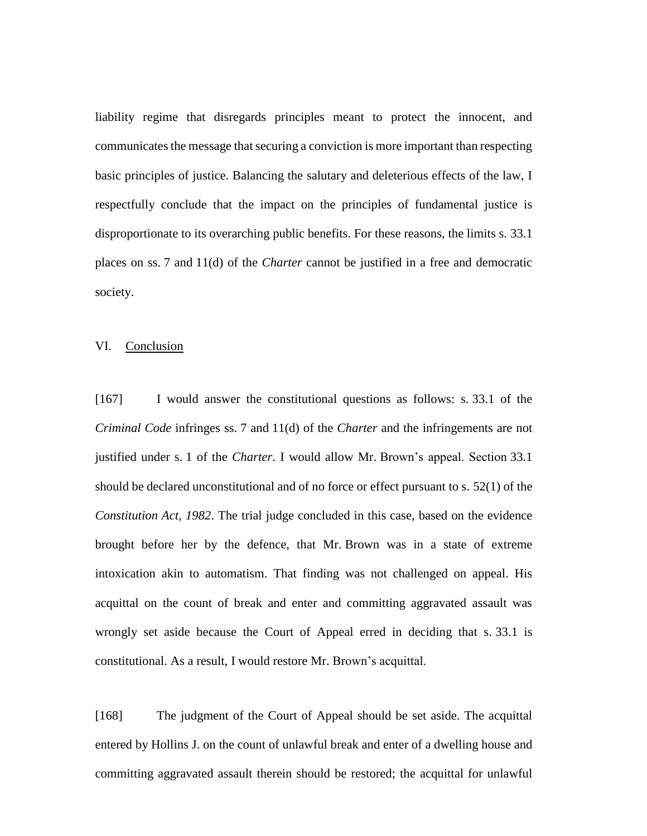liability regime that disregards principles meant to protect the innocent, and communicates the message that securing a conviction is more important than respecting basic principles of justice. Balancing the salutary and deleterious effects of the law, I respectfully conclude that the impact on the principles of fundamental justice is disproportionate to its overarching public benefits. For these reasons, the limits s. 33.1 places on ss. 7 and 11(d) of the *Charter* cannot be justified in a free and democratic society.

## VI. Conclusion

[167] I would answer the constitutional questions as follows: s. 33.1 of the *Criminal Code* infringes ss. 7 and 11(d) of the *Charter* and the infringements are not justified under s. 1 of the *Charter*. I would allow Mr. Brown's appeal. Section 33.1 should be declared unconstitutional and of no force or effect pursuant to s. 52(1) of the *Constitution Act, 1982*. The trial judge concluded in this case, based on the evidence brought before her by the defence, that Mr. Brown was in a state of extreme intoxication akin to automatism. That finding was not challenged on appeal. His acquittal on the count of break and enter and committing aggravated assault was wrongly set aside because the Court of Appeal erred in deciding that s. 33.1 is constitutional. As a result, I would restore Mr. Brown's acquittal.

[168] The judgment of the Court of Appeal should be set aside. The acquittal entered by Hollins J. on the count of unlawful break and enter of a dwelling house and committing aggravated assault therein should be restored; the acquittal for unlawful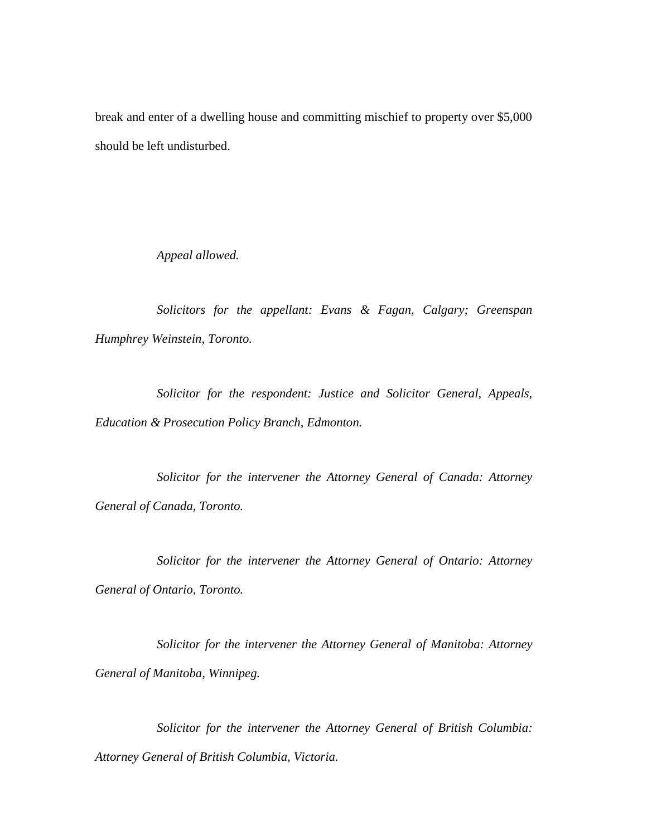break and enter of a dwelling house and committing mischief to property over \$5,000 should be left undisturbed.

*Appeal allowed.*

*Solicitors for the appellant: Evans & Fagan, Calgary; Greenspan Humphrey Weinstein, Toronto.*

*Solicitor for the respondent: Justice and Solicitor General, Appeals, Education & Prosecution Policy Branch, Edmonton.*

*Solicitor for the intervener the Attorney General of Canada: Attorney General of Canada, Toronto.*

*Solicitor for the intervener the Attorney General of Ontario: Attorney General of Ontario, Toronto.*

*Solicitor for the intervener the Attorney General of Manitoba: Attorney General of Manitoba, Winnipeg.*

*Solicitor for the intervener the Attorney General of British Columbia: Attorney General of British Columbia, Victoria.*